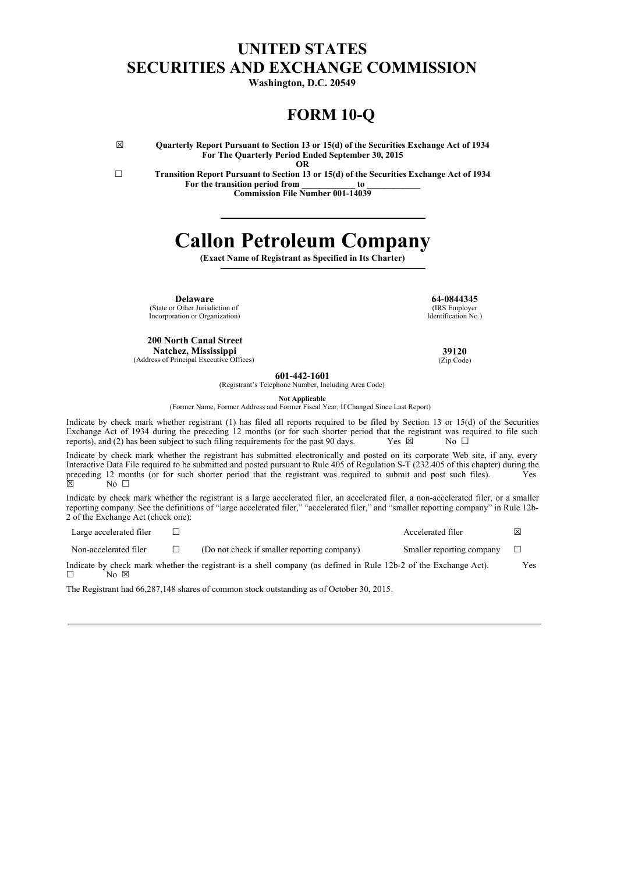## <span id="page-0-0"></span>**UNITED STATES SECURITIES AND EXCHANGE COMMISSION**

**Washington, D.C. 20549**

# **FORM 10-Q**

☒ **Quarterly Report Pursuant to Section 13 or 15(d) of the Securities Exchange Act of 1934 For The Quarterly Period Ended September 30, 2015**

**OR**

☐ **Transition Report Pursuant to Section 13 or 15(d) of the Securities Exchange Act of 1934** For the transition period from **to** 

**Commission File Number 001-14039**

# **Callon Petroleum Company**

**(Exact Name of Registrant as Specified in Its Charter)**

**Delaware** (State or Other Jurisdiction of Incorporation or Organization)

**64-0844345** (IRS Employer Identification No.)

**200 North Canal Street Natchez, Mississippi**

(Address of Principal Executive Offices)

**601-442-1601**

(Registrant's Telephone Number, Including Area Code)

**Not Applicable**

(Former Name, Former Address and Former Fiscal Year, If Changed Since Last Report)

Indicate by check mark whether registrant (1) has filed all reports required to be filed by Section 13 or 15(d) of the Securities Exchange Act of 1934 during the preceding 12 months (or for such shorter period that the registrant was required to file such reports), and (2) has been subject to such filing requirements for the past 90 days. Yes  $\boxtimes$  No  $\Box$ 

Indicate by check mark whether the registrant has submitted electronically and posted on its corporate Web site, if any, every Interactive Data File required to be submitted and posted pursuant to Rule 405 of Regulation S-T (232.405 of this chapter) during the preceding 12 months (or for such shorter period that the registrant was required to submit and post such files). Yes ☒ No ☐

Indicate by check mark whether the registrant is a large accelerated filer, an accelerated filer, a non-accelerated filer, or a smaller reporting company. See the definitions of "large accelerated filer," "accelerated filer," and "smaller reporting company" in Rule 12b-2 of the Exchange Act (check one):

Large accelerated filer ☐ Accelerated filer ☒

Non-accelerated filer □ (Do not check if smaller reporting company) Smaller reporting company □

Indicate by check mark whether the registrant is a shell company (as defined in Rule 12b-2 of the Exchange Act). Yes  $\Box$  No  $\boxtimes$ 

The Registrant had 66,287,148 shares of common stock outstanding as of October 30, 2015.

**39120** (Zip Code)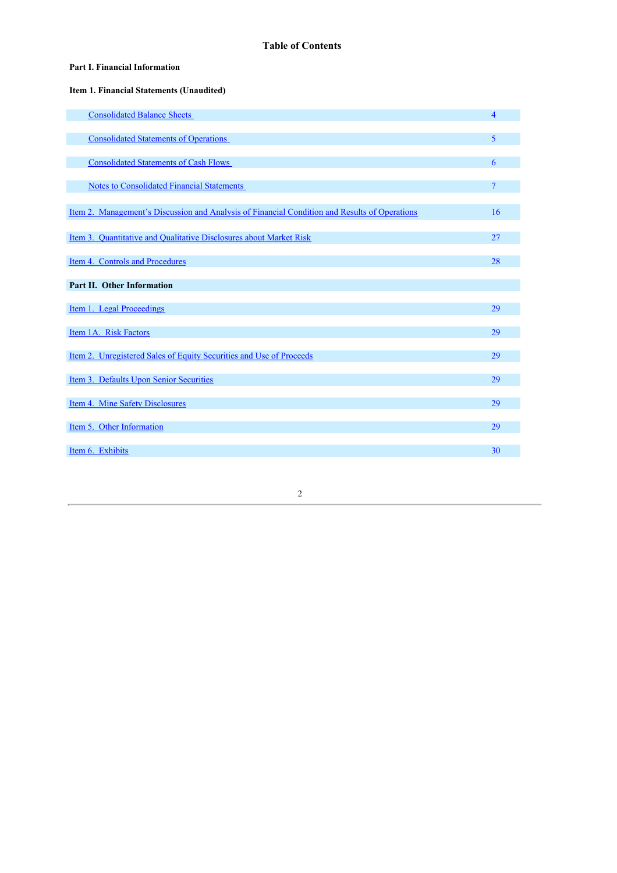## <span id="page-1-0"></span>**Part I. Financial Information**

## **Item 1. Financial Statements (Unaudited)**

| <b>Consolidated Balance Sheets</b>                                                            | $\overline{4}$  |
|-----------------------------------------------------------------------------------------------|-----------------|
| <b>Consolidated Statements of Operations</b>                                                  | $\overline{5}$  |
| <b>Consolidated Statements of Cash Flows</b>                                                  | 6               |
| <b>Notes to Consolidated Financial Statements</b>                                             | $7\phantom{.0}$ |
|                                                                                               |                 |
| Item 2. Management's Discussion and Analysis of Financial Condition and Results of Operations | 16              |
| Item 3. Quantitative and Qualitative Disclosures about Market Risk                            | 27              |
| Item 4. Controls and Procedures                                                               | 28              |
| <b>Part II. Other Information</b>                                                             |                 |
|                                                                                               |                 |
| Item 1. Legal Proceedings                                                                     | 29              |
| Item 1A. Risk Factors                                                                         | 29              |
| <u>Item 2. Unregistered Sales of Equity Securities and Use of Proceeds</u>                    | 29              |
| Item 3. Defaults Upon Senior Securities                                                       | 29              |
|                                                                                               | 29              |
| Item 4. Mine Safety Disclosures                                                               |                 |
| Item 5. Other Information                                                                     | 29              |
| Item 6. Exhibits                                                                              | 30              |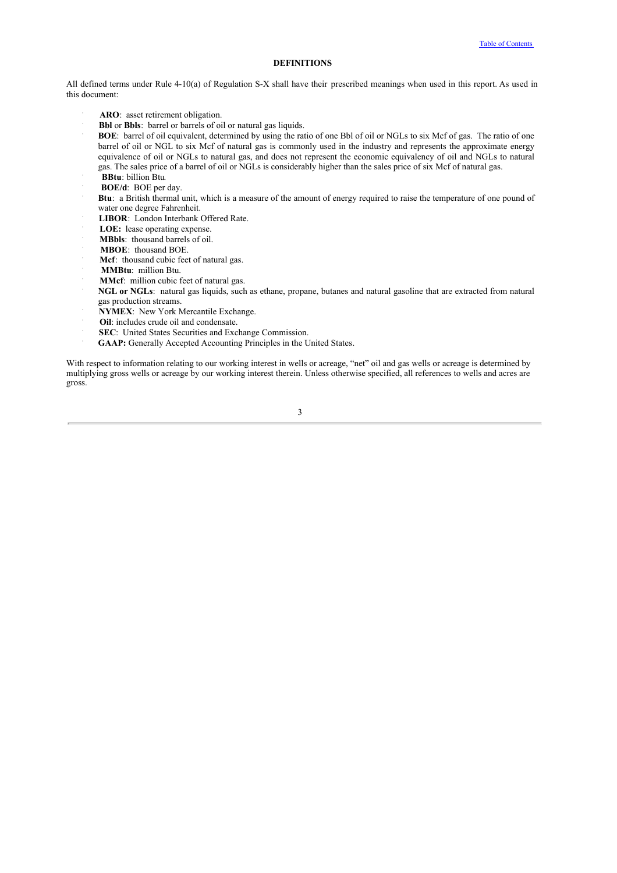## **DEFINITIONS**

All defined terms under Rule 4-10(a) of Regulation S-X shall have their prescribed meanings when used in this report. As used in this document:

- ARO: asset retirement obligation.
- **Bbl** or **Bbls**: barrel or barrels of oil or natural gas liquids.
- **BOE**: barrel of oil equivalent, determined by using the ratio of one Bbl of oil or NGLs to six Mcf of gas. The ratio of one barrel of oil or NGL to six Mcf of natural gas is commonly used in the industry and represents the approximate energy equivalence of oil or NGLs to natural gas, and does not represent the economic equivalency of oil and NGLs to natural gas. The sales price of a barrel of oil or NGLs is considerably higher than the sales price of six Mcf of natural gas.
- · **BBtu**: billion Btu.
- **BOE/d:** BOE per day.
- Btu: a British thermal unit, which is a measure of the amount of energy required to raise the temperature of one pound of water one degree Fahrenheit.
- LIBOR: London Interbank Offered Rate.
- **LOE:** lease operating expense.
- **MBbls**: thousand barrels of oil.
- · **MBOE**: thousand BOE.
- **Mcf**: thousand cubic feet of natural gas.
- · **MMBtu**: million Btu.
- **MMcf**: million cubic feet of natural gas.
- · **NGL or NGLs**: natural gas liquids, such as ethane, propane, butanes and natural gasoline that are extracted from natural gas production streams.
- **NYMEX:** New York Mercantile Exchange.
- **Oil**: includes crude oil and condensate.
- **SEC**: United States Securities and Exchange Commission.
- GAAP: Generally Accepted Accounting Principles in the United States.

With respect to information relating to our working interest in wells or acreage, "net" oil and gas wells or acreage is determined by multiplying gross wells or acreage by our working interest therein. Unless otherwise specified, all references to wells and acres are gross.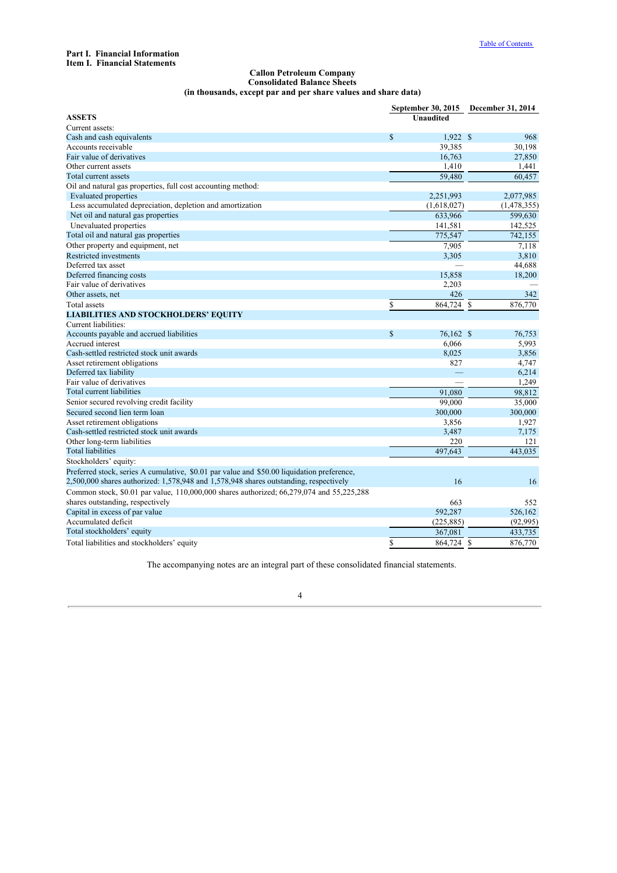#### **Part I. Financial Information Item I. Financial Statements**

#### <span id="page-3-0"></span>**Callon Petroleum Company Consolidated Balance Sheets (in thousands, except par and per share values and share data)**

| <b>ASSETS</b><br><b>Unaudited</b><br>Current assets:<br>\$<br>Cash and cash equivalents<br>$1,922$ \$<br>968<br>Accounts receivable<br>39,385<br>30,198<br>Fair value of derivatives<br>27,850<br>16,763<br>1,410<br>Other current assets<br>1,441<br>Total current assets<br>59,480<br>60,457<br>Oil and natural gas properties, full cost accounting method:<br><b>Evaluated</b> properties<br>2,251,993<br>2,077,985<br>Less accumulated depreciation, depletion and amortization<br>(1,618,027)<br>(1,478,355)<br>Net oil and natural gas properties<br>633,966<br>599,630<br>Unevaluated properties<br>142,525<br>141,581<br>Total oil and natural gas properties<br>775,547<br>742,155<br>Other property and equipment, net<br>7.905<br>7,118<br>Restricted investments<br>3.810<br>3,305<br>Deferred tax asset<br>44,688<br>Deferred financing costs<br>15.858<br>18,200<br>Fair value of derivatives<br>2,203<br>426<br>Other assets, net<br>342<br>$864,724$ \$<br>\$<br>876,770<br>Total assets<br><b>LIABILITIES AND STOCKHOLDERS' EQUITY</b><br>Current liabilities:<br>$\mathbb{S}$<br>Accounts payable and accrued liabilities<br>76,162 \$<br>76,753<br>Accrued interest<br>6,066<br>5,993<br>Cash-settled restricted stock unit awards<br>8,025<br>3,856<br>827<br>Asset retirement obligations<br>4,747<br>Deferred tax liability<br>6,214<br>Fair value of derivatives<br>1,249<br>Total current liabilities<br>98,812<br>91.080<br>Senior secured revolving credit facility<br>99.000<br>35,000<br>Secured second lien term loan<br>300,000<br>300,000<br>Asset retirement obligations<br>3,856<br>1,927<br>Cash-settled restricted stock unit awards<br>3,487<br>7,175<br>220<br>121<br>Other long-term liabilities<br><b>Total liabilities</b><br>497.643<br>443,035<br>Stockholders' equity:<br>Preferred stock, series A cumulative, \$0.01 par value and \$50.00 liquidation preference,<br>2,500,000 shares authorized: 1,578,948 and 1,578,948 shares outstanding, respectively<br>16<br>16<br>Common stock, \$0.01 par value, 110,000,000 shares authorized; 66,279,074 and 55,225,288<br>shares outstanding, respectively<br>663<br>552<br>Capital in excess of par value<br>592,287<br>526,162<br>Accumulated deficit<br>(225, 885)<br>(92, 995)<br>Total stockholders' equity<br>367,081<br>433,735<br>\$<br>864,724 \$<br>876,770<br>Total liabilities and stockholders' equity |  | September 30, 2015 | December 31, 2014 |  |
|----------------------------------------------------------------------------------------------------------------------------------------------------------------------------------------------------------------------------------------------------------------------------------------------------------------------------------------------------------------------------------------------------------------------------------------------------------------------------------------------------------------------------------------------------------------------------------------------------------------------------------------------------------------------------------------------------------------------------------------------------------------------------------------------------------------------------------------------------------------------------------------------------------------------------------------------------------------------------------------------------------------------------------------------------------------------------------------------------------------------------------------------------------------------------------------------------------------------------------------------------------------------------------------------------------------------------------------------------------------------------------------------------------------------------------------------------------------------------------------------------------------------------------------------------------------------------------------------------------------------------------------------------------------------------------------------------------------------------------------------------------------------------------------------------------------------------------------------------------------------------------------------------------------------------------------------------------------------------------------------------------------------------------------------------------------------------------------------------------------------------------------------------------------------------------------------------------------------------------------------------------------------------------------------------------------------------------------------------------------------------------------------------------------|--|--------------------|-------------------|--|
|                                                                                                                                                                                                                                                                                                                                                                                                                                                                                                                                                                                                                                                                                                                                                                                                                                                                                                                                                                                                                                                                                                                                                                                                                                                                                                                                                                                                                                                                                                                                                                                                                                                                                                                                                                                                                                                                                                                                                                                                                                                                                                                                                                                                                                                                                                                                                                                                                |  |                    |                   |  |
|                                                                                                                                                                                                                                                                                                                                                                                                                                                                                                                                                                                                                                                                                                                                                                                                                                                                                                                                                                                                                                                                                                                                                                                                                                                                                                                                                                                                                                                                                                                                                                                                                                                                                                                                                                                                                                                                                                                                                                                                                                                                                                                                                                                                                                                                                                                                                                                                                |  |                    |                   |  |
|                                                                                                                                                                                                                                                                                                                                                                                                                                                                                                                                                                                                                                                                                                                                                                                                                                                                                                                                                                                                                                                                                                                                                                                                                                                                                                                                                                                                                                                                                                                                                                                                                                                                                                                                                                                                                                                                                                                                                                                                                                                                                                                                                                                                                                                                                                                                                                                                                |  |                    |                   |  |
|                                                                                                                                                                                                                                                                                                                                                                                                                                                                                                                                                                                                                                                                                                                                                                                                                                                                                                                                                                                                                                                                                                                                                                                                                                                                                                                                                                                                                                                                                                                                                                                                                                                                                                                                                                                                                                                                                                                                                                                                                                                                                                                                                                                                                                                                                                                                                                                                                |  |                    |                   |  |
|                                                                                                                                                                                                                                                                                                                                                                                                                                                                                                                                                                                                                                                                                                                                                                                                                                                                                                                                                                                                                                                                                                                                                                                                                                                                                                                                                                                                                                                                                                                                                                                                                                                                                                                                                                                                                                                                                                                                                                                                                                                                                                                                                                                                                                                                                                                                                                                                                |  |                    |                   |  |
|                                                                                                                                                                                                                                                                                                                                                                                                                                                                                                                                                                                                                                                                                                                                                                                                                                                                                                                                                                                                                                                                                                                                                                                                                                                                                                                                                                                                                                                                                                                                                                                                                                                                                                                                                                                                                                                                                                                                                                                                                                                                                                                                                                                                                                                                                                                                                                                                                |  |                    |                   |  |
|                                                                                                                                                                                                                                                                                                                                                                                                                                                                                                                                                                                                                                                                                                                                                                                                                                                                                                                                                                                                                                                                                                                                                                                                                                                                                                                                                                                                                                                                                                                                                                                                                                                                                                                                                                                                                                                                                                                                                                                                                                                                                                                                                                                                                                                                                                                                                                                                                |  |                    |                   |  |
|                                                                                                                                                                                                                                                                                                                                                                                                                                                                                                                                                                                                                                                                                                                                                                                                                                                                                                                                                                                                                                                                                                                                                                                                                                                                                                                                                                                                                                                                                                                                                                                                                                                                                                                                                                                                                                                                                                                                                                                                                                                                                                                                                                                                                                                                                                                                                                                                                |  |                    |                   |  |
|                                                                                                                                                                                                                                                                                                                                                                                                                                                                                                                                                                                                                                                                                                                                                                                                                                                                                                                                                                                                                                                                                                                                                                                                                                                                                                                                                                                                                                                                                                                                                                                                                                                                                                                                                                                                                                                                                                                                                                                                                                                                                                                                                                                                                                                                                                                                                                                                                |  |                    |                   |  |
|                                                                                                                                                                                                                                                                                                                                                                                                                                                                                                                                                                                                                                                                                                                                                                                                                                                                                                                                                                                                                                                                                                                                                                                                                                                                                                                                                                                                                                                                                                                                                                                                                                                                                                                                                                                                                                                                                                                                                                                                                                                                                                                                                                                                                                                                                                                                                                                                                |  |                    |                   |  |
|                                                                                                                                                                                                                                                                                                                                                                                                                                                                                                                                                                                                                                                                                                                                                                                                                                                                                                                                                                                                                                                                                                                                                                                                                                                                                                                                                                                                                                                                                                                                                                                                                                                                                                                                                                                                                                                                                                                                                                                                                                                                                                                                                                                                                                                                                                                                                                                                                |  |                    |                   |  |
|                                                                                                                                                                                                                                                                                                                                                                                                                                                                                                                                                                                                                                                                                                                                                                                                                                                                                                                                                                                                                                                                                                                                                                                                                                                                                                                                                                                                                                                                                                                                                                                                                                                                                                                                                                                                                                                                                                                                                                                                                                                                                                                                                                                                                                                                                                                                                                                                                |  |                    |                   |  |
|                                                                                                                                                                                                                                                                                                                                                                                                                                                                                                                                                                                                                                                                                                                                                                                                                                                                                                                                                                                                                                                                                                                                                                                                                                                                                                                                                                                                                                                                                                                                                                                                                                                                                                                                                                                                                                                                                                                                                                                                                                                                                                                                                                                                                                                                                                                                                                                                                |  |                    |                   |  |
|                                                                                                                                                                                                                                                                                                                                                                                                                                                                                                                                                                                                                                                                                                                                                                                                                                                                                                                                                                                                                                                                                                                                                                                                                                                                                                                                                                                                                                                                                                                                                                                                                                                                                                                                                                                                                                                                                                                                                                                                                                                                                                                                                                                                                                                                                                                                                                                                                |  |                    |                   |  |
|                                                                                                                                                                                                                                                                                                                                                                                                                                                                                                                                                                                                                                                                                                                                                                                                                                                                                                                                                                                                                                                                                                                                                                                                                                                                                                                                                                                                                                                                                                                                                                                                                                                                                                                                                                                                                                                                                                                                                                                                                                                                                                                                                                                                                                                                                                                                                                                                                |  |                    |                   |  |
|                                                                                                                                                                                                                                                                                                                                                                                                                                                                                                                                                                                                                                                                                                                                                                                                                                                                                                                                                                                                                                                                                                                                                                                                                                                                                                                                                                                                                                                                                                                                                                                                                                                                                                                                                                                                                                                                                                                                                                                                                                                                                                                                                                                                                                                                                                                                                                                                                |  |                    |                   |  |
|                                                                                                                                                                                                                                                                                                                                                                                                                                                                                                                                                                                                                                                                                                                                                                                                                                                                                                                                                                                                                                                                                                                                                                                                                                                                                                                                                                                                                                                                                                                                                                                                                                                                                                                                                                                                                                                                                                                                                                                                                                                                                                                                                                                                                                                                                                                                                                                                                |  |                    |                   |  |
|                                                                                                                                                                                                                                                                                                                                                                                                                                                                                                                                                                                                                                                                                                                                                                                                                                                                                                                                                                                                                                                                                                                                                                                                                                                                                                                                                                                                                                                                                                                                                                                                                                                                                                                                                                                                                                                                                                                                                                                                                                                                                                                                                                                                                                                                                                                                                                                                                |  |                    |                   |  |
|                                                                                                                                                                                                                                                                                                                                                                                                                                                                                                                                                                                                                                                                                                                                                                                                                                                                                                                                                                                                                                                                                                                                                                                                                                                                                                                                                                                                                                                                                                                                                                                                                                                                                                                                                                                                                                                                                                                                                                                                                                                                                                                                                                                                                                                                                                                                                                                                                |  |                    |                   |  |
|                                                                                                                                                                                                                                                                                                                                                                                                                                                                                                                                                                                                                                                                                                                                                                                                                                                                                                                                                                                                                                                                                                                                                                                                                                                                                                                                                                                                                                                                                                                                                                                                                                                                                                                                                                                                                                                                                                                                                                                                                                                                                                                                                                                                                                                                                                                                                                                                                |  |                    |                   |  |
|                                                                                                                                                                                                                                                                                                                                                                                                                                                                                                                                                                                                                                                                                                                                                                                                                                                                                                                                                                                                                                                                                                                                                                                                                                                                                                                                                                                                                                                                                                                                                                                                                                                                                                                                                                                                                                                                                                                                                                                                                                                                                                                                                                                                                                                                                                                                                                                                                |  |                    |                   |  |
|                                                                                                                                                                                                                                                                                                                                                                                                                                                                                                                                                                                                                                                                                                                                                                                                                                                                                                                                                                                                                                                                                                                                                                                                                                                                                                                                                                                                                                                                                                                                                                                                                                                                                                                                                                                                                                                                                                                                                                                                                                                                                                                                                                                                                                                                                                                                                                                                                |  |                    |                   |  |
|                                                                                                                                                                                                                                                                                                                                                                                                                                                                                                                                                                                                                                                                                                                                                                                                                                                                                                                                                                                                                                                                                                                                                                                                                                                                                                                                                                                                                                                                                                                                                                                                                                                                                                                                                                                                                                                                                                                                                                                                                                                                                                                                                                                                                                                                                                                                                                                                                |  |                    |                   |  |
|                                                                                                                                                                                                                                                                                                                                                                                                                                                                                                                                                                                                                                                                                                                                                                                                                                                                                                                                                                                                                                                                                                                                                                                                                                                                                                                                                                                                                                                                                                                                                                                                                                                                                                                                                                                                                                                                                                                                                                                                                                                                                                                                                                                                                                                                                                                                                                                                                |  |                    |                   |  |
|                                                                                                                                                                                                                                                                                                                                                                                                                                                                                                                                                                                                                                                                                                                                                                                                                                                                                                                                                                                                                                                                                                                                                                                                                                                                                                                                                                                                                                                                                                                                                                                                                                                                                                                                                                                                                                                                                                                                                                                                                                                                                                                                                                                                                                                                                                                                                                                                                |  |                    |                   |  |
|                                                                                                                                                                                                                                                                                                                                                                                                                                                                                                                                                                                                                                                                                                                                                                                                                                                                                                                                                                                                                                                                                                                                                                                                                                                                                                                                                                                                                                                                                                                                                                                                                                                                                                                                                                                                                                                                                                                                                                                                                                                                                                                                                                                                                                                                                                                                                                                                                |  |                    |                   |  |
|                                                                                                                                                                                                                                                                                                                                                                                                                                                                                                                                                                                                                                                                                                                                                                                                                                                                                                                                                                                                                                                                                                                                                                                                                                                                                                                                                                                                                                                                                                                                                                                                                                                                                                                                                                                                                                                                                                                                                                                                                                                                                                                                                                                                                                                                                                                                                                                                                |  |                    |                   |  |
|                                                                                                                                                                                                                                                                                                                                                                                                                                                                                                                                                                                                                                                                                                                                                                                                                                                                                                                                                                                                                                                                                                                                                                                                                                                                                                                                                                                                                                                                                                                                                                                                                                                                                                                                                                                                                                                                                                                                                                                                                                                                                                                                                                                                                                                                                                                                                                                                                |  |                    |                   |  |
|                                                                                                                                                                                                                                                                                                                                                                                                                                                                                                                                                                                                                                                                                                                                                                                                                                                                                                                                                                                                                                                                                                                                                                                                                                                                                                                                                                                                                                                                                                                                                                                                                                                                                                                                                                                                                                                                                                                                                                                                                                                                                                                                                                                                                                                                                                                                                                                                                |  |                    |                   |  |
|                                                                                                                                                                                                                                                                                                                                                                                                                                                                                                                                                                                                                                                                                                                                                                                                                                                                                                                                                                                                                                                                                                                                                                                                                                                                                                                                                                                                                                                                                                                                                                                                                                                                                                                                                                                                                                                                                                                                                                                                                                                                                                                                                                                                                                                                                                                                                                                                                |  |                    |                   |  |
|                                                                                                                                                                                                                                                                                                                                                                                                                                                                                                                                                                                                                                                                                                                                                                                                                                                                                                                                                                                                                                                                                                                                                                                                                                                                                                                                                                                                                                                                                                                                                                                                                                                                                                                                                                                                                                                                                                                                                                                                                                                                                                                                                                                                                                                                                                                                                                                                                |  |                    |                   |  |
|                                                                                                                                                                                                                                                                                                                                                                                                                                                                                                                                                                                                                                                                                                                                                                                                                                                                                                                                                                                                                                                                                                                                                                                                                                                                                                                                                                                                                                                                                                                                                                                                                                                                                                                                                                                                                                                                                                                                                                                                                                                                                                                                                                                                                                                                                                                                                                                                                |  |                    |                   |  |
|                                                                                                                                                                                                                                                                                                                                                                                                                                                                                                                                                                                                                                                                                                                                                                                                                                                                                                                                                                                                                                                                                                                                                                                                                                                                                                                                                                                                                                                                                                                                                                                                                                                                                                                                                                                                                                                                                                                                                                                                                                                                                                                                                                                                                                                                                                                                                                                                                |  |                    |                   |  |
|                                                                                                                                                                                                                                                                                                                                                                                                                                                                                                                                                                                                                                                                                                                                                                                                                                                                                                                                                                                                                                                                                                                                                                                                                                                                                                                                                                                                                                                                                                                                                                                                                                                                                                                                                                                                                                                                                                                                                                                                                                                                                                                                                                                                                                                                                                                                                                                                                |  |                    |                   |  |
|                                                                                                                                                                                                                                                                                                                                                                                                                                                                                                                                                                                                                                                                                                                                                                                                                                                                                                                                                                                                                                                                                                                                                                                                                                                                                                                                                                                                                                                                                                                                                                                                                                                                                                                                                                                                                                                                                                                                                                                                                                                                                                                                                                                                                                                                                                                                                                                                                |  |                    |                   |  |
|                                                                                                                                                                                                                                                                                                                                                                                                                                                                                                                                                                                                                                                                                                                                                                                                                                                                                                                                                                                                                                                                                                                                                                                                                                                                                                                                                                                                                                                                                                                                                                                                                                                                                                                                                                                                                                                                                                                                                                                                                                                                                                                                                                                                                                                                                                                                                                                                                |  |                    |                   |  |
|                                                                                                                                                                                                                                                                                                                                                                                                                                                                                                                                                                                                                                                                                                                                                                                                                                                                                                                                                                                                                                                                                                                                                                                                                                                                                                                                                                                                                                                                                                                                                                                                                                                                                                                                                                                                                                                                                                                                                                                                                                                                                                                                                                                                                                                                                                                                                                                                                |  |                    |                   |  |
|                                                                                                                                                                                                                                                                                                                                                                                                                                                                                                                                                                                                                                                                                                                                                                                                                                                                                                                                                                                                                                                                                                                                                                                                                                                                                                                                                                                                                                                                                                                                                                                                                                                                                                                                                                                                                                                                                                                                                                                                                                                                                                                                                                                                                                                                                                                                                                                                                |  |                    |                   |  |
|                                                                                                                                                                                                                                                                                                                                                                                                                                                                                                                                                                                                                                                                                                                                                                                                                                                                                                                                                                                                                                                                                                                                                                                                                                                                                                                                                                                                                                                                                                                                                                                                                                                                                                                                                                                                                                                                                                                                                                                                                                                                                                                                                                                                                                                                                                                                                                                                                |  |                    |                   |  |
|                                                                                                                                                                                                                                                                                                                                                                                                                                                                                                                                                                                                                                                                                                                                                                                                                                                                                                                                                                                                                                                                                                                                                                                                                                                                                                                                                                                                                                                                                                                                                                                                                                                                                                                                                                                                                                                                                                                                                                                                                                                                                                                                                                                                                                                                                                                                                                                                                |  |                    |                   |  |
|                                                                                                                                                                                                                                                                                                                                                                                                                                                                                                                                                                                                                                                                                                                                                                                                                                                                                                                                                                                                                                                                                                                                                                                                                                                                                                                                                                                                                                                                                                                                                                                                                                                                                                                                                                                                                                                                                                                                                                                                                                                                                                                                                                                                                                                                                                                                                                                                                |  |                    |                   |  |
|                                                                                                                                                                                                                                                                                                                                                                                                                                                                                                                                                                                                                                                                                                                                                                                                                                                                                                                                                                                                                                                                                                                                                                                                                                                                                                                                                                                                                                                                                                                                                                                                                                                                                                                                                                                                                                                                                                                                                                                                                                                                                                                                                                                                                                                                                                                                                                                                                |  |                    |                   |  |
|                                                                                                                                                                                                                                                                                                                                                                                                                                                                                                                                                                                                                                                                                                                                                                                                                                                                                                                                                                                                                                                                                                                                                                                                                                                                                                                                                                                                                                                                                                                                                                                                                                                                                                                                                                                                                                                                                                                                                                                                                                                                                                                                                                                                                                                                                                                                                                                                                |  |                    |                   |  |
|                                                                                                                                                                                                                                                                                                                                                                                                                                                                                                                                                                                                                                                                                                                                                                                                                                                                                                                                                                                                                                                                                                                                                                                                                                                                                                                                                                                                                                                                                                                                                                                                                                                                                                                                                                                                                                                                                                                                                                                                                                                                                                                                                                                                                                                                                                                                                                                                                |  |                    |                   |  |

The accompanying notes are an integral part of these consolidated financial statements.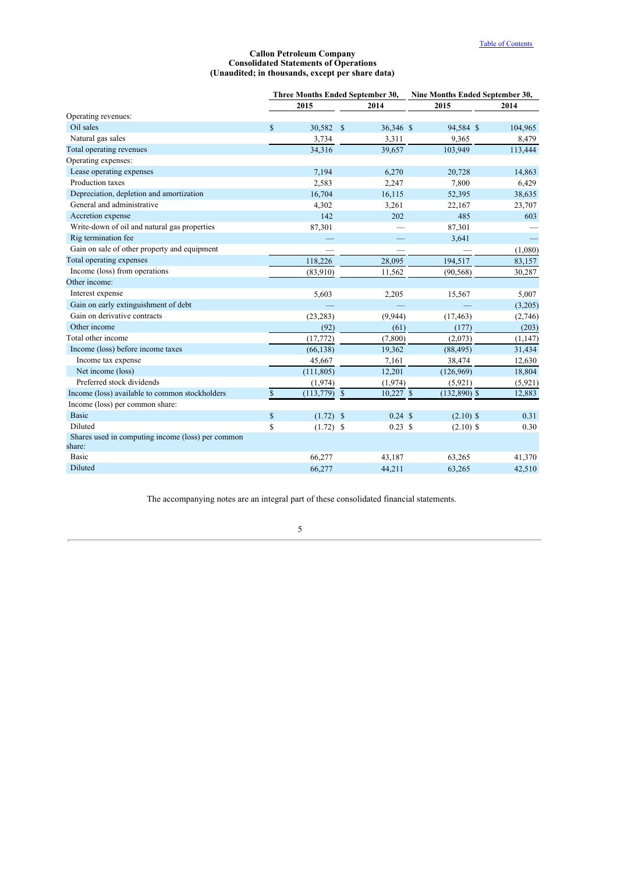#### <span id="page-4-0"></span>**Callon Petroleum Company Consolidated Statements of Operations (Unaudited; in thousands, except per share data)**

|                                                             | Three Months Ended September 30, |              | Nine Months Ended September 30, |  |                |          |
|-------------------------------------------------------------|----------------------------------|--------------|---------------------------------|--|----------------|----------|
|                                                             | 2015                             |              | 2014                            |  | 2015           | 2014     |
| Operating revenues:                                         |                                  |              |                                 |  |                |          |
| Oil sales                                                   | \$<br>30,582                     | $\mathbf{s}$ | 36,346 \$                       |  | 94,584 \$      | 104,965  |
| Natural gas sales                                           | 3,734                            |              | 3,311                           |  | 9,365          | 8,479    |
| Total operating revenues                                    | 34,316                           |              | 39,657                          |  | 103,949        | 113,444  |
| Operating expenses:                                         |                                  |              |                                 |  |                |          |
| Lease operating expenses                                    | 7,194                            |              | 6,270                           |  | 20,728         | 14,863   |
| Production taxes                                            | 2,583                            |              | 2,247                           |  | 7,800          | 6,429    |
| Depreciation, depletion and amortization                    | 16,704                           |              | 16,115                          |  | 52,395         | 38,635   |
| General and administrative                                  | 4,302                            |              | 3,261                           |  | 22,167         | 23,707   |
| Accretion expense                                           | 142                              |              | 202                             |  | 485            | 603      |
| Write-down of oil and natural gas properties                | 87,301                           |              |                                 |  | 87,301         |          |
| Rig termination fee                                         |                                  |              |                                 |  | 3,641          |          |
| Gain on sale of other property and equipment                |                                  |              |                                 |  |                | (1,080)  |
| Total operating expenses                                    | 118,226                          |              | 28,095                          |  | 194,517        | 83,157   |
| Income (loss) from operations                               | (83,910)                         |              | 11,562                          |  | (90, 568)      | 30,287   |
| Other income:                                               |                                  |              |                                 |  |                |          |
| Interest expense                                            | 5,603                            |              | 2,205                           |  | 15,567         | 5,007    |
| Gain on early extinguishment of debt                        |                                  |              |                                 |  |                | (3,205)  |
| Gain on derivative contracts                                | (23, 283)                        |              | (9, 944)                        |  | (17, 463)      | (2,746)  |
| Other income                                                | (92)                             |              | (61)                            |  | (177)          | (203)    |
| Total other income                                          | (17, 772)                        |              | (7,800)                         |  | (2,073)        | (1, 147) |
| Income (loss) before income taxes                           | (66, 138)                        |              | 19,362                          |  | (88, 495)      | 31,434   |
| Income tax expense                                          | 45,667                           |              | 7,161                           |  | 38,474         | 12,630   |
| Net income (loss)                                           | (111, 805)                       |              | 12,201                          |  | (126,969)      | 18,804   |
| Preferred stock dividends                                   | (1,974)                          |              | (1,974)                         |  | (5,921)        | (5,921)  |
| Income (loss) available to common stockholders              | \$<br>$(113,779)$ \$             |              | $10,227$ \$                     |  | $(132,890)$ \$ | 12,883   |
| Income (loss) per common share:                             |                                  |              |                                 |  |                |          |
| <b>Basic</b>                                                | \$<br>$(1.72)$ \$                |              | 0.24S                           |  | $(2.10)$ \$    | 0.31     |
| Diluted                                                     | \$<br>$(1.72)$ \$                |              | $0.23$ \$                       |  | $(2.10)$ \$    | 0.30     |
| Shares used in computing income (loss) per common<br>share: |                                  |              |                                 |  |                |          |
| <b>Basic</b>                                                | 66,277                           |              | 43,187                          |  | 63,265         | 41,370   |
| Diluted                                                     | 66,277                           |              | 44,211                          |  | 63.265         | 42,510   |

The accompanying notes are an integral part of these consolidated financial statements.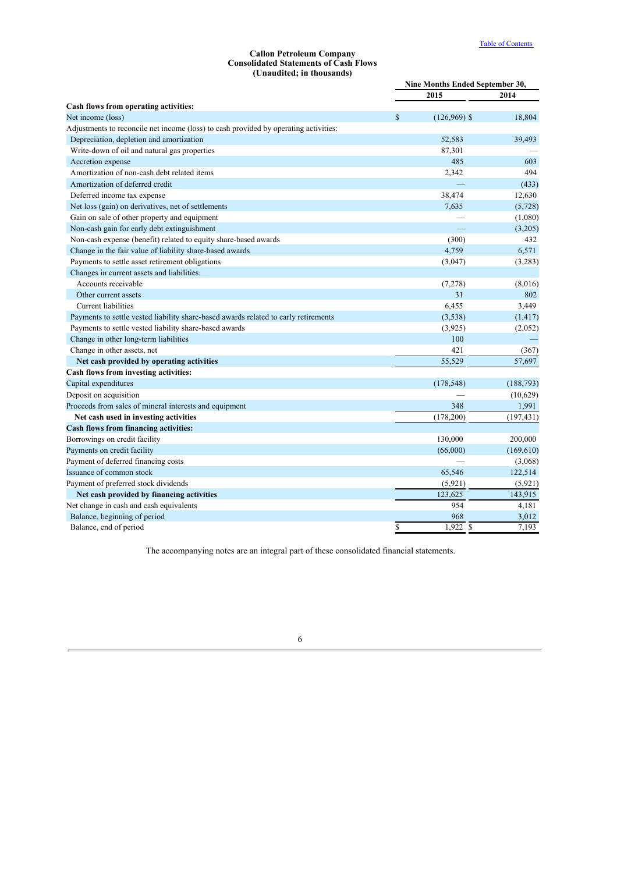#### <span id="page-5-0"></span>**Callon Petroleum Company Consolidated Statements of Cash Flows (Unaudited; in thousands)**

|                                                                                      |    | Nine Months Ended September 30, |            |
|--------------------------------------------------------------------------------------|----|---------------------------------|------------|
|                                                                                      |    | 2015                            | 2014       |
| Cash flows from operating activities:                                                |    |                                 |            |
| Net income (loss)                                                                    | \$ | $(126,969)$ \$                  | 18,804     |
| Adjustments to reconcile net income (loss) to cash provided by operating activities: |    |                                 |            |
| Depreciation, depletion and amortization                                             |    | 52,583                          | 39,493     |
| Write-down of oil and natural gas properties                                         |    | 87,301                          |            |
| Accretion expense                                                                    |    | 485                             | 603        |
| Amortization of non-cash debt related items                                          |    | 2,342                           | 494        |
| Amortization of deferred credit                                                      |    |                                 | (433)      |
| Deferred income tax expense                                                          |    | 38,474                          | 12,630     |
| Net loss (gain) on derivatives, net of settlements                                   |    | 7,635                           | (5,728)    |
| Gain on sale of other property and equipment                                         |    |                                 | (1,080)    |
| Non-cash gain for early debt extinguishment                                          |    |                                 | (3,205)    |
| Non-cash expense (benefit) related to equity share-based awards                      |    | (300)                           | 432        |
| Change in the fair value of liability share-based awards                             |    | 4,759                           | 6,571      |
| Payments to settle asset retirement obligations                                      |    | (3,047)                         | (3,283)    |
| Changes in current assets and liabilities:                                           |    |                                 |            |
| Accounts receivable                                                                  |    | (7,278)                         | (8,016)    |
| Other current assets                                                                 |    | 31                              | 802        |
| Current liabilities                                                                  |    | 6,455                           | 3,449      |
| Payments to settle vested liability share-based awards related to early retirements  |    | (3,538)                         | (1, 417)   |
| Payments to settle vested liability share-based awards                               |    | (3,925)                         | (2,052)    |
| Change in other long-term liabilities                                                |    | 100                             |            |
| Change in other assets, net                                                          |    | 421                             | (367)      |
| Net cash provided by operating activities                                            |    | 55.529                          | 57,697     |
| Cash flows from investing activities:                                                |    |                                 |            |
| Capital expenditures                                                                 |    | (178, 548)                      | (188, 793) |
| Deposit on acquisition                                                               |    |                                 | (10,629)   |
| Proceeds from sales of mineral interests and equipment                               |    | 348                             | 1,991      |
| Net cash used in investing activities                                                |    | (178, 200)                      | (197, 431) |
| Cash flows from financing activities:                                                |    |                                 |            |
| Borrowings on credit facility                                                        |    | 130,000                         | 200,000    |
| Payments on credit facility                                                          |    | (66,000)                        | (169,610)  |
| Payment of deferred financing costs                                                  |    |                                 | (3,068)    |
| Issuance of common stock                                                             |    | 65,546                          | 122,514    |
| Payment of preferred stock dividends                                                 |    | (5,921)                         | (5,921)    |
| Net cash provided by financing activities                                            |    | 123,625                         | 143,915    |
| Net change in cash and cash equivalents                                              |    | 954                             | 4,181      |
| Balance, beginning of period                                                         |    | 968                             | 3,012      |
| Balance, end of period                                                               | \$ | $1.922$ \$                      | 7,193      |

The accompanying notes are an integral part of these consolidated financial statements.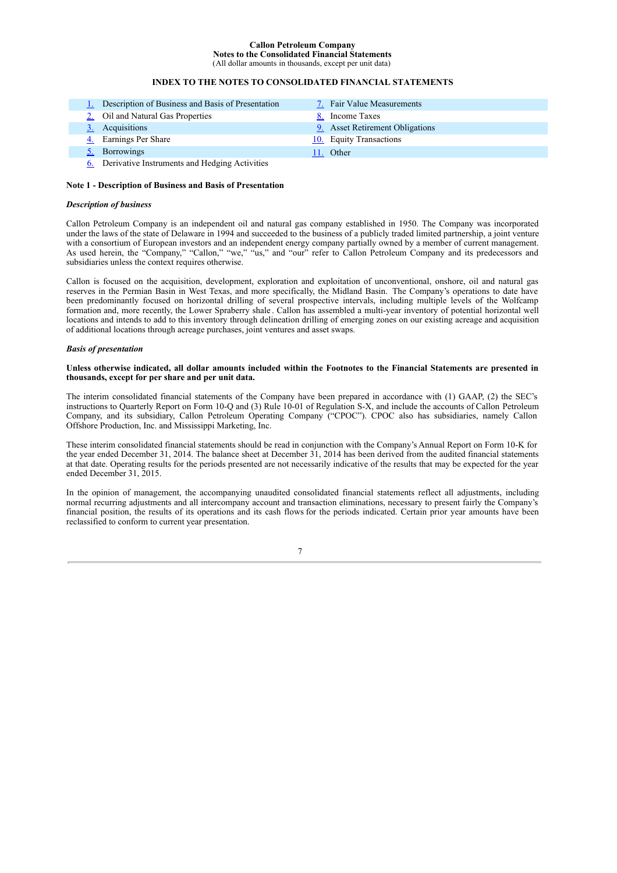#### <span id="page-6-0"></span>**Callon Petroleum Company Notes to the Consolidated Financial Statements** (All dollar amounts in thousands, except per unit data)

## **INDEX TO THE NOTES TO CONSOLIDATED FINANCIAL STATEMENTS**

|    | Description of Business and Basis of Presentation | 7. Fair Value Measurements      |
|----|---------------------------------------------------|---------------------------------|
|    | 2. Oil and Natural Gas Properties                 | 8. Income Taxes                 |
|    | 3. Acquisitions                                   | 9. Asset Retirement Obligations |
| 4. | Earnings Per Share                                | 10. Equity Transactions         |
|    | <b>Borrowings</b>                                 | 11. Other                       |
|    |                                                   |                                 |

[6.](#page-0-0) Derivative Instruments and Hedging Activities

#### **Note 1 - Description of Business and Basis of Presentation**

#### *Description of business*

Callon Petroleum Company is an independent oil and natural gas company established in 1950. The Company was incorporated under the laws of the state of Delaware in 1994 and succeeded to the business of a publicly traded limited partnership, a joint venture with a consortium of European investors and an independent energy company partially owned by a member of current management. As used herein, the "Company," "Callon," "we," "us," and "our" refer to Callon Petroleum Company and its predecessors and subsidiaries unless the context requires otherwise.

Callon is focused on the acquisition, development, exploration and exploitation of unconventional, onshore, oil and natural gas reserves in the Permian Basin in West Texas, and more specifically, the Midland Basin. The Company's operations to date have been predominantly focused on horizontal drilling of several prospective intervals, including multiple levels of the Wolfcamp formation and, more recently, the Lower Spraberry shale . Callon has assembled a multi-year inventory of potential horizontal well locations and intends to add to this inventory through delineation drilling of emerging zones on our existing acreage and acquisition of additional locations through acreage purchases, joint ventures and asset swaps.

#### *Basis of presentation*

#### Unless otherwise indicated, all dollar amounts included within the Footnotes to the Financial Statements are presented in **thousands, except for per share and per unit data.**

The interim consolidated financial statements of the Company have been prepared in accordance with (1) GAAP, (2) the SEC's instructions to Quarterly Report on Form 10-Q and (3) Rule 10-01 of Regulation S-X, and include the accounts of Callon Petroleum Company, and its subsidiary, Callon Petroleum Operating Company ("CPOC"). CPOC also has subsidiaries, namely Callon Offshore Production, Inc. and Mississippi Marketing, Inc.

These interim consolidated financial statements should be read in conjunction with the Company's Annual Report on Form 10-K for the year ended December 31, 2014. The balance sheet at December 31, 2014 has been derived from the audited financial statements at that date. Operating results for the periods presented are not necessarily indicative of the results that may be expected for the year ended December 31, 2015.

In the opinion of management, the accompanying unaudited consolidated financial statements reflect all adjustments, including normal recurring adjustments and all intercompany account and transaction eliminations, necessary to present fairly the Company's financial position, the results of its operations and its cash flows for the periods indicated. Certain prior year amounts have been reclassified to conform to current year presentation.

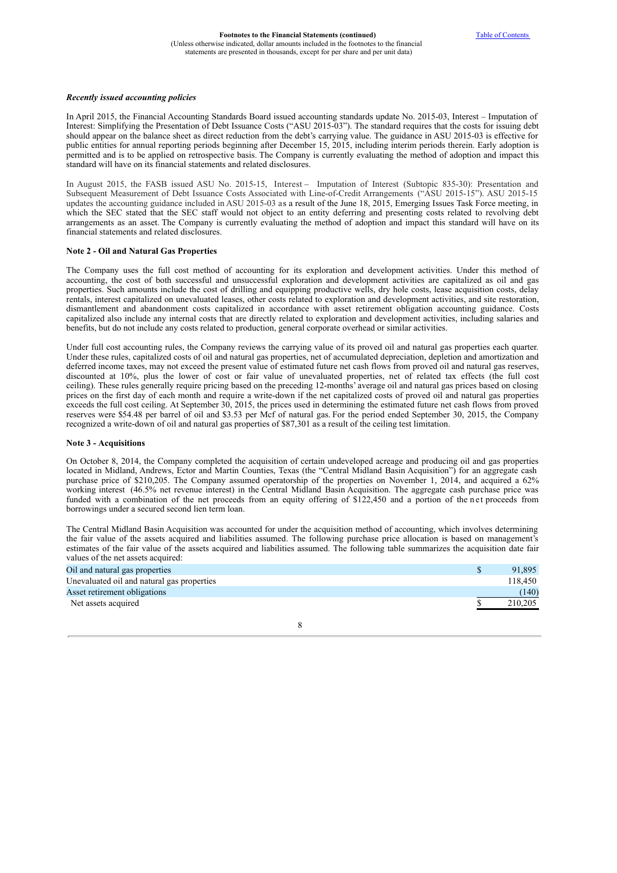#### *Recently issued accounting policies*

In April 2015, the Financial Accounting Standards Board issued accounting standards update No. 2015-03, Interest – Imputation of Interest: Simplifying the Presentation of Debt Issuance Costs ("ASU 2015-03"). The standard requires that the costs for issuing debt should appear on the balance sheet as direct reduction from the debt's carrying value. The guidance in ASU 2015-03 is effective for public entities for annual reporting periods beginning after December 15, 2015, including interim periods therein. Early adoption is permitted and is to be applied on retrospective basis. The Company is currently evaluating the method of adoption and impact this standard will have on its financial statements and related disclosures.

In August 2015, the FASB issued ASU No. 2015-15. Interest – Imputation of Interest (Subtopic 835-30): Presentation and Subsequent Measurement of Debt Issuance Costs Associated with Line-of-Credit Arrangements ("ASU 2015-15"). ASU 2015-15 updates the accounting guidance included in ASU 2015-03 as a result of the June 18, 2015, Emerging Issues Task Force meeting, in which the SEC stated that the SEC staff would not object to an entity deferring and presenting costs related to revolving debt arrangements as an asset. The Company is currently evaluating the method of adoption and impact this standard will have on its financial statements and related disclosures.

#### <span id="page-7-0"></span>**Note 2 - Oil and Natural Gas Properties**

The Company uses the full cost method of accounting for its exploration and development activities. Under this method of accounting, the cost of both successful and unsuccessful exploration and development activities are capitalized as oil and gas properties. Such amounts include the cost of drilling and equipping productive wells, dry hole costs, lease acquisition costs, delay rentals, interest capitalized on unevaluated leases, other costs related to exploration and development activities, and site restoration, dismantlement and abandonment costs capitalized in accordance with asset retirement obligation accounting guidance. Costs capitalized also include any internal costs that are directly related to exploration and development activities, including salaries and benefits, but do not include any costs related to production, general corporate overhead or similar activities.

Under full cost accounting rules, the Company reviews the carrying value of its proved oil and natural gas properties each quarter. Under these rules, capitalized costs of oil and natural gas properties, net of accumulated depreciation, depletion and amortization and deferred income taxes, may not exceed the present value of estimated future net cash flows from proved oil and natural gas reserves, discounted at 10%, plus the lower of cost or fair value of unevaluated properties, net of related tax effects (the full cost ceiling). These rules generally require pricing based on the preceding 12-months' average oil and natural gas prices based on closing prices on the first day of each month and require a write-down if the net capitalized costs of proved oil and natural gas properties exceeds the full cost ceiling. At September 30, 2015, the prices used in determining the estimated future net cash flows from proved reserves were \$54.48 per barrel of oil and \$3.53 per Mcf of natural gas. For the period ended September 30, 2015, the Company recognized a write-down of oil and natural gas properties of \$87,301 as a result of the ceiling test limitation.

#### <span id="page-7-1"></span>**Note 3 - Acquisitions**

On October 8, 2014, the Company completed the acquisition of certain undeveloped acreage and producing oil and gas properties located in Midland, Andrews, Ector and Martin Counties, Texas (the "Central Midland Basin Acquisition") for an aggregate cash purchase price of \$210,205. The Company assumed operatorship of the properties on November 1, 2014, and acquired a 62% working interest (46.5% net revenue interest) in the Central Midland Basin Acquisition. The aggregate cash purchase price was funded with a combination of the net proceeds from an equity offering of \$122,450 and a portion of the net proceeds from borrowings under a secured second lien term loan.

The Central Midland Basin Acquisition was accounted for under the acquisition method of accounting, which involves determining the fair value of the assets acquired and liabilities assumed. The following purchase price allocation is based on management's estimates of the fair value of the assets acquired and liabilities assumed. The following table summarizes the acquisition date fair values of the net assets acquired:

| Oil and natural gas properties             | 91.895  |
|--------------------------------------------|---------|
| Unevaluated oil and natural gas properties | 118.450 |
| Asset retirement obligations               | (140)   |
| Net assets acquired                        | 210,205 |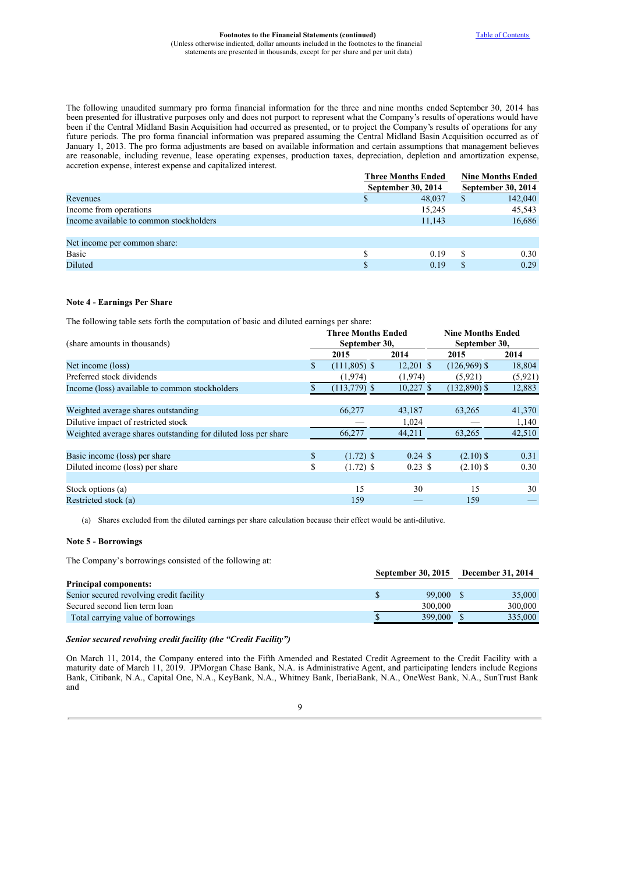#### (Unless otherwise indicated, dollar amounts included in the footnotes to the financial statements are presented in thousands, except for per share and per unit data)

The following unaudited summary pro forma financial information for the three and nine months ended September 30, 2014 has been presented for illustrative purposes only and does not purport to represent what the Company's results of operations would have been if the Central Midland Basin Acquisition had occurred as presented, or to project the Company's results of operations for any future periods. The pro forma financial information was prepared assuming the Central Midland Basin Acquisition occurred as of January 1, 2013. The pro forma adjustments are based on available information and certain assumptions that management believes are reasonable, including revenue, lease operating expenses, production taxes, depreciation, depletion and amortization expense, accretion expense, interest expense and capitalized interest.

|                                         |                    | <b>Three Months Ended</b> |  |         |
|-----------------------------------------|--------------------|---------------------------|--|---------|
|                                         | September 30, 2014 | September 30, 2014        |  |         |
| Revenues                                |                    | 48,037                    |  | 142,040 |
| Income from operations                  |                    | 15.245                    |  | 45,543  |
| Income available to common stockholders |                    | 11,143                    |  | 16,686  |
|                                         |                    |                           |  |         |
| Net income per common share:            |                    |                           |  |         |
| Basic                                   |                    | 0.19                      |  | 0.30    |
| Diluted                                 |                    | 0.19                      |  | 0.29    |

#### **Note 4 - Earnings Per Share**

The following table sets forth the computation of basic and diluted earnings per share:

| (share amounts in thousands)                                   |    | <b>Three Months Ended</b><br>September 30, |                    | <b>Nine Months Ended</b><br>September 30, |         |  |
|----------------------------------------------------------------|----|--------------------------------------------|--------------------|-------------------------------------------|---------|--|
|                                                                |    | 2015                                       | 2014               | 2015                                      | 2014    |  |
| Net income (loss)                                              |    | $(111,805)$ \$                             | $12,201$ \$        | $(126,969)$ \$                            | 18,804  |  |
| Preferred stock dividends                                      |    | (1,974)                                    | (1,974)            | (5,921)                                   | (5,921) |  |
| Income (loss) available to common stockholders                 |    | $(113,779)$ \$                             | $10,227$ \$        | $(132,890)$ \$                            | 12,883  |  |
|                                                                |    |                                            |                    |                                           |         |  |
| Weighted average shares outstanding                            |    | 66,277                                     | 43,187             | 63,265                                    | 41,370  |  |
| Dilutive impact of restricted stock                            |    |                                            | 1,024              |                                           | 1,140   |  |
| Weighted average shares outstanding for diluted loss per share |    | 66,277                                     | 44,211             | 63,265                                    | 42,510  |  |
|                                                                |    |                                            |                    |                                           |         |  |
| Basic income (loss) per share                                  | \$ | $(1.72)$ \$                                | $0.24 \text{ }$ \$ | $(2.10)$ \$                               | 0.31    |  |
| Diluted income (loss) per share                                | \$ | $(1.72)$ \$                                | 0.23 S             | $(2.10)$ \$                               | 0.30    |  |
|                                                                |    |                                            |                    |                                           |         |  |
| Stock options (a)                                              |    | 15                                         | 30                 | 15                                        | 30      |  |
| Restricted stock (a)                                           |    | 159                                        |                    | 159                                       |         |  |

(a) Shares excluded from the diluted earnings per share calculation because their effect would be anti-dilutive.

#### **Note 5 - Borrowings**

The Company's borrowings consisted of the following at:

|                                          | September 30, 2015 December 31, 2014 |         |  |         |  |  |
|------------------------------------------|--------------------------------------|---------|--|---------|--|--|
| <b>Principal components:</b>             |                                      |         |  |         |  |  |
| Senior secured revolving credit facility |                                      | 99.000  |  | 35,000  |  |  |
| Secured second lien term loan            |                                      | 300,000 |  | 300,000 |  |  |
| Total carrying value of borrowings       |                                      | 399,000 |  | 335,000 |  |  |

#### *Senior secured revolving credit facility (the "Credit Facility")*

On March 11, 2014, the Company entered into the Fifth Amended and Restated Credit Agreement to the Credit Facility with a maturity date of March 11, 2019. JPMorgan Chase Bank, N.A. is Administrative Agent, and participating lenders include Regions Bank, Citibank, N.A., Capital One, N.A., KeyBank, N.A., Whitney Bank, IberiaBank, N.A., OneWest Bank, N.A., SunTrust Bank and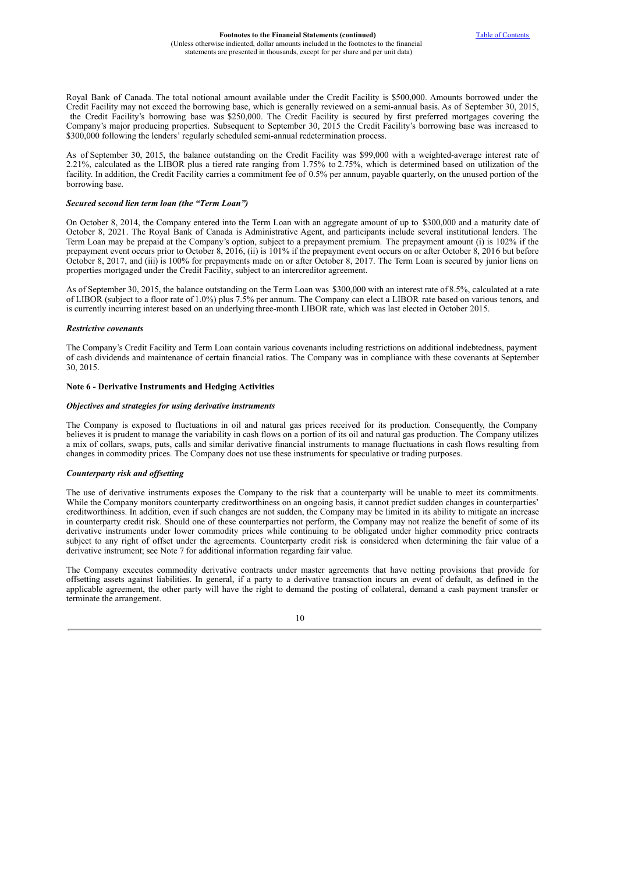Royal Bank of Canada. The total notional amount available under the Credit Facility is \$500,000. Amounts borrowed under the Credit Facility may not exceed the borrowing base, which is generally reviewed on a semi-annual basis. As of September 30, 2015, the Credit Facility's borrowing base was \$250,000. The Credit Facility is secured by first preferred mortgages covering the Company's major producing properties. Subsequent to September 30, 2015 the Credit Facility's borrowing base was increased to \$300,000 following the lenders' regularly scheduled semi-annual redetermination process.

As of September 30, 2015, the balance outstanding on the Credit Facility was \$99,000 with a weighted-average interest rate of 2.21%, calculated as the LIBOR plus a tiered rate ranging from 1.75% to 2.75%, which is determined based on utilization of the facility. In addition, the Credit Facility carries a commitment fee of 0.5% per annum, payable quarterly, on the unused portion of the borrowing base.

#### *Secured second lien term loan (the "Term Loan")*

On October 8, 2014, the Company entered into the Term Loan with an aggregate amount of up to \$300,000 and a maturity date of October 8, 2021. The Royal Bank of Canada is Administrative Agent, and participants include several institutional lenders. The Term Loan may be prepaid at the Company's option, subject to a prepayment premium. The prepayment amount (i) is 102% if the prepayment event occurs prior to October 8, 2016, (ii) is 101% if the prepayment event occurs on or after October 8, 2016 but before October 8, 2017, and (iii) is 100% for prepayments made on or after October 8, 2017. The Term Loan is secured by junior liens on properties mortgaged under the Credit Facility, subject to an intercreditor agreement.

As of September 30, 2015, the balance outstanding on the Term Loan was \$300,000 with an interest rate of 8.5%, calculated at a rate of LIBOR (subject to a floor rate of 1.0%) plus 7.5% per annum. The Company can elect a LIBOR rate based on various tenors, and is currently incurring interest based on an underlying three-month LIBOR rate, which was last elected in October 2015.

#### *Restrictive covenants*

The Company's Credit Facility and Term Loan contain various covenants including restrictions on additional indebtedness, payment of cash dividends and maintenance of certain financial ratios. The Company was in compliance with these covenants at September 30, 2015.

#### **Note 6 - Derivative Instruments and Hedging Activities**

#### *Objectives and strategies for using derivative instruments*

The Company is exposed to fluctuations in oil and natural gas prices received for its production. Consequently, the Company believes it is prudent to manage the variability in cash flows on a portion of its oil and natural gas production. The Company utilizes a mix of collars, swaps, puts, calls and similar derivative financial instruments to manage fluctuations in cash flows resulting from changes in commodity prices. The Company does not use these instruments for speculative or trading purposes.

#### *Counterparty risk and of setting*

The use of derivative instruments exposes the Company to the risk that a counterparty will be unable to meet its commitments. While the Company monitors counterparty creditworthiness on an ongoing basis, it cannot predict sudden changes in counterparties' creditworthiness. In addition, even if such changes are not sudden, the Company may be limited in its ability to mitigate an increase in counterparty credit risk. Should one of these counterparties not perform, the Company may not realize the benefit of some of its derivative instruments under lower commodity prices while continuing to be obligated under higher commodity price contracts subject to any right of offset under the agreements. Counterparty credit risk is considered when determining the fair value of a derivative instrument; see Note 7 for additional information regarding fair value.

The Company executes commodity derivative contracts under master agreements that have netting provisions that provide for offsetting assets against liabilities. In general, if a party to a derivative transaction incurs an event of default, as defined in the applicable agreement, the other party will have the right to demand the posting of collateral, demand a cash payment transfer or terminate the arrangement.

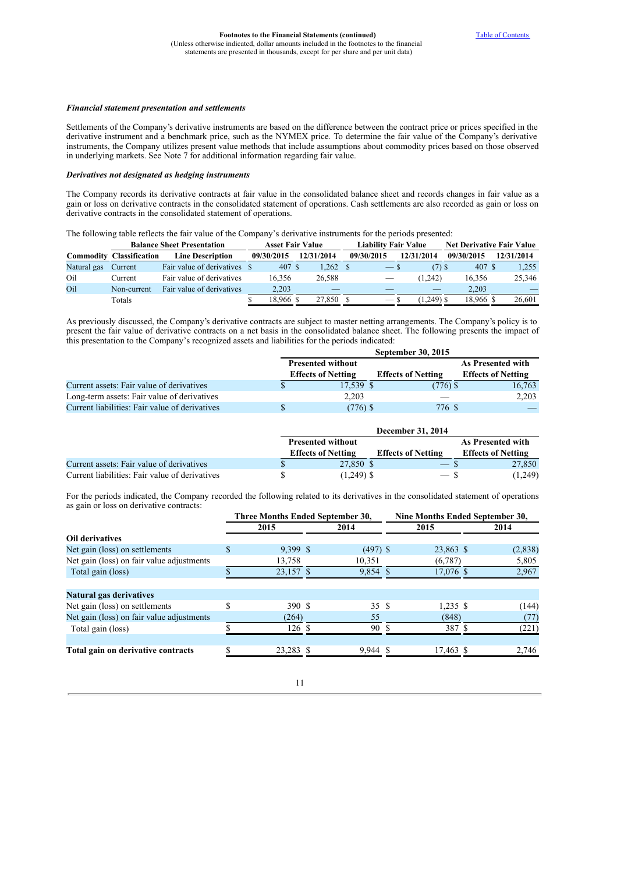#### *Financial statement presentation and settlements*

Settlements of the Company's derivative instruments are based on the difference between the contract price or prices specified in the derivative instrument and a benchmark price, such as the NYMEX price. To determine the fair value of the Company's derivative instruments, the Company utilizes present value methods that include assumptions about commodity prices based on those observed in underlying markets. See Note 7 for additional information regarding fair value.

#### *Derivatives not designated as hedging instruments*

The Company records its derivative contracts at fair value in the consolidated balance sheet and records changes in fair value as a gain or loss on derivative contracts in the consolidated statement of operations. Cash settlements are also recorded as gain or loss on derivative contracts in the consolidated statement of operations.

The following table reflects the fair value of the Company's derivative instruments for the periods presented:

|             |                                 | <b>Balance Sheet Presentation</b> | <b>Asset Fair Value</b> |            |  |                          | <b>Liability Fair Value</b> |            |            |              | <b>Net Derivative Fair Value</b> |        |            |
|-------------|---------------------------------|-----------------------------------|-------------------------|------------|--|--------------------------|-----------------------------|------------|------------|--------------|----------------------------------|--------|------------|
|             | <b>Commodity Classification</b> | <b>Line Description</b>           |                         | 09/30/2015 |  | 12/31/2014               |                             | 09/30/2015 | 12/31/2014 |              | 09/30/2015                       |        | 12/31/2014 |
| Natural gas | Current                         | Fair value of derivatives \$      |                         | 407 \$     |  | 1.262                    |                             | $-$ \$     |            | $(7)$ \$     |                                  | 407 \$ | 1,255      |
| Oil         | Current                         | Fair value of derivatives         |                         | 16.356     |  | 26,588                   |                             |            |            | (1.242)      | 16.356                           |        | 25,346     |
| Oil         | Non-current                     | Fair value of derivatives         |                         | 2.203      |  | $\overline{\phantom{a}}$ |                             |            |            | _            | 2.203                            |        |            |
|             | Totals                          |                                   |                         | 18.966 \$  |  | 27,850 \$                |                             | — S        |            | $(1.249)$ \$ | 18.966 \$                        |        | 26.601     |

As previously discussed, the Company's derivative contracts are subject to master netting arrangements. The Company's policy is to present the fair value of derivative contracts on a net basis in the consolidated balance sheet. The following presents the impact of this presentation to the Company's recognized assets and liabilities for the periods indicated:

|                                                | <b>September 30, 2015</b> |                           |                           |  |  |  |
|------------------------------------------------|---------------------------|---------------------------|---------------------------|--|--|--|
|                                                | <b>Presented without</b>  | As Presented with         |                           |  |  |  |
|                                                | <b>Effects of Netting</b> | <b>Effects of Netting</b> | <b>Effects of Netting</b> |  |  |  |
| Current assets: Fair value of derivatives      | 17,539 \$                 | $(776)$ \$                | 16,763                    |  |  |  |
| Long-term assets: Fair value of derivatives    | 2.203                     |                           | 2.203                     |  |  |  |
| Current liabilities: Fair value of derivatives | $(776)$ \$                | 776 \$                    |                           |  |  |  |

|                                                | <b>December 31, 2014</b> |                           |                           |                           |  |
|------------------------------------------------|--------------------------|---------------------------|---------------------------|---------------------------|--|
|                                                | <b>Presented without</b> |                           |                           | As Presented with         |  |
|                                                |                          | <b>Effects of Netting</b> | <b>Effects of Netting</b> | <b>Effects of Netting</b> |  |
| Current assets: Fair value of derivatives      |                          | 27,850 \$                 |                           | 27,850                    |  |
| Current liabilities: Fair value of derivatives |                          | $(1,249)$ \$              | $-$ S                     | (1,249)                   |  |

For the periods indicated, the Company recorded the following related to its derivatives in the consolidated statement of operations as gain or loss on derivative contracts:

|                                           | Three Months Ended September 30, |            |  | Nine Months Ended September 30, |  |            |  |         |
|-------------------------------------------|----------------------------------|------------|--|---------------------------------|--|------------|--|---------|
|                                           |                                  | 2015       |  | 2014                            |  | 2015       |  | 2014    |
| <b>Oil derivatives</b>                    |                                  |            |  |                                 |  |            |  |         |
| Net gain (loss) on settlements            | S                                | $9,399$ \$ |  | $(497)$ \$                      |  | 23,863 \$  |  | (2,838) |
| Net gain (loss) on fair value adjustments |                                  | 13.758     |  | 10,351                          |  | (6,787)    |  | 5,805   |
| Total gain (loss)                         |                                  | 23,157 \$  |  | 9,854 \$                        |  | 17,076 \$  |  | 2,967   |
| Natural gas derivatives                   |                                  |            |  |                                 |  |            |  |         |
| Net gain (loss) on settlements            |                                  | 390 S      |  | 35 S                            |  | $1.235$ \$ |  | (144)   |
| Net gain (loss) on fair value adjustments |                                  | (264)      |  | 55                              |  | (848)      |  | (77)    |
| Total gain (loss)                         |                                  | 126S       |  | 90 \$                           |  | 387 \$     |  | (221)   |
| Total gain on derivative contracts        |                                  | 23,283 \$  |  | $9,944$ \$                      |  | 17,463 \$  |  | 2,746   |

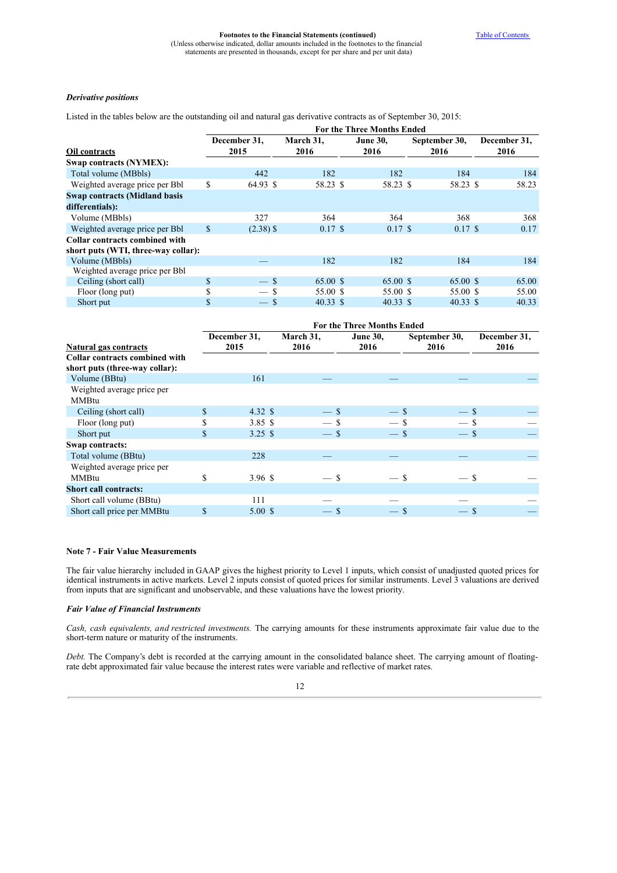## *Derivative positions*

Listed in the tables below are the outstanding oil and natural gas derivative contracts as of September 30, 2015:

|                                       |    | For the Three Months Ended |                             |  |                             |                             |              |  |  |  |  |
|---------------------------------------|----|----------------------------|-----------------------------|--|-----------------------------|-----------------------------|--------------|--|--|--|--|
|                                       |    | December 31,               | March 31,                   |  | <b>June 30,</b>             | September 30,               | December 31, |  |  |  |  |
| Oil contracts                         |    | 2015                       | 2016                        |  | 2016                        | 2016                        | 2016         |  |  |  |  |
| <b>Swap contracts (NYMEX):</b>        |    |                            |                             |  |                             |                             |              |  |  |  |  |
| Total volume (MBbls)                  |    | 442                        | 182                         |  | 182                         | 184                         | 184          |  |  |  |  |
| Weighted average price per Bbl        | s. | 64.93 \$                   | 58.23 \$                    |  | 58.23 \$                    | 58.23 \$                    | 58.23        |  |  |  |  |
| <b>Swap contracts (Midland basis)</b> |    |                            |                             |  |                             |                             |              |  |  |  |  |
| differentials):                       |    |                            |                             |  |                             |                             |              |  |  |  |  |
| Volume (MBbls)                        |    | 327                        | 364                         |  | 364                         | 368                         | 368          |  |  |  |  |
| Weighted average price per Bbl        | \$ | $(2.38)$ \$                | $0.17 \text{ }$ \$          |  | $0.17 \text{ }$ \$          | $0.17 \text{ }$ \$          | 0.17         |  |  |  |  |
| <b>Collar contracts combined with</b> |    |                            |                             |  |                             |                             |              |  |  |  |  |
| short puts (WTI, three-way collar):   |    |                            |                             |  |                             |                             |              |  |  |  |  |
| Volume (MBbls)                        |    |                            | 182                         |  | 182                         | 184                         | 184          |  |  |  |  |
| Weighted average price per Bbl        |    |                            |                             |  |                             |                             |              |  |  |  |  |
| Ceiling (short call)                  | \$ | $-$ \$                     | 65.00 \$                    |  | 65.00 \$                    | 65.00 \$                    | 65.00        |  |  |  |  |
| Floor (long put)                      | \$ | $-$ \$                     | 55.00 \$                    |  | 55.00 \$                    | 55.00 \$                    | 55.00        |  |  |  |  |
| Short put                             | \$ | $-$ \$                     | $40.33 \text{ \textdegree}$ |  | $40.33 \text{ \textdegree}$ | $40.33 \text{ \textdegree}$ | 40.33        |  |  |  |  |

|                                       | For the Three Months Ended |                    |                   |                         |                       |                      |  |  |  |  |  |
|---------------------------------------|----------------------------|--------------------|-------------------|-------------------------|-----------------------|----------------------|--|--|--|--|--|
| Natural gas contracts                 | December 31,<br>2015       |                    | March 31,<br>2016 | <b>June 30,</b><br>2016 | September 30,<br>2016 | December 31,<br>2016 |  |  |  |  |  |
| <b>Collar contracts combined with</b> |                            |                    |                   |                         |                       |                      |  |  |  |  |  |
| short puts (three-way collar):        |                            |                    |                   |                         |                       |                      |  |  |  |  |  |
| Volume (BBtu)                         |                            | 161                |                   |                         |                       |                      |  |  |  |  |  |
| Weighted average price per            |                            |                    |                   |                         |                       |                      |  |  |  |  |  |
| MMBtu                                 |                            |                    |                   |                         |                       |                      |  |  |  |  |  |
| Ceiling (short call)                  | \$                         | 4.32 $\sqrt{s}$    | $-$ \$            | $-$ \$                  | $-$ \$                |                      |  |  |  |  |  |
| Floor (long put)                      | \$                         | $3.85 \text{ \AA}$ | $-$ \$            | $-$ \$                  | $-$ \$                |                      |  |  |  |  |  |
| Short put                             | \$                         | $3.25 \text{ s}$   | $-$ \$            | $-$ \$                  | $-$ \$                |                      |  |  |  |  |  |
| Swap contracts:                       |                            |                    |                   |                         |                       |                      |  |  |  |  |  |
| Total volume (BBtu)                   |                            | 228                |                   |                         |                       |                      |  |  |  |  |  |
| Weighted average price per            |                            |                    |                   |                         |                       |                      |  |  |  |  |  |
| <b>MMBtu</b>                          | S                          | $3.96 \text{ s}$   | $-$ \$            |                         | -S                    | -S                   |  |  |  |  |  |
| <b>Short call contracts:</b>          |                            |                    |                   |                         |                       |                      |  |  |  |  |  |
| Short call volume (BBtu)              |                            | 111                |                   |                         |                       |                      |  |  |  |  |  |
| Short call price per MMBtu            | \$                         | $5.00 \text{ s}$   | $-$ \$            |                         | $-$ s                 |                      |  |  |  |  |  |
|                                       |                            |                    |                   |                         |                       |                      |  |  |  |  |  |

## **Note 7 - Fair Value Measurements**

The fair value hierarchy included in GAAP gives the highest priority to Level 1 inputs, which consist of unadjusted quoted prices for identical instruments in active markets. Level 2 inputs consist of quoted prices for similar instruments. Level 3 valuations are derived from inputs that are significant and unobservable, and these valuations have the lowest priority.

## *Fair Value of Financial Instruments*

*Cash, cash equivalents, and restricted investments.* The carrying amounts for these instruments approximate fair value due to the short-term nature or maturity of the instruments.

*Debt.* The Company's debt is recorded at the carrying amount in the consolidated balance sheet. The carrying amount of floatingrate debt approximated fair value because the interest rates were variable and reflective of market rates.

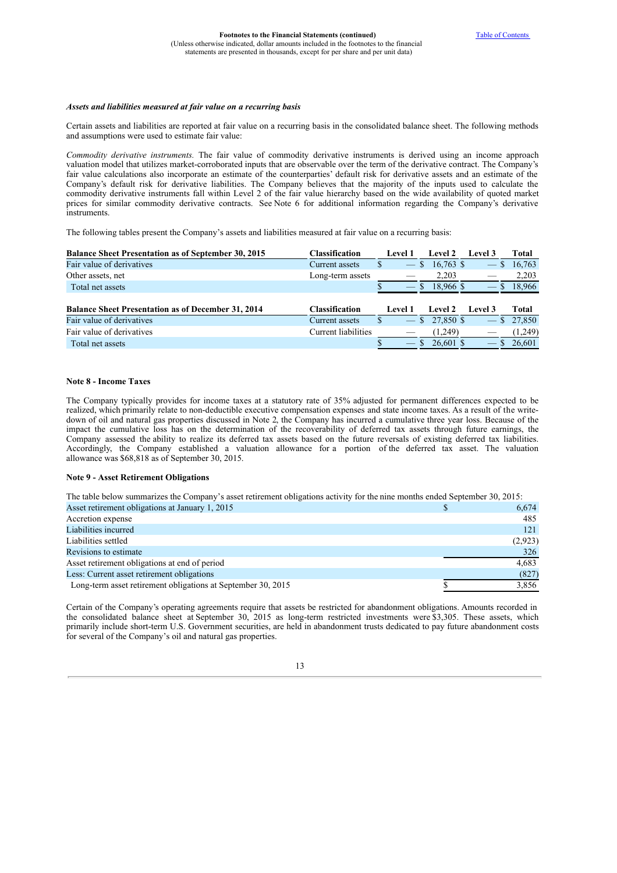#### *Assets and liabilities measured at fair value on a recurring basis*

Certain assets and liabilities are reported at fair value on a recurring basis in the consolidated balance sheet. The following methods and assumptions were used to estimate fair value:

*Commodity derivative instruments.* The fair value of commodity derivative instruments is derived using an income approach valuation model that utilizes market-corroborated inputs that are observable over the term of the derivative contract. The Company's fair value calculations also incorporate an estimate of the counterparties' default risk for derivative assets and an estimate of the Company's default risk for derivative liabilities. The Company believes that the majority of the inputs used to calculate the commodity derivative instruments fall within Level 2 of the fair value hierarchy based on the wide availability of quoted market prices for similar commodity derivative contracts. See Note 6 for additional information regarding the Company's derivative instruments.

The following tables present the Company's assets and liabilities measured at fair value on a recurring basis:

| <b>Balance Sheet Presentation as of September 30, 2015</b> | Classification      | Level 1                  | Level 2          | Level 3 | Total         |
|------------------------------------------------------------|---------------------|--------------------------|------------------|---------|---------------|
| Fair value of derivatives                                  | Current assets      | \$                       | $-$ \$ 16,763 \$ | $-$ \$  | 16,763        |
| Other assets, net                                          | Long-term assets    |                          | 2,203            |         | 2,203         |
| Total net assets                                           |                     | $\overline{\phantom{m}}$ | 18.966 \$        |         | 18.966        |
|                                                            |                     |                          |                  |         |               |
|                                                            |                     |                          |                  |         |               |
| <b>Balance Sheet Presentation as of December 31, 2014</b>  | Classification      | <b>Level 1</b>           | Level 2          | Level 3 | Total         |
| Fair value of derivatives                                  | Current assets      |                          | $-$ \$ 27,850 \$ |         | $-$ \$ 27,850 |
| Fair value of derivatives                                  | Current liabilities |                          | (1,249)          |         | (1,249)       |
| Total net assets                                           |                     |                          | 26,601 \$        | $-$ \$  | 26,601        |

## **Note 8 - Income Taxes**

The Company typically provides for income taxes at a statutory rate of 35% adjusted for permanent differences expected to be realized, which primarily relate to non-deductible executive compensation expenses and state income taxes. As a result of the writedown of oil and natural gas properties discussed in Note 2, the Company has incurred a cumulative three year loss. Because of the impact the cumulative loss has on the determination of the recoverability of deferred tax assets through future earnings, the Company assessed the ability to realize its deferred tax assets based on the future reversals of existing deferred tax liabilities. Accordingly, the Company established a valuation allowance for a portion of the deferred tax asset. The valuation allowance was \$68,818 as of September 30, 2015.

#### **Note 9 - Asset Retirement Obligations**

The table below summarizes the Company's asset retirement obligations activity for the nine months ended September 30, 2015:

| Asset retirement obligations at January 1, 2015              | 6,674   |
|--------------------------------------------------------------|---------|
| Accretion expense                                            | 485     |
| Liabilities incurred                                         | 121     |
| Liabilities settled                                          | (2,923) |
| Revisions to estimate                                        | 326     |
| Asset retirement obligations at end of period                | 4,683   |
| Less: Current asset retirement obligations                   | (827)   |
| Long-term asset retirement obligations at September 30, 2015 | 3,856   |
|                                                              |         |

Certain of the Company's operating agreements require that assets be restricted for abandonment obligations. Amounts recorded in the consolidated balance sheet at September 30, 2015 as long-term restricted investments were \$3,305. These assets, which primarily include short-term U.S. Government securities, are held in abandonment trusts dedicated to pay future abandonment costs for several of the Company's oil and natural gas properties.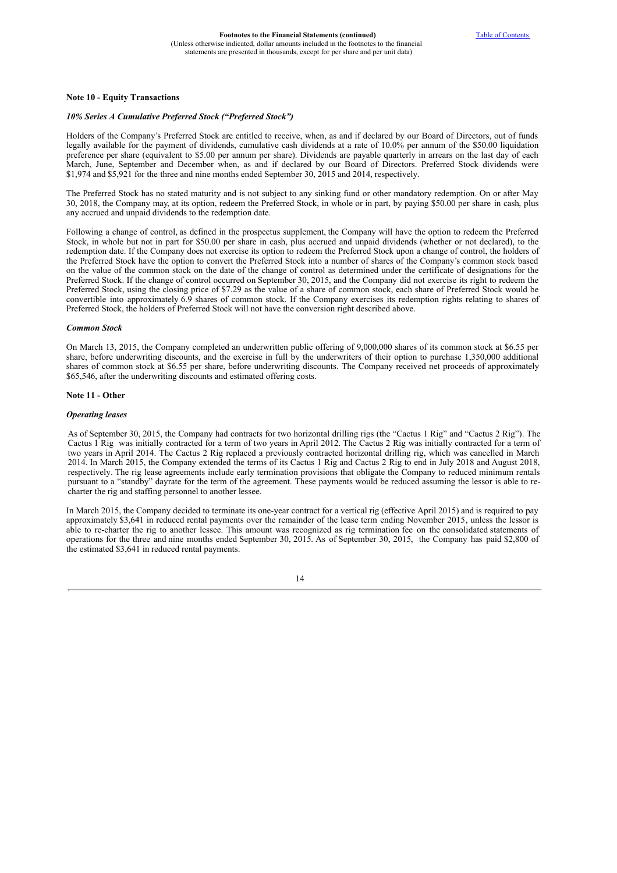#### **Note 10 - Equity Transactions**

#### *10% Series A Cumulative Preferred Stock ("Preferred Stock")*

Holders of the Company's Preferred Stock are entitled to receive, when, as and if declared by our Board of Directors, out of funds legally available for the payment of dividends, cumulative cash dividends at a rate of 10.0% per annum of the \$50.00 liquidation preference per share (equivalent to \$5.00 per annum per share). Dividends are payable quarterly in arrears on the last day of each March, June, September and December when, as and if declared by our Board of Directors. Preferred Stock dividends were \$1,974 and \$5,921 for the three and nine months ended September 30, 2015 and 2014, respectively.

The Preferred Stock has no stated maturity and is not subject to any sinking fund or other mandatory redemption. On or after May 30, 2018, the Company may, at its option, redeem the Preferred Stock, in whole or in part, by paying \$50.00 per share in cash, plus any accrued and unpaid dividends to the redemption date.

Following a change of control, as defined in the prospectus supplement, the Company will have the option to redeem the Preferred Stock, in whole but not in part for \$50.00 per share in cash, plus accrued and unpaid dividends (whether or not declared), to the redemption date. If the Company does not exercise its option to redeem the Preferred Stock upon a change of control, the holders of the Preferred Stock have the option to convert the Preferred Stock into a number of shares of the Company's common stock based on the value of the common stock on the date of the change of control as determined under the certificate of designations for the Preferred Stock. If the change of control occurred on September 30, 2015, and the Company did not exercise its right to redeem the Preferred Stock, using the closing price of \$7.29 as the value of a share of common stock, each share of Preferred Stock would be convertible into approximately 6.9 shares of common stock. If the Company exercises its redemption rights relating to shares of Preferred Stock, the holders of Preferred Stock will not have the conversion right described above.

#### *Common Stock*

On March 13, 2015, the Company completed an underwritten public offering of 9,000,000 shares of its common stock at \$6.55 per share, before underwriting discounts, and the exercise in full by the underwriters of their option to purchase 1,350,000 additional shares of common stock at \$6.55 per share, before underwriting discounts. The Company received net proceeds of approximately \$65,546, after the underwriting discounts and estimated offering costs.

#### **Note 11 - Other**

#### *Operating leases*

As of September 30, 2015, the Company had contracts for two horizontal drilling rigs (the "Cactus 1 Rig" and "Cactus 2 Rig"). The Cactus 1 Rig was initially contracted for a term of two years in April 2012. The Cactus 2 Rig was initially contracted for a term of two years in April 2014. The Cactus 2 Rig replaced a previously contracted horizontal drilling rig, which was cancelled in March 2014. In March 2015, the Company extended the terms of its Cactus 1 Rig and Cactus 2 Rig to end in July 2018 and August 2018, respectively. The rig lease agreements include early termination provisions that obligate the Company to reduced minimum rentals pursuant to a "standby" dayrate for the term of the agreement. These payments would be reduced assuming the lessor is able to recharter the rig and staffing personnel to another lessee.

In March 2015, the Company decided to terminate its one-year contract for a vertical rig (effective April 2015) and is required to pay approximately \$3,641 in reduced rental payments over the remainder of the lease term ending November 2015, unless the lessor is able to re-charter the rig to another lessee. This amount was recognized as rig termination fee on the consolidated statements of operations for the three and nine months ended September 30, 2015. As of September 30, 2015, the Company has paid \$2,800 of the estimated \$3,641 in reduced rental payments.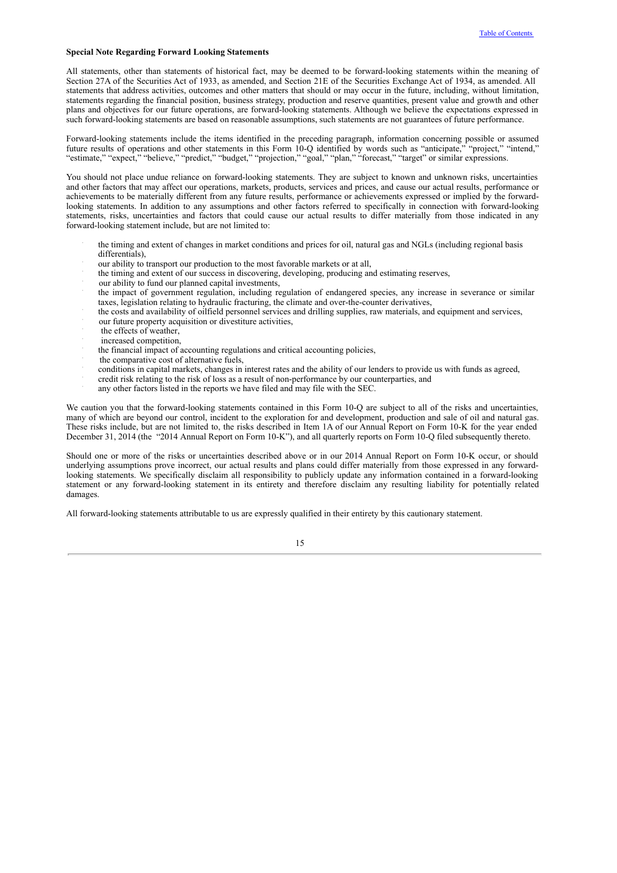### **Special Note Regarding Forward Looking Statements**

All statements, other than statements of historical fact, may be deemed to be forward-looking statements within the meaning of Section 27A of the Securities Act of 1933, as amended, and Section 21E of the Securities Exchange Act of 1934, as amended. All statements that address activities, outcomes and other matters that should or may occur in the future, including, without limitation, statements regarding the financial position, business strategy, production and reserve quantities, present value and growth and other plans and objectives for our future operations, are forward-looking statements. Although we believe the expectations expressed in such forward-looking statements are based on reasonable assumptions, such statements are not guarantees of future performance.

Forward-looking statements include the items identified in the preceding paragraph, information concerning possible or assumed future results of operations and other statements in this Form 10-Q identified by words such as "anticipate," "project," "intend," "estimate," "expect," "believe," "predict," "budget," "projection," "goal," "plan," "forecast," "target" or similar expressions.

You should not place undue reliance on forward-looking statements. They are subject to known and unknown risks, uncertainties and other factors that may affect our operations, markets, products, services and prices, and cause our actual results, performance or achievements to be materially different from any future results, performance or achievements expressed or implied by the forwardlooking statements. In addition to any assumptions and other factors referred to specifically in connection with forward-looking statements, risks, uncertainties and factors that could cause our actual results to differ materially from those indicated in any forward-looking statement include, but are not limited to:

- the timing and extent of changes in market conditions and prices for oil, natural gas and NGLs (including regional basis differentials),
- our ability to transport our production to the most favorable markets or at all,
- the timing and extent of our success in discovering, developing, producing and estimating reserves,
- our ability to fund our planned capital investments,
- the impact of government regulation, including regulation of endangered species, any increase in severance or similar taxes, legislation relating to hydraulic fracturing, the climate and over-the-counter derivatives,
- · the costs and availability of oilfield personnel services and drilling supplies, raw materials, and equipment and services,
- our future property acquisition or divestiture activities,
- · the effects of weather,

·

·

·

- · increased competition,
- · the financial impact of accounting regulations and critical accounting policies,
- · the comparative cost of alternative fuels,
- · conditions in capital markets, changes in interest rates and the ability of our lenders to provide us with funds as agreed,
- credit risk relating to the risk of loss as a result of non-performance by our counterparties, and
- any other factors listed in the reports we have filed and may file with the SEC.

We caution you that the forward-looking statements contained in this Form 10-Q are subject to all of the risks and uncertainties. many of which are beyond our control, incident to the exploration for and development, production and sale of oil and natural gas. These risks include, but are not limited to, the risks described in Item 1A of our Annual Report on Form 10-K for the year ended December 31, 2014 (the "2014 Annual Report on Form 10-K"), and all quarterly reports on Form 10-Q filed subsequently thereto.

Should one or more of the risks or uncertainties described above or in our 2014 Annual Report on Form 10-K occur, or should underlying assumptions prove incorrect, our actual results and plans could differ materially from those expressed in any forwardlooking statements. We specifically disclaim all responsibility to publicly update any information contained in a forward-looking statement or any forward-looking statement in its entirety and therefore disclaim any resulting liability for potentially related damages.

All forward-looking statements attributable to us are expressly qualified in their entirety by this cautionary statement.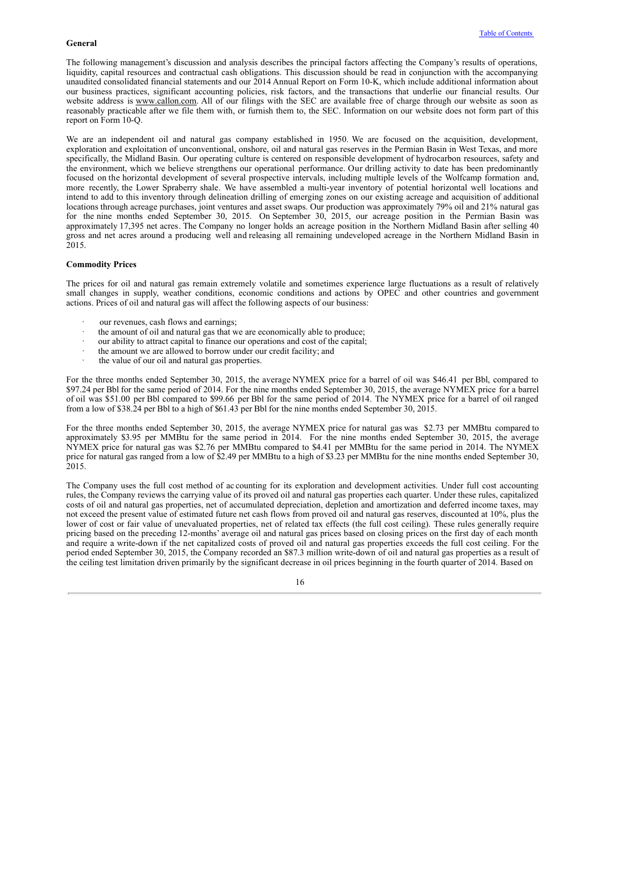#### **General**

The following management's discussion and analysis describes the principal factors affecting the Company's results of operations, liquidity, capital resources and contractual cash obligations. This discussion should be read in conjunction with the accompanying unaudited consolidated financial statements and our 2014 Annual Report on Form 10-K, which include additional information about our business practices, significant accounting policies, risk factors, and the transactions that underlie our financial results. Our website address is www.callon.com. All of our filings with the SEC are available free of charge through our website as soon as reasonably practicable after we file them with, or furnish them to, the SEC. Information on our website does not form part of this report on Form 10-Q.

We are an independent oil and natural gas company established in 1950. We are focused on the acquisition, development, exploration and exploitation of unconventional, onshore, oil and natural gas reserves in the Permian Basin in West Texas, and more specifically, the Midland Basin. Our operating culture is centered on responsible development of hydrocarbon resources, safety and the environment, which we believe strengthens our operational performance. Our drilling activity to date has been predominantly focused on the horizontal development of several prospective intervals, including multiple levels of the Wolfcamp formation and, more recently, the Lower Spraberry shale. We have assembled a multi-year inventory of potential horizontal well locations and intend to add to this inventory through delineation drilling of emerging zones on our existing acreage and acquisition of additional locations through acreage purchases, joint ventures and asset swaps. Our production was approximately 79% oil and 21% natural gas for the nine months ended September 30, 2015. On September 30, 2015, our acreage position in the Permian Basin was approximately 17,395 net acres. The Company no longer holds an acreage position in the Northern Midland Basin after selling 40 gross and net acres around a producing well and releasing all remaining undeveloped acreage in the Northern Midland Basin in 2015.

#### **Commodity Prices**

The prices for oil and natural gas remain extremely volatile and sometimes experience large fluctuations as a result of relatively small changes in supply, weather conditions, economic conditions and actions by OPEC and other countries and government actions. Prices of oil and natural gas will affect the following aspects of our business:

- our revenues, cash flows and earnings;
- the amount of oil and natural gas that we are economically able to produce;
- our ability to attract capital to finance our operations and cost of the capital;
- the amount we are allowed to borrow under our credit facility; and
- the value of our oil and natural gas properties.

For the three months ended September 30, 2015, the average NYMEX price for a barrel of oil was \$46.41 per Bbl, compared to \$97.24 per Bbl for the same period of 2014. For the nine months ended September 30, 2015, the average NYMEX price for a barrel of oil was \$51.00 per Bbl compared to \$99.66 per Bbl for the same period of 2014. The NYMEX price for a barrel of oil ranged from a low of \$38.24 per Bbl to a high of \$61.43 per Bbl for the nine months ended September 30, 2015.

For the three months ended September 30, 2015, the average NYMEX price for natural gas was \$2.73 per MMBtu compared to approximately \$3.95 per MMBtu for the same period in 2014. For the nine months ended September 30, 2015, the average NYMEX price for natural gas was \$2.76 per MMBtu compared to \$4.41 per MMBtu for the same period in 2014. The NYMEX price for natural gas ranged from a low of \$2.49 per MMBtu to a high of \$3.23 per MMBtu for the nine months ended September 30, 2015.

The Company uses the full cost method of ac counting for its exploration and development activities. Under full cost accounting rules, the Company reviews the carrying value of its proved oil and natural gas properties each quarter. Under these rules, capitalized costs of oil and natural gas properties, net of accumulated depreciation, depletion and amortization and deferred income taxes, may not exceed the present value of estimated future net cash flows from proved oil and natural gas reserves, discounted at 10%, plus the lower of cost or fair value of unevaluated properties, net of related tax effects (the full cost ceiling). These rules generally require pricing based on the preceding 12-months' average oil and natural gas prices based on closing prices on the first day of each month and require a write-down if the net capitalized costs of proved oil and natural gas properties exceeds the full cost ceiling. For the period ended September 30, 2015, the Company recorded an \$87.3 million write-down of oil and natural gas properties as a result of the ceiling test limitation driven primarily by the significant decrease in oil prices beginning in the fourth quarter of 2014. Based on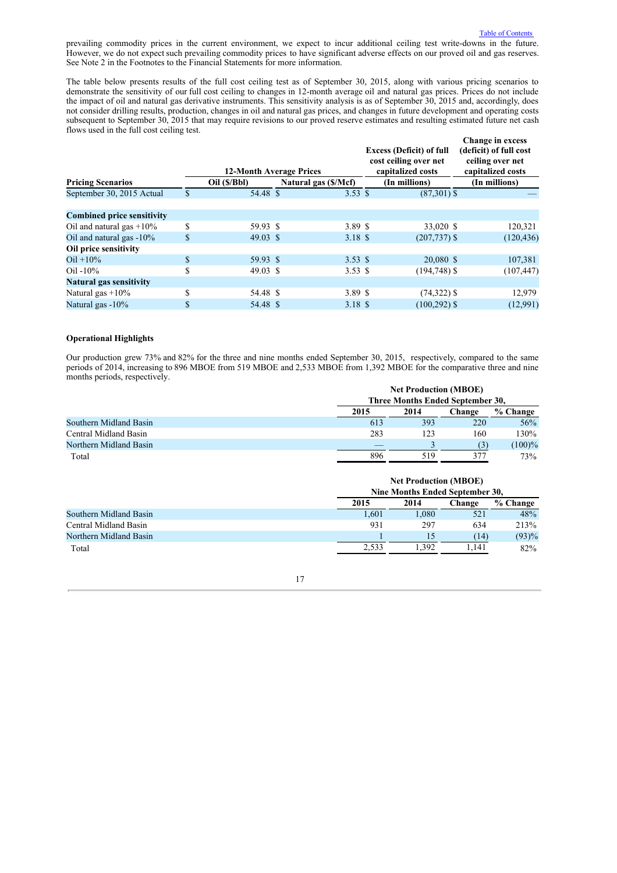prevailing commodity prices in the current environment, we expect to incur additional ceiling test write-downs in the future. However, we do not expect such prevailing commodity prices to have significant adverse effects on our proved oil and gas reserves. See Note 2 in the Footnotes to the Financial Statements for more information.

The table below presents results of the full cost ceiling test as of September 30, 2015, along with various pricing scenarios to demonstrate the sensitivity of our full cost ceiling to changes in 12-month average oil and natural gas prices. Prices do not include the impact of oil and natural gas derivative instruments. This sensitivity analysis is as of September 30, 2015 and, accordingly, does not consider drilling results, production, changes in oil and natural gas prices, and changes in future development and operating costs subsequent to September 30, 2015 that may require revisions to our proved reserve estimates and resulting estimated future net cash flows used in the full cost ceiling test.

|                                   | <b>12-Month Average Prices</b> |                      | <b>Excess (Deficit) of full</b><br>cost ceiling over net<br>capitalized costs | <b>Change in excess</b><br>(deficit) of full cost<br>ceiling over net<br>capitalized costs |
|-----------------------------------|--------------------------------|----------------------|-------------------------------------------------------------------------------|--------------------------------------------------------------------------------------------|
| <b>Pricing Scenarios</b>          | Oil (\$/Bbl)                   | Natural gas (\$/Mcf) | (In millions)                                                                 | (In millions)                                                                              |
| September 30, 2015 Actual         | \$<br>54.48 \$                 | $3.53 \text{ }$ \$   | $(87,301)$ \$                                                                 |                                                                                            |
| <b>Combined price sensitivity</b> |                                |                      |                                                                               |                                                                                            |
| Oil and natural gas $+10\%$       | \$<br>59.93 \$                 | 3.89 S               | 33,020 \$                                                                     | 120,321                                                                                    |
| Oil and natural gas -10%          | \$<br>49.03 \$                 | 3.18S                | $(207, 737)$ \$                                                               | (120, 436)                                                                                 |
| Oil price sensitivity             |                                |                      |                                                                               |                                                                                            |
| $Oil + 10\%$                      | \$<br>59.93 \$                 | $3.53 \text{ }$ \$   | 20,080 \$                                                                     | 107,381                                                                                    |
| Oil $-10\%$                       | \$<br>49.03 \$                 | $3.53 \text{ }$ \$   | $(194, 748)$ \$                                                               | (107, 447)                                                                                 |
| <b>Natural gas sensitivity</b>    |                                |                      |                                                                               |                                                                                            |
| Natural gas $+10\%$               | \$<br>54.48 \$                 | 3.89 \$              | $(74,322)$ \$                                                                 | 12,979                                                                                     |
| Natural gas -10%                  | \$<br>54.48 \$                 | 3.18S                | $(100, 292)$ \$                                                               | (12,991)                                                                                   |

## **Operational Highlights**

Our production grew 73% and 82% for the three and nine months ended September 30, 2015, respectively, compared to the same periods of 2014, increasing to 896 MBOE from 519 MBOE and 2,533 MBOE from 1,392 MBOE for the comparative three and nine months periods, respectively.

|                        |      | <b>Net Production (MBOE)</b>     |        |           |  |  |  |  |
|------------------------|------|----------------------------------|--------|-----------|--|--|--|--|
|                        |      | Three Months Ended September 30, |        |           |  |  |  |  |
|                        | 2015 | 2014                             | Change | % Change  |  |  |  |  |
| Southern Midland Basin | 613  | 393                              | 220    | 56%       |  |  |  |  |
| Central Midland Basin  | 283  | 123                              | 160    | 130%      |  |  |  |  |
| Northern Midland Basin |      |                                  | (3)    | $(100)\%$ |  |  |  |  |
| Total                  | 896  | 519                              | 377    | 73%       |  |  |  |  |

|                        | <b>Net Production (MBOE)</b> |                                 |        |          |  |  |  |
|------------------------|------------------------------|---------------------------------|--------|----------|--|--|--|
|                        |                              | Nine Months Ended September 30, |        |          |  |  |  |
|                        | 2015                         | 2014                            | Change | % Change |  |  |  |
| Southern Midland Basin | 1.601                        | 1.080                           | 521    | 48%      |  |  |  |
| Central Midland Basin  | 931                          | 297                             | 634    | 213%     |  |  |  |
| Northern Midland Basin |                              | 15                              | (14)   | (93)%    |  |  |  |
| Total                  | 2.533                        | 1.392                           | 1.141  | 82%      |  |  |  |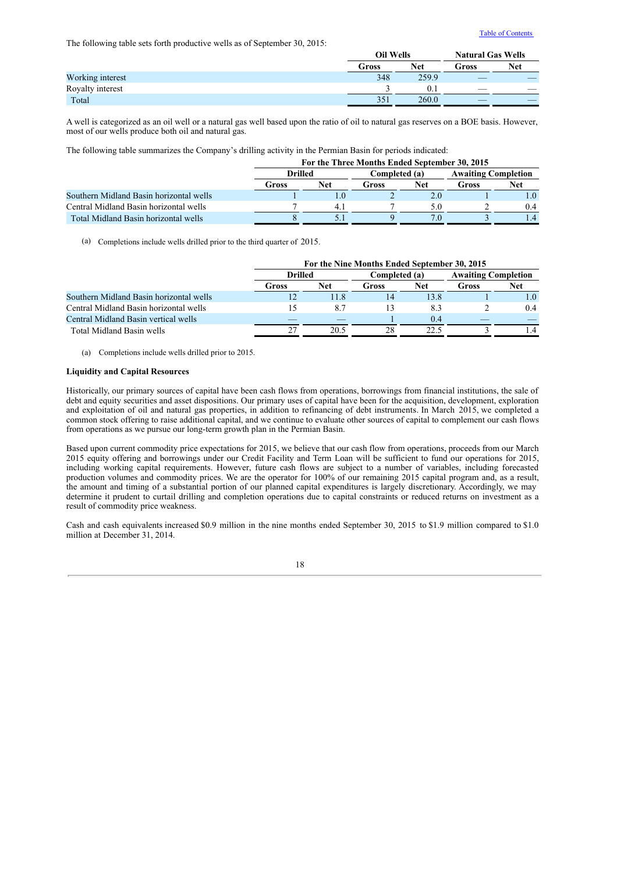Table of [Contents](#page-1-0)

The following table sets forth productive wells as of September 30, 2015:

|                  | <b>Oil Wells</b> |            | <b>Natural Gas Wells</b> |            |  |
|------------------|------------------|------------|--------------------------|------------|--|
|                  | Gross            | <b>Net</b> | Gross                    | <b>Net</b> |  |
| Working interest | 348              | 259.9      | __                       |            |  |
| Royalty interest |                  | 0.1        | $\overline{\phantom{a}}$ |            |  |
| Total            | 351              | 260.0      |                          |            |  |

A well is categorized as an oil well or a natural gas well based upon the ratio of oil to natural gas reserves on a BOE basis. However, most of our wells produce both oil and natural gas.

The following table summarizes the Company's drilling activity in the Permian Basin for periods indicated:

|                                         | For the Three Months Ended September 30, 2015 |            |               |     |                            |     |  |  |
|-----------------------------------------|-----------------------------------------------|------------|---------------|-----|----------------------------|-----|--|--|
|                                         | <b>Drilled</b>                                |            | Completed (a) |     | <b>Awaiting Completion</b> |     |  |  |
|                                         | Gross                                         | <b>Net</b> | Gross         | Net | Gross                      | Net |  |  |
| Southern Midland Basin horizontal wells |                                               |            |               | 2.0 |                            |     |  |  |
| Central Midland Basin horizontal wells  |                                               | 41         |               | 5.0 |                            | 0.4 |  |  |
| Total Midland Basin horizontal wells    |                                               |            |               | 7.0 |                            |     |  |  |

(a) Completions include wells drilled prior to the third quarter of 2015.

|                                         | For the Nine Months Ended September 30, 2015 |      |               |      |                            |            |  |  |  |
|-----------------------------------------|----------------------------------------------|------|---------------|------|----------------------------|------------|--|--|--|
|                                         | <b>Drilled</b>                               |      | Completed (a) |      | <b>Awaiting Completion</b> |            |  |  |  |
|                                         | Gross                                        | Net  | Gross         | Net  | Gross                      | <b>Net</b> |  |  |  |
| Southern Midland Basin horizontal wells |                                              | 11.8 |               | 13.8 |                            | 1.0        |  |  |  |
| Central Midland Basin horizontal wells  |                                              | 8.7  |               | 8.3  |                            | 0.4        |  |  |  |
| Central Midland Basin vertical wells    |                                              |      |               | 0.4  |                            |            |  |  |  |
| Total Midland Basin wells               |                                              | 20.5 |               | 22.5 |                            |            |  |  |  |

(a) Completions include wells drilled prior to 2015.

#### **Liquidity and Capital Resources**

Historically, our primary sources of capital have been cash flows from operations, borrowings from financial institutions, the sale of debt and equity securities and asset dispositions. Our primary uses of capital have been for the acquisition, development, exploration and exploitation of oil and natural gas properties, in addition to refinancing of debt instruments. In March 2015, we completed a common stock offering to raise additional capital, and we continue to evaluate other sources of capital to complement our cash flows from operations as we pursue our long-term growth plan in the Permian Basin.

Based upon current commodity price expectations for 2015, we believe that our cash flow from operations, proceeds from our March 2015 equity offering and borrowings under our Credit Facility and Term Loan will be sufficient to fund our operations for 2015, including working capital requirements. However, future cash flows are subject to a number of variables, including forecasted production volumes and commodity prices. We are the operator for 100% of our remaining 2015 capital program and, as a result, the amount and timing of a substantial portion of our planned capital expenditures is largely discretionary. Accordingly, we may determine it prudent to curtail drilling and completion operations due to capital constraints or reduced returns on investment as a result of commodity price weakness.

Cash and cash equivalents increased \$0.9 million in the nine months ended September 30, 2015 to \$1.9 million compared to \$1.0 million at December 31, 2014.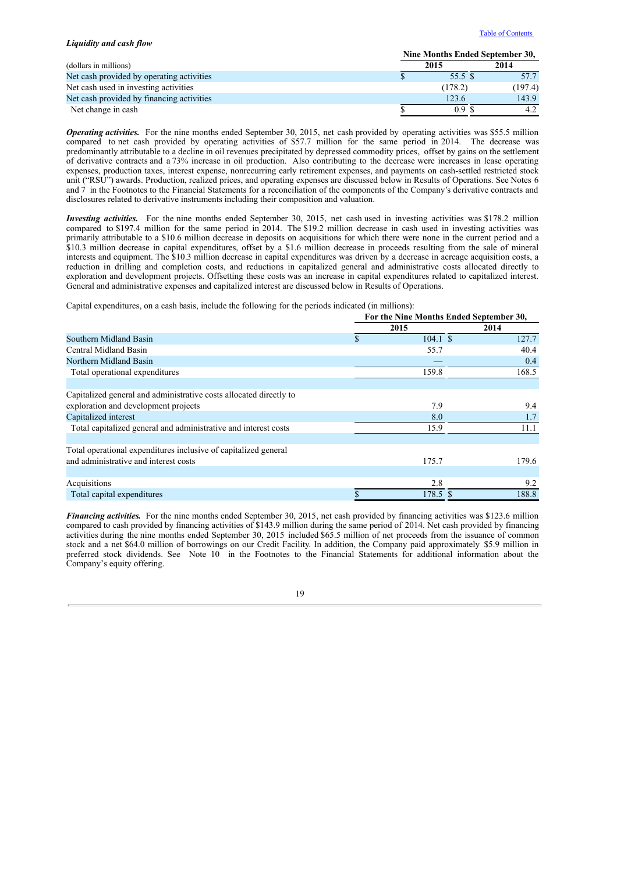## *Liquidity and cash flow*

|                                           | Nine Months Ended September 30, |         |  |  |  |  |
|-------------------------------------------|---------------------------------|---------|--|--|--|--|
| (dollars in millions)                     | 2015                            | 2014    |  |  |  |  |
| Net cash provided by operating activities | 55.5 \$                         | 57.7    |  |  |  |  |
| Net cash used in investing activities     | (178.2)                         | (197.4) |  |  |  |  |
| Net cash provided by financing activities | 123.6                           | 143.9   |  |  |  |  |
| Net change in cash                        | $0.9$ \$                        | 4.2     |  |  |  |  |

*Operating activities.* For the nine months ended September 30, 2015, net cash provided by operating activities was \$55.5 million compared to net cash provided by operating activities of \$57.7 million for the same period in 2014. The decrease was predominantly attributable to a decline in oil revenues precipitated by depressed commodity prices, offset by gains on the settlement of derivative contracts and a 73% increase in oil production. Also contributing to the decrease were increases in lease operating expenses, production taxes, interest expense, nonrecurring early retirement expenses, and payments on cash-settled restricted stock unit ("RSU") awards. Production, realized prices, and operating expenses are discussed below in Results of Operations. See Notes 6 and  $\overline{7}$  in the Footnotes to the Financial Statements for a reconciliation of the components of the Company's derivative contracts and disclosures related to derivative instruments including their composition and valuation.

*Investing activities.* For the nine months ended September 30, 2015, net cash used in investing activities was \$178.2 million compared to \$197.4 million for the same period in 2014. The \$19.2 million decrease in cash used in investing activities was primarily attributable to a \$10.6 million decrease in deposits on acquisitions for which there were none in the current period and a \$10.3 million decrease in capital expenditures, offset by a \$1.6 million decrease in proceeds resulting from the sale of mineral interests and equipment. The \$10.3 million decrease in capital expenditures was driven by a decrease in acreage acquisition costs, a reduction in drilling and completion costs, and reductions in capitalized general and administrative costs allocated directly to exploration and development projects. Offsetting these costs was an increase in capital expenditures related to capitalized interest. General and administrative expenses and capitalized interest are discussed below in Results of Operations.

Capital expenditures, on a cash basis, include the following for the periods indicated (in millions):

|                                                                                                            | For the Nine Months Ended September 30, |                    |       |  |  |
|------------------------------------------------------------------------------------------------------------|-----------------------------------------|--------------------|-------|--|--|
|                                                                                                            |                                         | 2015               | 2014  |  |  |
| Southern Midland Basin                                                                                     | \$                                      | 104.1 S            | 127.7 |  |  |
| Central Midland Basin                                                                                      |                                         | 55.7               | 40.4  |  |  |
| Northern Midland Basin                                                                                     |                                         |                    | 0.4   |  |  |
| Total operational expenditures                                                                             |                                         | 159.8              | 168.5 |  |  |
| Capitalized general and administrative costs allocated directly to<br>exploration and development projects |                                         | 7.9                | 9.4   |  |  |
|                                                                                                            |                                         |                    |       |  |  |
| Capitalized interest                                                                                       |                                         | 8.0                | 1.7   |  |  |
| Total capitalized general and administrative and interest costs                                            |                                         | 15.9               | 11.1  |  |  |
| Total operational expenditures inclusive of capitalized general                                            |                                         |                    |       |  |  |
| and administrative and interest costs                                                                      |                                         | 175.7              | 179.6 |  |  |
| Acquisitions                                                                                               |                                         | 2.8                | 9.2   |  |  |
| Total capital expenditures                                                                                 |                                         | $178.5~\text{\AA}$ | 188.8 |  |  |

*Financing activities.* For the nine months ended September 30, 2015, net cash provided by financing activities was \$123.6 million compared to cash provided by financing activities of \$143.9 million during the same period of 2014. Net cash provided by financing activities during the nine months ended September 30, 2015 included \$65.5 million of net proceeds from the issuance of common stock and a net \$64.0 million of borrowings on our Credit Facility. In addition, the Company paid approximately \$5.9 million in preferred stock dividends. See Note 10 in the Footnotes to the Financial Statements for additional information about the Company's equity offering.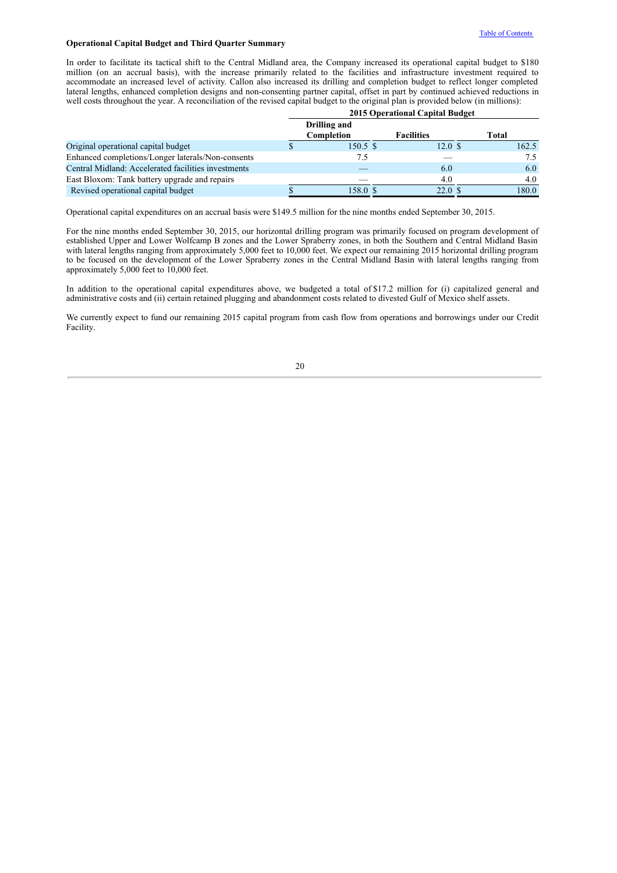## **Operational Capital Budget and Third Quarter Summary**

In order to facilitate its tactical shift to the Central Midland area, the Company increased its operational capital budget to \$180 million (on an accrual basis), with the increase primarily related to the facilities and infrastructure investment required to accommodate an increased level of activity. Callon also increased its drilling and completion budget to reflect longer completed lateral lengths, enhanced completion designs and non-consenting partner capital, offset in part by continued achieved reductions in well costs throughout the year. A reconciliation of the revised capital budget to the original plan is provided below (in millions):

|                                                     | 2015 Operational Capital Budget |                            |  |                   |  |       |  |  |
|-----------------------------------------------------|---------------------------------|----------------------------|--|-------------------|--|-------|--|--|
|                                                     |                                 | Drilling and<br>Completion |  | <b>Facilities</b> |  | Total |  |  |
| Original operational capital budget                 |                                 | $150.5~\text{\AA}$         |  | $12.0 \text{ s}$  |  | 162.5 |  |  |
| Enhanced completions/Longer laterals/Non-consents   |                                 | 7.5                        |  |                   |  | 7.5   |  |  |
| Central Midland: Accelerated facilities investments |                                 |                            |  | 6.0               |  | 6.0   |  |  |
| East Bloxom: Tank battery upgrade and repairs       |                                 |                            |  | 4.0               |  | 4.0   |  |  |
| Revised operational capital budget                  |                                 | 158.0 \$                   |  | 22.0 <sup>5</sup> |  | 180.0 |  |  |

Operational capital expenditures on an accrual basis were \$149.5 million for the nine months ended September 30, 2015.

For the nine months ended September 30, 2015, our horizontal drilling program was primarily focused on program development of established Upper and Lower Wolfcamp B zones and the Lower Spraberry zones, in both the Southern and Central Midland Basin with lateral lengths ranging from approximately 5,000 feet to 10,000 feet. We expect our remaining 2015 horizontal drilling program to be focused on the development of the Lower Spraberry zones in the Central Midland Basin with lateral lengths ranging from approximately 5,000 feet to 10,000 feet.

In addition to the operational capital expenditures above, we budgeted a total of \$17.2 million for (i) capitalized general and administrative costs and (ii) certain retained plugging and abandonment costs related to divested Gulf of Mexico shelf assets.

We currently expect to fund our remaining 2015 capital program from cash flow from operations and borrowings under our Credit Facility.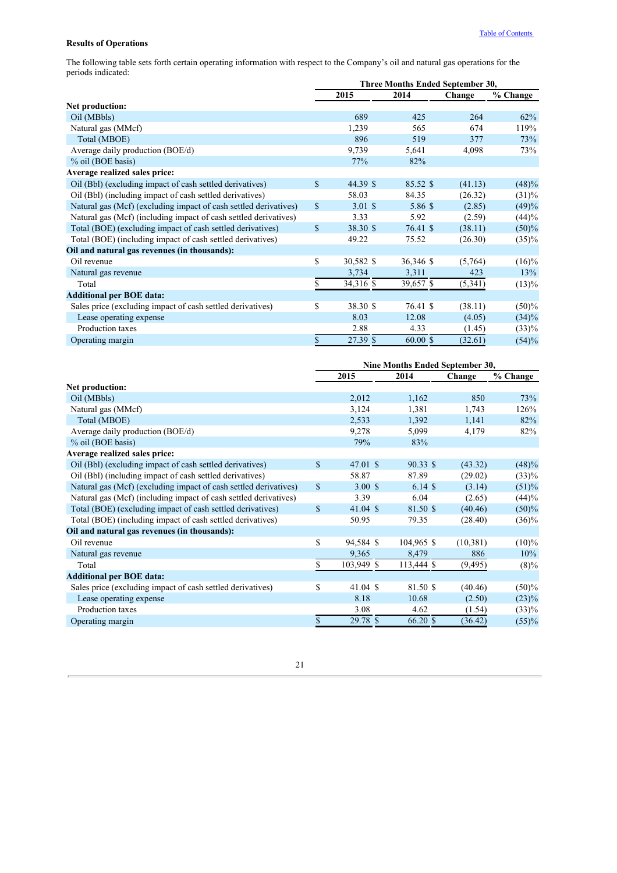## **Results of Operations**

The following table sets forth certain operating information with respect to the Company's oil and natural gas operations for the periods indicated:

|                                                                  | Three Months Ended September 30, |                   |                     |         |          |
|------------------------------------------------------------------|----------------------------------|-------------------|---------------------|---------|----------|
|                                                                  |                                  | 2015              | 2014                | Change  | % Change |
| Net production:                                                  |                                  |                   |                     |         |          |
| Oil (MBbls)                                                      |                                  | 689               | 425                 | 264     | 62%      |
| Natural gas (MMcf)                                               |                                  | 1,239             | 565                 | 674     | 119%     |
| Total (MBOE)                                                     |                                  | 896               | 519                 | 377     | 73%      |
| Average daily production (BOE/d)                                 |                                  | 9,739             | 5,641               | 4,098   | 73%      |
| % oil (BOE basis)                                                |                                  | 77%               | 82%                 |         |          |
| Average realized sales price:                                    |                                  |                   |                     |         |          |
| Oil (Bbl) (excluding impact of cash settled derivatives)         | \$                               | 44.39 \$          | 85.52 \$            | (41.13) | (48)%    |
| Oil (Bbl) (including impact of cash settled derivatives)         |                                  | 58.03             | 84.35               | (26.32) | $(31)\%$ |
| Natural gas (Mcf) (excluding impact of cash settled derivatives) | $\mathbf S$                      | $3.01~\text{\AA}$ | 5.86 \$             | (2.85)  | (49)%    |
| Natural gas (Mcf) (including impact of cash settled derivatives) |                                  | 3.33              | 5.92                | (2.59)  | (44)%    |
| Total (BOE) (excluding impact of cash settled derivatives)       | $\mathbb{S}$                     | 38.30 \$          | 76.41 \$            | (38.11) | $(50)\%$ |
| Total (BOE) (including impact of cash settled derivatives)       |                                  | 49.22             | 75.52               | (26.30) | $(35)\%$ |
| Oil and natural gas revenues (in thousands):                     |                                  |                   |                     |         |          |
| Oil revenue                                                      | \$                               | 30,582 \$         | 36,346 \$           | (5,764) | $(16)\%$ |
| Natural gas revenue                                              |                                  | 3,734             | 3,311               | 423     | 13%      |
| Total                                                            | \$                               | 34,316 \$         | 39,657 \$           | (5,341) | $(13)\%$ |
| <b>Additional per BOE data:</b>                                  |                                  |                   |                     |         |          |
| Sales price (excluding impact of cash settled derivatives)       | \$                               | 38.30 \$          | 76.41 \$            | (38.11) | (50)%    |
| Lease operating expense                                          |                                  | 8.03              | 12.08               | (4.05)  | $(34)\%$ |
| Production taxes                                                 |                                  | 2.88              | 4.33                | (1.45)  | $(33)\%$ |
| Operating margin                                                 | \$                               | 27.39 \$          | $60.00 \text{ }$ \$ | (32.61) | (54)%    |

|                                                                  | Nine Months Ended September 30, |                     |  |                     |  |           |          |
|------------------------------------------------------------------|---------------------------------|---------------------|--|---------------------|--|-----------|----------|
|                                                                  |                                 | 2015                |  | 2014                |  | Change    | % Change |
| Net production:                                                  |                                 |                     |  |                     |  |           |          |
| Oil (MBbls)                                                      |                                 | 2,012               |  | 1,162               |  | 850       | 73%      |
| Natural gas (MMcf)                                               |                                 | 3,124               |  | 1,381               |  | 1,743     | 126%     |
| Total (MBOE)                                                     |                                 | 2,533               |  | 1,392               |  | 1,141     | 82%      |
| Average daily production (BOE/d)                                 |                                 | 9,278               |  | 5,099               |  | 4,179     | 82%      |
| % oil (BOE basis)                                                |                                 | 79%                 |  | 83%                 |  |           |          |
| Average realized sales price:                                    |                                 |                     |  |                     |  |           |          |
| Oil (Bbl) (excluding impact of cash settled derivatives)         | $\mathbb{S}$                    | 47.01 \$            |  | $90.33 \text{ }$ \$ |  | (43.32)   | (48)%    |
| Oil (Bbl) (including impact of cash settled derivatives)         |                                 | 58.87               |  | 87.89               |  | (29.02)   | $(33)\%$ |
| Natural gas (Mcf) (excluding impact of cash settled derivatives) | $\mathbb{S}$                    | $3.00 \text{ }$ \$  |  | 6.14S               |  | (3.14)    | (51)%    |
| Natural gas (Mcf) (including impact of cash settled derivatives) |                                 | 3.39                |  | 6.04                |  | (2.65)    | (44)%    |
| Total (BOE) (excluding impact of cash settled derivatives)       | $\mathbb{S}$                    | 41.04 $\frac{1}{2}$ |  | 81.50 \$            |  | (40.46)   | $(50)\%$ |
| Total (BOE) (including impact of cash settled derivatives)       |                                 | 50.95               |  | 79.35               |  | (28.40)   | $(36)\%$ |
| Oil and natural gas revenues (in thousands):                     |                                 |                     |  |                     |  |           |          |
| Oil revenue                                                      | \$                              | 94,584 \$           |  | 104,965 \$          |  | (10, 381) | $(10)\%$ |
| Natural gas revenue                                              |                                 | 9,365               |  | 8,479               |  | 886       | 10%      |
| Total                                                            | \$                              | 103,949 \$          |  | 113,444 \$          |  | (9, 495)  | $(8)\%$  |
| <b>Additional per BOE data:</b>                                  |                                 |                     |  |                     |  |           |          |
| Sales price (excluding impact of cash settled derivatives)       | \$                              | $41.04$ \$          |  | 81.50 \$            |  | (40.46)   | $(50)\%$ |
| Lease operating expense                                          |                                 | 8.18                |  | 10.68               |  | (2.50)    | $(23)\%$ |
| Production taxes                                                 |                                 | 3.08                |  | 4.62                |  | (1.54)    | (33)%    |
| Operating margin                                                 | \$                              | 29.78 \$            |  | 66.20 \$            |  | (36.42)   | (55)%    |
|                                                                  |                                 |                     |  |                     |  |           |          |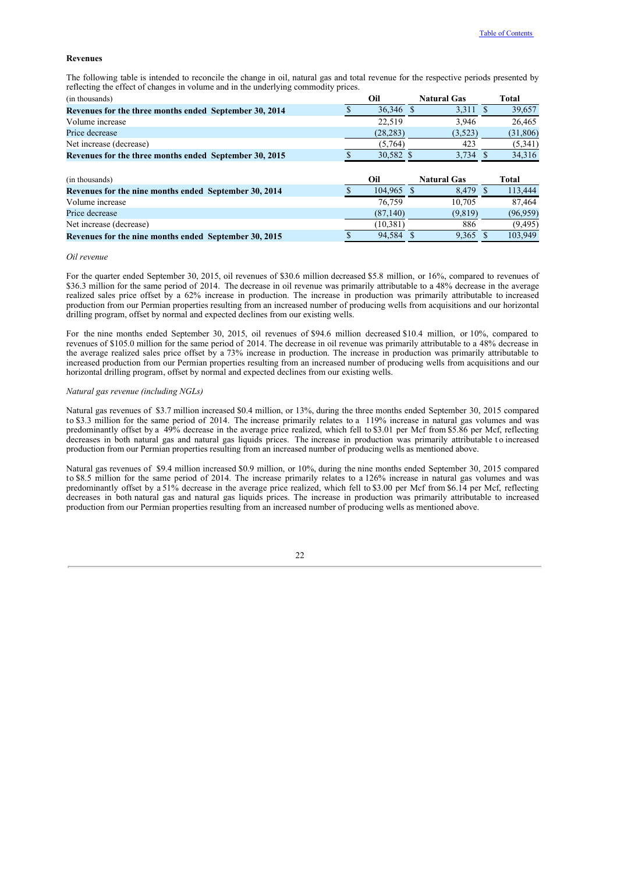#### **Revenues**

The following table is intended to reconcile the change in oil, natural gas and total revenue for the respective periods presented by reflecting the effect of changes in volume and in the underlying commodity prices.

| (in thousands)                                         | Oil       | <b>Natural Gas</b> | Total        |
|--------------------------------------------------------|-----------|--------------------|--------------|
| Revenues for the three months ended September 30, 2014 | 36,346 \$ | 3,311 \$           | 39,657       |
| Volume increase                                        | 22.519    | 3,946              | 26,465       |
| Price decrease                                         | (28, 283) | (3,523)            | (31, 806)    |
| Net increase (decrease)                                | (5,764)   | 423                | (5,341)      |
| Revenues for the three months ended September 30, 2015 | 30,582 \$ | 3,734              | 34,316       |
|                                                        |           |                    |              |
|                                                        |           |                    |              |
| (in thousands)                                         | Oil       | <b>Natural Gas</b> | <b>Total</b> |
| Revenues for the nine months ended September 30, 2014  | 104,965   | 8,479              | 113,444      |
| Volume increase                                        | 76.759    | 10.705             | 87,464       |
| Price decrease                                         | (87,140)  | (9,819)            | (96, 959)    |
| Net increase (decrease)                                | (10, 381) | 886                | (9, 495)     |

#### *Oil revenue*

For the quarter ended September 30, 2015, oil revenues of \$30.6 million decreased \$5.8 million, or 16%, compared to revenues of \$36.3 million for the same period of 2014. The decrease in oil revenue was primarily attributable to a 48% decrease in the average realized sales price offset by a 62% increase in production. The increase in production was primarily attributable to increased production from our Permian properties resulting from an increased number of producing wells from acquisitions and our horizontal drilling program, offset by normal and expected declines from our existing wells.

For the nine months ended September 30, 2015, oil revenues of \$94.6 million decreased \$10.4 million, or 10%, compared to revenues of \$105.0 million for the same period of 2014. The decrease in oil revenue was primarily attributable to a 48% decrease in the average realized sales price offset by a 73% increase in production. The increase in production was primarily attributable to increased production from our Permian properties resulting from an increased number of producing wells from acquisitions and our horizontal drilling program, offset by normal and expected declines from our existing wells.

#### *Natural gas revenue (including NGLs)*

Natural gas revenues of \$3.7 million increased \$0.4 million, or 13%, during the three months ended September 30, 2015 compared to \$3.3 million for the same period of 2014. The increase primarily relates to a 119% increase in natural gas volumes and was predominantly offset by a 49% decrease in the average price realized, which fell to \$3.01 per Mcf from \$5.86 per Mcf, reflecting decreases in both natural gas and natural gas liquids prices. The increase in production was primarily attributable to increased production from our Permian properties resulting from an increased number of producing wells as mentioned above.

Natural gas revenues of \$9.4 million increased \$0.9 million, or 10%, during the nine months ended September 30, 2015 compared to \$8.5 million for the same period of 2014. The increase primarily relates to a 126% increase in natural gas volumes and was predominantly offset by a51% decrease in the average price realized, which fell to \$3.00 per Mcf from \$6.14 per Mcf, reflecting decreases in both natural gas and natural gas liquids prices. The increase in production was primarily attributable to increased production from our Permian properties resulting from an increased number of producing wells as mentioned above.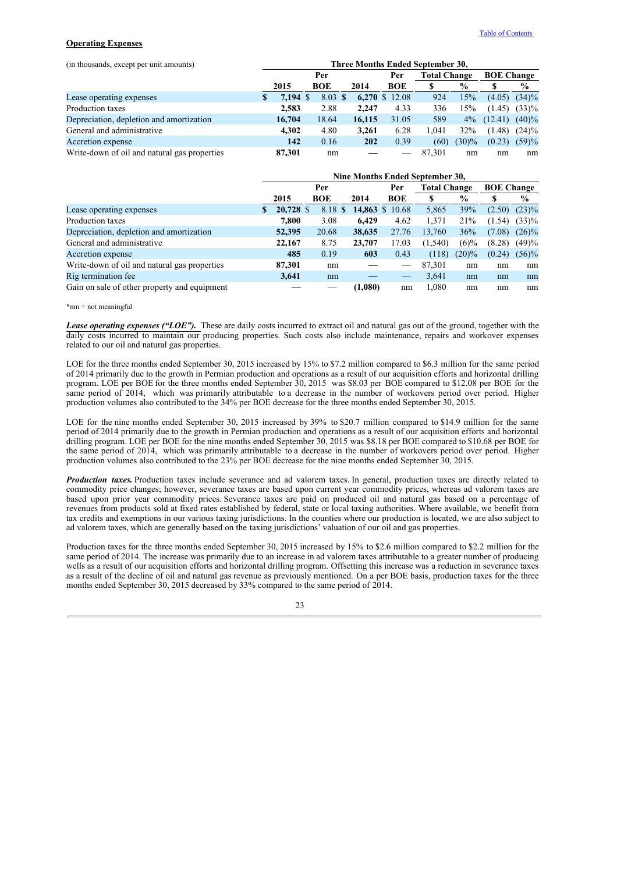#### **Operating Expenses**

| (in thousands, except per unit amounts)      | Three Months Ended September 30, |        |  |            |     |                     |                |                   |               |         |               |
|----------------------------------------------|----------------------------------|--------|--|------------|-----|---------------------|----------------|-------------------|---------------|---------|---------------|
|                                              |                                  | Per    |  |            | Per | <b>Total Change</b> |                | <b>BOE Change</b> |               |         |               |
|                                              |                                  | 2015   |  | <b>BOE</b> |     | 2014                | <b>BOE</b>     |                   | $\frac{6}{9}$ |         | $\frac{6}{9}$ |
| Lease operating expenses                     |                                  | 7.194  |  | 8.03 S     |     |                     | 6,270 \$ 12.08 | 924               | 15%           | (4.05)  | $(34)\%$      |
| Production taxes                             |                                  | 2.583  |  | 2.88       |     | 2.247               | 4.33           | 336               | 15%           | (1.45)  | $(33)\%$      |
| Depreciation, depletion and amortization     |                                  | 16,704 |  | 18.64      |     | 16.115              | 31.05          | 589               | $4\%$         | (12.41) | $(40)\%$      |
| General and administrative                   |                                  | 4.302  |  | 4.80       |     | 3.261               | 6.28           | 1.041             | 32%           | (1.48)  | $(24)\%$      |
| Accretion expense                            |                                  | 142    |  | 0.16       |     | <b>202</b>          | 0.39           | (60)              | $(30)\%$      | (0.23)  | (59)%         |
| Write-down of oil and natural gas properties |                                  | 87,301 |  | nm         |     |                     |                | 87.301            | nm            | nm      | nm            |

|                                              |    | Nine Months Ended September 30, |            |         |                          |                     |          |                   |          |
|----------------------------------------------|----|---------------------------------|------------|---------|--------------------------|---------------------|----------|-------------------|----------|
|                                              |    |                                 | Per        |         | Per                      | <b>Total Change</b> |          | <b>BOE Change</b> |          |
|                                              |    | 2015                            | <b>BOE</b> | 2014    | <b>BOE</b>               | S                   | $\%$     | S                 | $\%$     |
| Lease operating expenses                     | S. | 20,728 \$                       | 8.18 \$    |         | 14,863 \$ 10.68          | 5,865               | 39%      | (2.50)            | $(23)\%$ |
| Production taxes                             |    | 7,800                           | 3.08       | 6.429   | 4.62                     | 1,371               | 21%      | (1.54)            | $(33)\%$ |
| Depreciation, depletion and amortization     |    | 52,395                          | 20.68      | 38,635  | 27.76                    | 13.760              | 36%      | (7.08)            | $(26)\%$ |
| General and administrative                   |    | 22,167                          | 8.75       | 23,707  | 17.03                    | (1,540)             | $(6)\%$  | (8.28)            | (49)%    |
| Accretion expense                            |    | 485                             | 0.19       | 603     | 0.43                     | (118)               | $(20)\%$ | (0.24)            | $(56)\%$ |
| Write-down of oil and natural gas properties |    | 87,301                          | nm         |         | $\overline{\phantom{a}}$ | 87,301              | nm       | nm                | nm       |
| Rig termination fee.                         |    | 3,641                           | nm         |         |                          | 3.641               | nm       | nm                | nm       |
| Gain on sale of other property and equipment |    |                                 |            | (1,080) | nm                       | 1.080               | nm       | nm                | nm       |

 $*<sub>nm</sub> = not meaningful$ 

*Lease operating expenses ("LOE").* These are daily costs incurred to extract oil and natural gas out of the ground, together with the daily costs incurred to maintain our producing properties. Such costs also include maintenance, repairs and workover expenses related to our oil and natural gas properties.

LOE for the three months ended September 30, 2015 increased by 15% to \$7.2 million compared to \$6.3 million for the same period of 2014 primarily due to the growth in Permian production and operations as a result of our acquisition efforts and horizontal drilling program. LOE per BOE for the three months ended September 30, 2015 was \$8.03 per BOE compared to \$12.08 per BOE for the same period of 2014, which was primarily attributable to a decrease in the number of workovers period over period. Higher production volumes also contributed to the 34% per BOE decrease for the three months ended September 30, 2015.

LOE for the nine months ended September 30, 2015 increased by 39% to \$20.7 million compared to \$14.9 million for the same period of 2014 primarily due to the growth in Permian production and operations as a result of our acquisition efforts and horizontal drilling program. LOE per BOE for the nine months ended September 30, 2015 was \$8.18 per BOE compared to \$10.68 per BOE for the same period of 2014, which was primarily attributable to a decrease in the number of workovers period over period. Higher production volumes also contributed to the 23% per BOE decrease for the nine months ended September 30, 2015.

*Production taxes.* Production taxes include severance and ad valorem taxes. In general, production taxes are directly related to commodity price changes; however, severance taxes are based upon current year commodity prices, whereas ad valorem taxes are based upon prior year commodity prices. Severance taxes are paid on produced oil and natural gas based on a percentage of revenues from products sold at fixed rates established by federal, state or local taxing authorities. Where available, we benefit from tax credits and exemptions in our various taxing jurisdictions. In the counties where our production is located, we are also subject to ad valorem taxes, which are generally based on the taxing jurisdictions' valuation of our oil and gas properties.

Production taxes for the three months ended September 30, 2015 increased by 15% to \$2.6 million compared to \$2.2 million for the same period of 2014. The increase was primarily due to an increase in ad valorem taxes attributable to a greater number of producing wells as a result of our acquisition efforts and horizontal drilling program. Offsetting this increase was a reduction in severance taxes as a result of the decline of oil and natural gas revenue as previously mentioned. On a per BOE basis, production taxes for the three months ended September 30, 2015 decreased by 33% compared to the same period of 2014.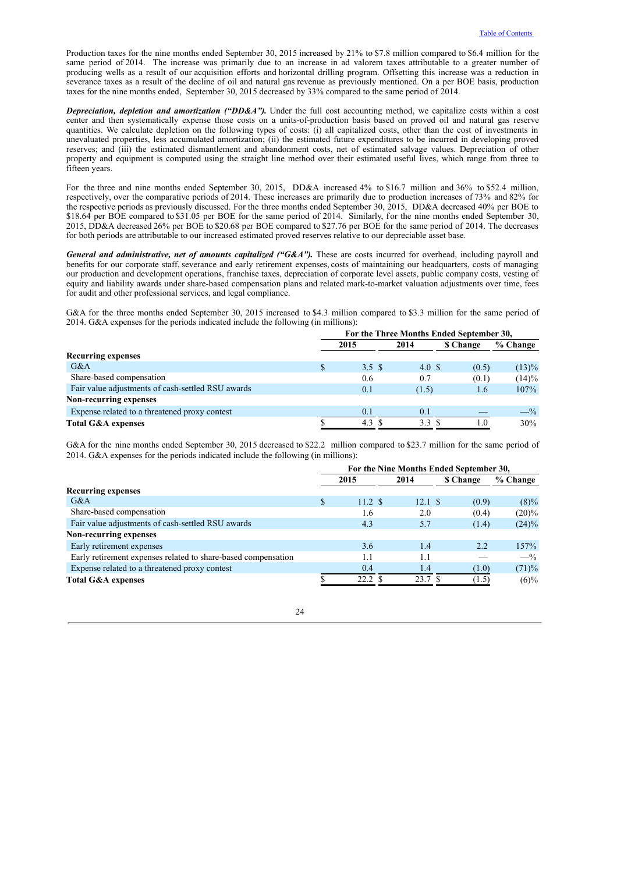Production taxes for the nine months ended September 30, 2015 increased by 21% to \$7.8 million compared to \$6.4 million for the same period of 2014. The increase was primarily due to an increase in ad valorem taxes attributable to a greater number of producing wells as a result of our acquisition efforts and horizontal drilling program. Offsetting this increase was a reduction in severance taxes as a result of the decline of oil and natural gas revenue as previously mentioned. On a per BOE basis, production taxes for the nine months ended, September 30, 2015 decreased by 33% compared to the same period of 2014.

*Depreciation, depletion and amortization ("DD&A").* Under the full cost accounting method, we capitalize costs within a cost center and then systematically expense those costs on a units-of-production basis based on proved oil and natural gas reserve quantities. We calculate depletion on the following types of costs: (i) all capitalized costs, other than the cost of investments in unevaluated properties, less accumulated amortization; (ii) the estimated future expenditures to be incurred in developing proved reserves; and (iii) the estimated dismantlement and abandonment costs, net of estimated salvage values. Depreciation of other property and equipment is computed using the straight line method over their estimated useful lives, which range from three to fifteen years.

For the three and nine months ended September 30, 2015, DD&A increased 4% to \$16.7 million and 36% to \$52.4 million, respectively, over the comparative periods of 2014. These increases are primarily due to production increases of 73% and 82% for the respective periods as previously discussed. For the three months ended September 30, 2015, DD&A decreased 40% per BOE to \$18.64 per BOE compared to \$31.05 per BOE for the same period of 2014. Similarly, for the nine months ended September 30, 2015, DD&A decreased 26% per BOE to \$20.68 per BOE compared to\$27.76 per BOE for the same period of 2014. The decreases for both periods are attributable to our increased estimated proved reserves relative to our depreciable asset base.

*General and administrative, net of amounts capitalized ("G&A").* These are costs incurred for overhead, including payroll and benefits for our corporate staff, severance and early retirement expenses, costs of maintaining our headquarters, costs of managing our production and development operations, franchise taxes, depreciation of corporate level assets, public company costs, vesting of equity and liability awards under share-based compensation plans and related mark-to-market valuation adjustments over time, fees for audit and other professional services, and legal compliance.

G&A for the three months ended September 30, 2015 increased to \$4.3 million compared to \$3.3 million for the same period of 2014. G&A expenses for the periods indicated include the following (in millions):

|                                                   | For the Three Months Ended September 30, |                   |                  |                 |            |  |  |
|---------------------------------------------------|------------------------------------------|-------------------|------------------|-----------------|------------|--|--|
|                                                   |                                          | 2015              | 2014             | <b>S</b> Change | $%$ Change |  |  |
| <b>Recurring expenses</b>                         |                                          |                   |                  |                 |            |  |  |
| G&A                                               | \$                                       | $3.5 \text{ }$ \$ | 4.0 \$           | (0.5)           | $(13)\%$   |  |  |
| Share-based compensation                          |                                          | 0.6               | 0.7              | (0.1)           | $(14)\%$   |  |  |
| Fair value adjustments of cash-settled RSU awards |                                          | 0.1               | (1.5)            | 1.6             | 107%       |  |  |
| Non-recurring expenses                            |                                          |                   |                  |                 |            |  |  |
| Expense related to a threatened proxy contest     |                                          | 0.1               | 0.1              |                 | $-$ %      |  |  |
| <b>Total G&amp;A expenses</b>                     |                                          | 4.3 \$            | 3.3 <sup>°</sup> | 1.0             | 30%        |  |  |

G&A for the nine months ended September 30, 2015 decreased to \$22.2 million compared to \$23.7 million for the same period of 2014. G&A expenses for the periods indicated include the following (in millions):

|                                                               | For the Nine Months Ended September 30, |                    |                    |                 |            |  |
|---------------------------------------------------------------|-----------------------------------------|--------------------|--------------------|-----------------|------------|--|
|                                                               |                                         | 2015               | 2014               | <b>S</b> Change | $%$ Change |  |
| <b>Recurring expenses</b>                                     |                                         |                    |                    |                 |            |  |
| G&A                                                           | S                                       | $11.2 \text{ }$ \$ | $12.1 \text{ }$ \$ | (0.9)           | $(8)\%$    |  |
| Share-based compensation                                      |                                         | 1.6                | 2.0                | (0.4)           | $(20)\%$   |  |
| Fair value adjustments of cash-settled RSU awards             |                                         | 4.3                | 5.7                | (1.4)           | $(24)\%$   |  |
| Non-recurring expenses                                        |                                         |                    |                    |                 |            |  |
| Early retirement expenses                                     |                                         | 3.6                | 1.4                | 2.2             | 157%       |  |
| Early retirement expenses related to share-based compensation |                                         | 1.1                | 1.1                |                 | $-$ %      |  |
| Expense related to a threatened proxy contest                 |                                         | 0.4                | 1.4                | (1.0)           | (71)%      |  |
| <b>Total G&amp;A expenses</b>                                 |                                         | $22.2 \text{ s}$   | 23.7 \$            | (1.5)           | $(6)\%$    |  |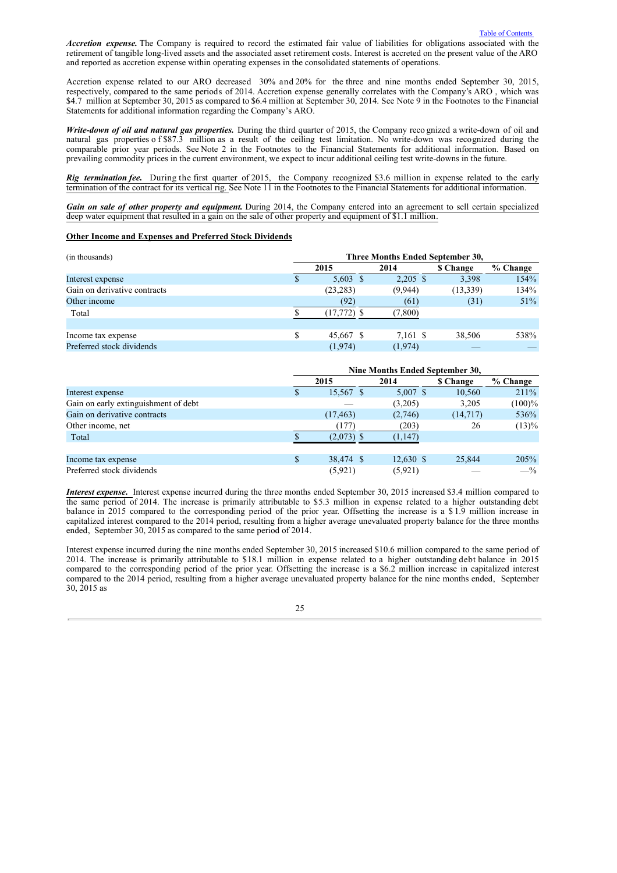*Accretion expense.* The Company is required to record the estimated fair value of liabilities for obligations associated with the retirement of tangible long-lived assets and the associated asset retirement costs. Interest is accreted on the present value of the ARO and reported as accretion expense within operating expenses in the consolidated statements of operations.

Accretion expense related to our ARO decreased 30% and 20% for the three and nine months ended September 30, 2015, respectively, compared to the same periods of 2014. Accretion expense generally correlates with the Company's ARO , which was \$4.7 million at September 30, 2015 as compared to \$6.4 million at September 30, 2014. See Note 9 in the Footnotes to the Financial Statements for additional information regarding the Company's ARO.

*Write-down of oil and natural gas properties.* During the third quarter of 2015, the Company recognized a write-down of oil and natural gas properties o f \$87.3 million as a result of the ceiling test limitation. No write-down was recognized during the comparable prior year periods. See Note 2 in the Footnotes to the Financial Statements for additional information. Based on prevailing commodity prices in the current environment, we expect to incur additional ceiling test write-downs in the future.

*Rig termination fee.* During the first quarter of 2015, the Company recognized \$3.6 million in expense related to the early termination of the contract for its vertical rig. See Note 11 in the Footnotes to the Financial Statements for additional information.

*Gain on sale of other property and equipment.* During 2014, the Company entered into an agreement to sell certain specialized deep water equipment that resulted in a gain on the sale of other property and equipment of \$1.1 million.

## **Other Income and Expenses and Preferred Stock Dividends**

| (in thousands)               |    | Three Months Ended September 30, |            |           |            |  |  |  |  |
|------------------------------|----|----------------------------------|------------|-----------|------------|--|--|--|--|
|                              |    | 2015                             | 2014       | \$ Change | $%$ Change |  |  |  |  |
| Interest expense             | S  | $5,603$ \$                       | $2,205$ \$ | 3,398     | 154%       |  |  |  |  |
| Gain on derivative contracts |    | (23, 283)                        | (9,944)    | (13, 339) | 134%       |  |  |  |  |
| Other income                 |    | (92)                             | (61)       | (31)      | 51%        |  |  |  |  |
| Total                        |    | (17,772) \$                      | (7,800)    |           |            |  |  |  |  |
|                              |    |                                  |            |           |            |  |  |  |  |
| Income tax expense           | \$ | 45,667 \$                        | 7,161 \$   | 38,506    | 538%       |  |  |  |  |
| Preferred stock dividends    |    | (1, 974)                         | (1, 974)   |           |            |  |  |  |  |

|                                      |    | Nine Months Ended September 30, |             |                 |           |  |  |  |
|--------------------------------------|----|---------------------------------|-------------|-----------------|-----------|--|--|--|
|                                      |    | 2015                            | 2014        | <b>S</b> Change | % Change  |  |  |  |
| Interest expense                     | S  | 15,567 \$                       | $5,007$ \$  | 10,560          | 211%      |  |  |  |
| Gain on early extinguishment of debt |    |                                 | (3,205)     | 3,205           | $(100)\%$ |  |  |  |
| Gain on derivative contracts         |    | (17, 463)                       | (2,746)     | (14,717)        | 536%      |  |  |  |
| Other income, net                    |    | (177)                           | (203)       | 26              | $(13)\%$  |  |  |  |
| Total                                |    | $(2,073)$ \$                    | (1,147)     |                 |           |  |  |  |
|                                      |    |                                 |             |                 |           |  |  |  |
| Income tax expense                   | \$ | 38,474 \$                       | $12,630$ \$ | 25,844          | 205%      |  |  |  |
| Preferred stock dividends            |    | (5, 921)                        | (5, 921)    |                 | $-$ %     |  |  |  |

*Interest expense***.** Interest expense incurred during the three months ended September 30, 2015 increased \$3.4 million compared to the same period of 2014. The increase is primarily attributable to \$5.3 million in expense related to a higher outstanding debt balance in 2015 compared to the corresponding period of the prior year. Offsetting the increase is a \$1.9 million increase in capitalized interest compared to the 2014 period, resulting from a higher average unevaluated property balance for the three months ended, September 30, 2015 as compared to the same period of 2014.

Interest expense incurred during the nine months ended September 30, 2015 increased \$10.6 million compared to the same period of 2014. The increase is primarily attributable to \$18.1 million in expense related to a higher outstanding debt balance in 2015 compared to the corresponding period of the prior year. Offsetting the increase is a \$6.2 million increase in capitalized interest compared to the 2014 period, resulting from a higher average unevaluated property balance for the nine months ended, September 30, 2015 as

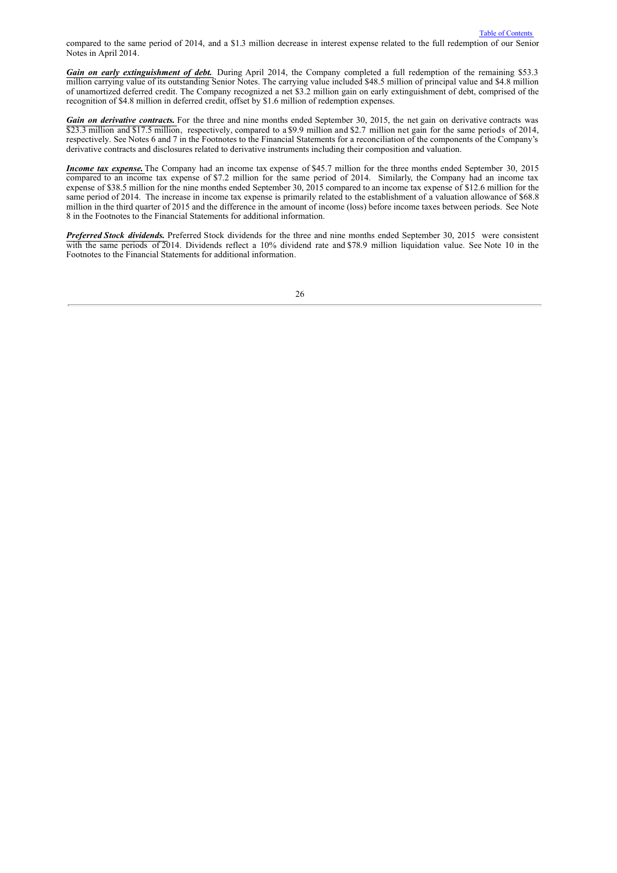compared to the same period of 2014, and a \$1.3 million decrease in interest expense related to the full redemption of our Senior Notes in April 2014.

*Gain on early extinguishment of debt.* During April 2014, the Company completed a full redemption of the remaining \$53.3 million carrying value of its outstanding Senior Notes. The carrying value included \$48.5 million of principal value and \$4.8 million of unamortized deferred credit. The Company recognized a net \$3.2 million gain on early extinguishment of debt, comprised of the recognition of \$4.8 million in deferred credit, offset by \$1.6 million of redemption expenses.

*Gain on derivative contracts.* For the three and nine months ended September 30, 2015, the net gain on derivative contracts was \$23.3 million and \$17.5 million, respectively, compared to a\$9.9 million and \$2.7 million net gain for the same periods of 2014, respectively. See Notes 6 and 7 in the Footnotes to the Financial Statements for a reconciliation of the components of the Company's derivative contracts and disclosures related to derivative instruments including their composition and valuation.

*Income tax expense.* The Company had an income tax expense of \$45.7 million for the three months ended September 30, 2015 compared to an income tax expense of \$7.2 million for the same period of 2014. Similarly, the Company had an income tax expense of \$38.5 million for the nine months ended September 30, 2015 compared to an income tax expense of \$12.6 million for the same period of 2014. The increase in income tax expense is primarily related to the establishment of a valuation allowance of \$68.8 million in the third quarter of 2015 and the difference in the amount of income (loss) before income taxes between periods. See Note 8 in the Footnotes to the Financial Statements for additional information.

*Preferred Stock dividends.* Preferred Stock dividends for the three and nine months ended September 30, 2015 were consistent with the same periods of 2014. Dividends reflect a 10% dividend rate and \$78.9 million liquidation value. See Note 10 in the Footnotes to the Financial Statements for additional information.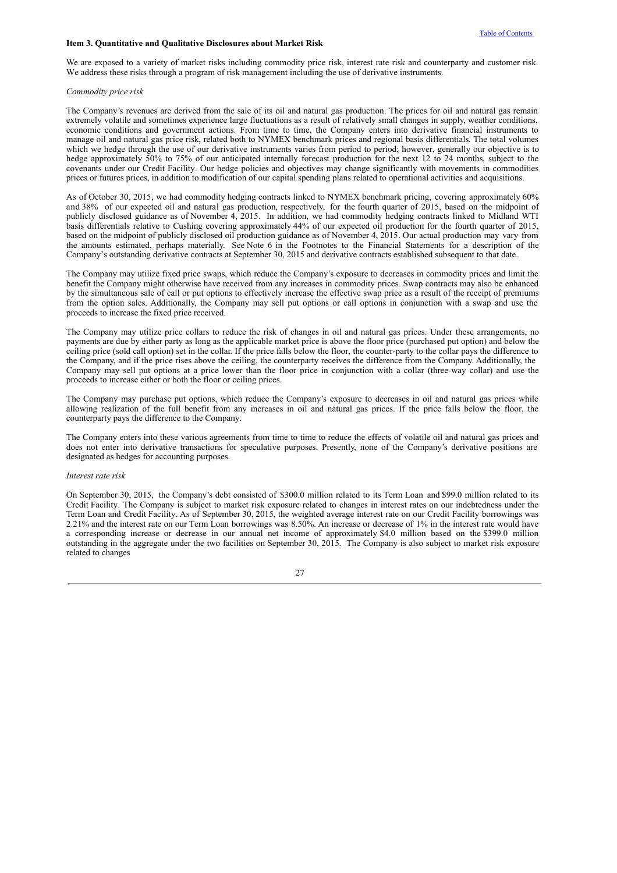#### <span id="page-26-0"></span>**Item 3. Quantitative and Qualitative Disclosures about Market Risk**

We are exposed to a variety of market risks including commodity price risk, interest rate risk and counterparty and customer risk. We address these risks through a program of risk management including the use of derivative instruments.

#### *Commodity price risk*

The Company's revenues are derived from the sale of its oil and natural gas production. The prices for oil and natural gas remain extremely volatile and sometimes experience large fluctuations as a result of relatively small changes in supply, weather conditions, economic conditions and government actions. From time to time, the Company enters into derivative financial instruments to manage oil and natural gas price risk, related both to NYMEX benchmark prices and regional basis differentials. The total volumes which we hedge through the use of our derivative instruments varies from period to period; however, generally our objective is to hedge approximately 50% to 75% of our anticipated internally forecast production for the next 12 to 24 months, subject to the covenants under our Credit Facility. Our hedge policies and objectives may change significantly with movements in commodities prices or futures prices, in addition to modification of our capital spending plans related to operational activities and acquisitions.

As of October 30, 2015, we had commodity hedging contracts linked to NYMEX benchmark pricing, covering approximately 60% and 38% of our expected oil and natural gas production, respectively, for the fourth quarter of 2015, based on the midpoint of publicly disclosed guidance as of November 4, 2015. In addition, we had commodity hedging contracts linked to Midland WTI basis differentials relative to Cushing covering approximately 44% of our expected oil production for the fourth quarter of 2015, based on the midpoint of publicly disclosed oil production guidance as of November 4, 2015. Our actual production may vary from the amounts estimated, perhaps materially. See Note 6 in the Footnotes to the Financial Statements for a description of the Company's outstanding derivative contracts at September 30, 2015 and derivative contracts established subsequent to that date.

The Company may utilize fixed price swaps, which reduce the Company's exposure to decreases in commodity prices and limit the benefit the Company might otherwise have received from any increases in commodity prices. Swap contracts may also be enhanced by the simultaneous sale of call or put options to effectively increase the effective swap price as a result of the receipt of premiums from the option sales. Additionally, the Company may sell put options or call options in conjunction with a swap and use the proceeds to increase the fixed price received.

The Company may utilize price collars to reduce the risk of changes in oil and natural gas prices. Under these arrangements, no payments are due by either party as long as the applicable market price is above the floor price (purchased put option) and below the ceiling price (sold call option) set in the collar. If the price falls below the floor, the counter-party to the collar pays the difference to the Company, and if the price rises above the ceiling, the counterparty receives the difference from the Company. Additionally, the Company may sell put options at a price lower than the floor price in conjunction with a collar (three-way collar) and use the proceeds to increase either or both the floor or ceiling prices.

The Company may purchase put options, which reduce the Company's exposure to decreases in oil and natural gas prices while allowing realization of the full benefit from any increases in oil and natural gas prices. If the price falls below the floor, the counterparty pays the difference to the Company.

The Company enters into these various agreements from time to time to reduce the effects of volatile oil and natural gas prices and does not enter into derivative transactions for speculative purposes. Presently, none of the Company's derivative positions are designated as hedges for accounting purposes.

#### *Interest rate risk*

On September 30, 2015, the Company's debt consisted of \$300.0 million related to its Term Loan and \$99.0 million related to its Credit Facility. The Company is subject to market risk exposure related to changes in interest rates on our indebtedness under the Term Loan and Credit Facility. As of September 30, 2015, the weighted average interest rate on our Credit Facility borrowings was 2.21% and the interest rate on our Term Loan borrowings was 8.50%. An increase or decrease of 1% in the interest rate would have a corresponding increase or decrease in our annual net income of approximately \$4.0 million based on the \$399.0 million outstanding in the aggregate under the two facilities on September 30, 2015. The Company is also subject to market risk exposure related to changes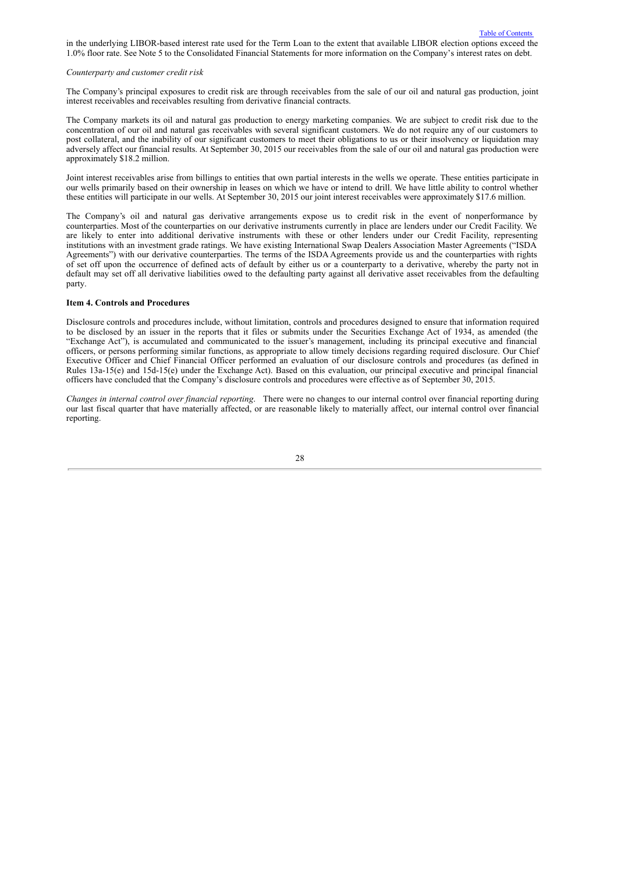in the underlying LIBOR-based interest rate used for the Term Loan to the extent that available LIBOR election options exceed the 1.0% floor rate. See Note 5 to the Consolidated Financial Statements for more information on the Company's interest rates on debt.

#### *Counterparty and customer credit risk*

The Company's principal exposures to credit risk are through receivables from the sale of our oil and natural gas production, joint interest receivables and receivables resulting from derivative financial contracts.

The Company markets its oil and natural gas production to energy marketing companies. We are subject to credit risk due to the concentration of our oil and natural gas receivables with several significant customers. We do not require any of our customers to post collateral, and the inability of our significant customers to meet their obligations to us or their insolvency or liquidation may adversely affect our financial results. At September 30, 2015 our receivables from the sale of our oil and natural gas production were approximately \$18.2 million.

Joint interest receivables arise from billings to entities that own partial interests in the wells we operate. These entities participate in our wells primarily based on their ownership in leases on which we have or intend to drill. We have little ability to control whether these entities will participate in our wells. At September 30, 2015 our joint interest receivables were approximately \$17.6 million.

The Company's oil and natural gas derivative arrangements expose us to credit risk in the event of nonperformance by counterparties. Most of the counterparties on our derivative instruments currently in place are lenders under our Credit Facility. We are likely to enter into additional derivative instruments with these or other lenders under our Credit Facility, representing institutions with an investment grade ratings. We have existing International Swap Dealers Association Master Agreements ("ISDA Agreements") with our derivative counterparties. The terms of the ISDA Agreements provide us and the counterparties with rights of set off upon the occurrence of defined acts of default by either us or a counterparty to a derivative, whereby the party not in default may set off all derivative liabilities owed to the defaulting party against all derivative asset receivables from the defaulting party.

#### **Item 4. Controls and Procedures**

Disclosure controls and procedures include, without limitation, controls and procedures designed to ensure that information required to be disclosed by an issuer in the reports that it files or submits under the Securities Exchange Act of 1934, as amended (the "Exchange Act"), is accumulated and communicated to the issuer's management, including its principal executive and financial officers, or persons performing similar functions, as appropriate to allow timely decisions regarding required disclosure. Our Chief Executive Officer and Chief Financial Officer performed an evaluation of our disclosure controls and procedures (as defined in Rules 13a-15(e) and 15d-15(e) under the Exchange Act). Based on this evaluation, our principal executive and principal financial officers have concluded that the Company's disclosure controls and procedures were effective as of September 30, 2015.

*Changes in internal control over financial reporting*. There were no changes to our internal control over financial reporting during our last fiscal quarter that have materially affected, or are reasonable likely to materially affect, our internal control over financial reporting.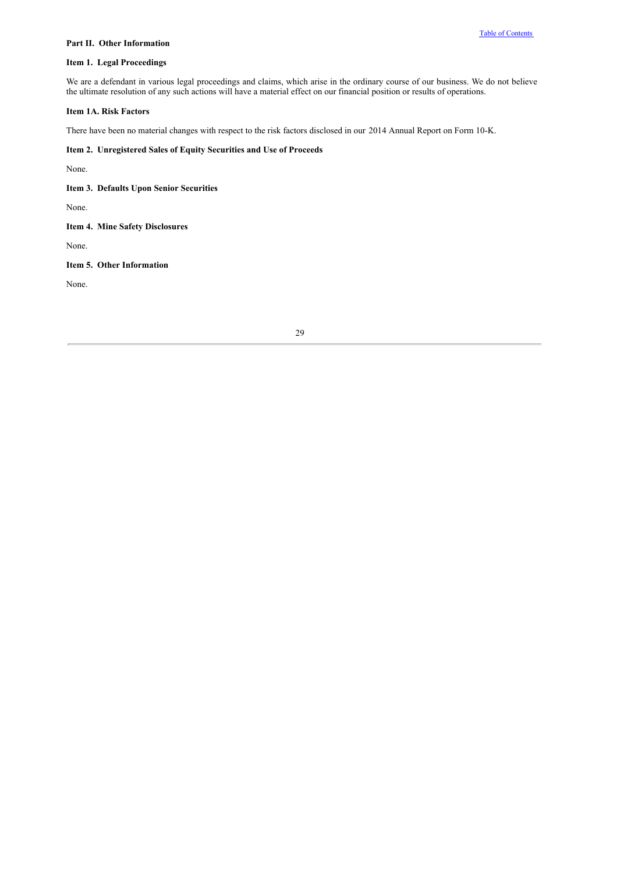#### **Part II. Other Information**

## **Item 1. Legal Proceedings**

We are a defendant in various legal proceedings and claims, which arise in the ordinary course of our business. We do not believe the ultimate resolution of any such actions will have a material effect on our financial position or results of operations.

## **Item 1A. Risk Factors**

There have been no material changes with respect to the risk factors disclosed in our 2014 Annual Report on Form 10-K.

## **Item 2. Unregistered Sales of Equity Securities and Use of Proceeds**

None.

**Item 3. Defaults Upon Senior Securities**

None.

**Item 4. Mine Safety Disclosures**

None.

## **Item 5. Other Information**

None.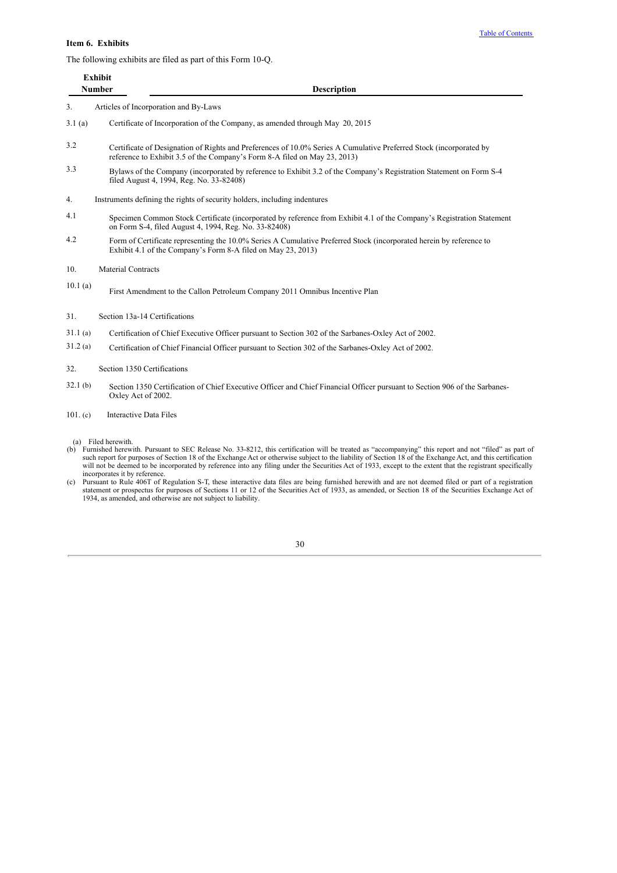## <span id="page-29-0"></span>**Item 6. Exhibits**

The following exhibits are filed as part of this Form 10-Q.

|                     | <b>Exhibit</b><br><b>Number</b>                      | <b>Description</b>                                                                                                                                                                                                                                                                                                                                                                                                                                                                   |
|---------------------|------------------------------------------------------|--------------------------------------------------------------------------------------------------------------------------------------------------------------------------------------------------------------------------------------------------------------------------------------------------------------------------------------------------------------------------------------------------------------------------------------------------------------------------------------|
| 3.                  |                                                      | Articles of Incorporation and By-Laws                                                                                                                                                                                                                                                                                                                                                                                                                                                |
| 3.1(a)              |                                                      | Certificate of Incorporation of the Company, as amended through May 20, 2015                                                                                                                                                                                                                                                                                                                                                                                                         |
| 3.2                 |                                                      | Certificate of Designation of Rights and Preferences of 10.0% Series A Cumulative Preferred Stock (incorporated by<br>reference to Exhibit 3.5 of the Company's Form 8-A filed on May 23, 2013)                                                                                                                                                                                                                                                                                      |
| 3.3                 |                                                      | Bylaws of the Company (incorporated by reference to Exhibit 3.2 of the Company's Registration Statement on Form S-4<br>filed August 4, 1994, Reg. No. 33-82408)                                                                                                                                                                                                                                                                                                                      |
| 4.                  |                                                      | Instruments defining the rights of security holders, including indentures                                                                                                                                                                                                                                                                                                                                                                                                            |
| 4.1                 |                                                      | Specimen Common Stock Certificate (incorporated by reference from Exhibit 4.1 of the Company's Registration Statement<br>on Form S-4, filed August 4, 1994, Reg. No. 33-82408)                                                                                                                                                                                                                                                                                                       |
| 4.2                 |                                                      | Form of Certificate representing the 10.0% Series A Cumulative Preferred Stock (incorporated herein by reference to<br>Exhibit 4.1 of the Company's Form 8-A filed on May 23, 2013)                                                                                                                                                                                                                                                                                                  |
| 10.                 | <b>Material Contracts</b>                            |                                                                                                                                                                                                                                                                                                                                                                                                                                                                                      |
| 10.1(a)             |                                                      | First Amendment to the Callon Petroleum Company 2011 Omnibus Incentive Plan                                                                                                                                                                                                                                                                                                                                                                                                          |
| 31.                 |                                                      | Section 13a-14 Certifications                                                                                                                                                                                                                                                                                                                                                                                                                                                        |
| 31.1(a)             |                                                      | Certification of Chief Executive Officer pursuant to Section 302 of the Sarbanes-Oxley Act of 2002.                                                                                                                                                                                                                                                                                                                                                                                  |
| 31.2(a)             |                                                      | Certification of Chief Financial Officer pursuant to Section 302 of the Sarbanes-Oxley Act of 2002.                                                                                                                                                                                                                                                                                                                                                                                  |
| 32.                 |                                                      | Section 1350 Certifications                                                                                                                                                                                                                                                                                                                                                                                                                                                          |
| 32.1 <sub>(b)</sub> |                                                      | Section 1350 Certification of Chief Executive Officer and Chief Financial Officer pursuant to Section 906 of the Sarbanes-<br>Oxley Act of 2002.                                                                                                                                                                                                                                                                                                                                     |
| 101. (c)            |                                                      | Interactive Data Files                                                                                                                                                                                                                                                                                                                                                                                                                                                               |
|                     | (a) Filed herewith.<br>incorporates it by reference. | (b) Furnished herewith. Pursuant to SEC Release No. 33-8212, this certification will be treated as "accompanying" this report and not "filed" as part of<br>such report for purposes of Section 18 of the Exchange Act or otherwise subject to the liability of Section 18 of the Exchange Act, and this certification<br>will not be deemed to be incorporated by reference into any filing under the Securities Act of 1933, except to the extent that the registrant specifically |

incorporates it by reference.<br>
(c) Pursuant to Rule 406T of Regulation S-T, these interactive data files are being furnished herewith and are not deemed filed or part of a registration<br>
statement or prospectus for purposes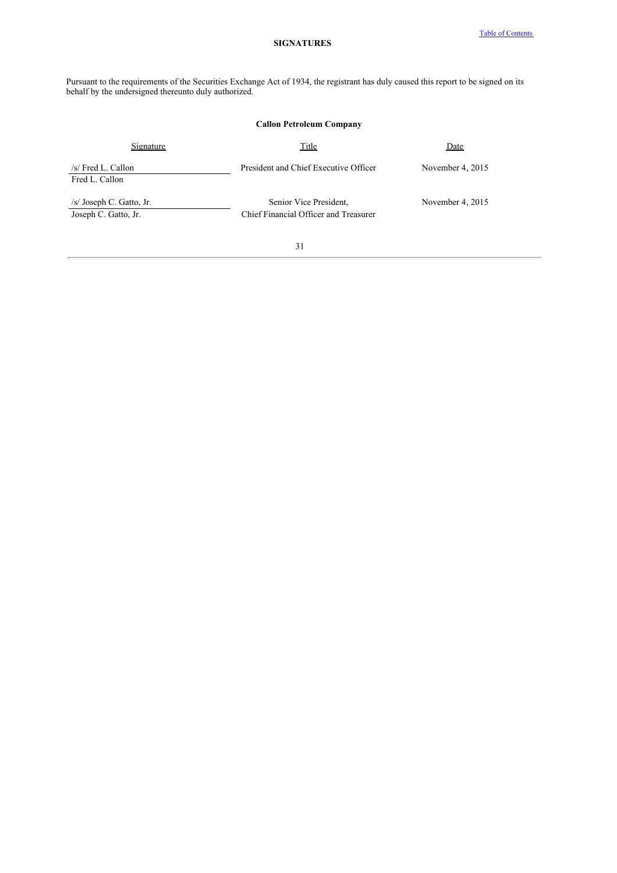## **SIGNATURES**

Pursuant to the requirements of the Securities Exchange Act of 1934, the registrant has duly caused this report to be signed on its behalf by the undersigned thereunto duly authorized.

## **Callon Petroleum Company**

| Signature                                        | Title                                                           | Date             |
|--------------------------------------------------|-----------------------------------------------------------------|------------------|
| /s/ Fred L. Callon<br>Fred L. Callon             | President and Chief Executive Officer                           | November 4, 2015 |
| /s/ Joseph C. Gatto, Jr.<br>Joseph C. Gatto, Jr. | Senior Vice President,<br>Chief Financial Officer and Treasurer | November 4, 2015 |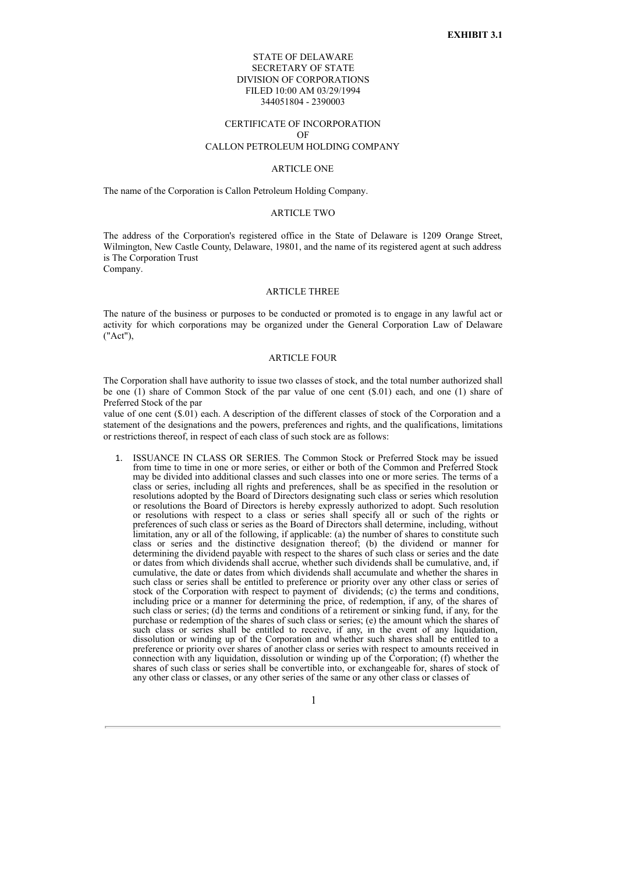## STATE OF DELAWARE SECRETARY OF STATE DIVISION OF CORPORATIONS FILED 10:00 AM 03/29/1994 344051804 - 2390003

#### CERTIFICATE OF INCORPORATION  $\Omega$ F CALLON PETROLEUM HOLDING COMPANY

#### ARTICLE ONE

The name of the Corporation is Callon Petroleum Holding Company.

### ARTICLE TWO

The address of the Corporation's registered office in the State of Delaware is 1209 Orange Street, Wilmington, New Castle County, Delaware, 19801, and the name of its registered agent at such address is The Corporation Trust

Company.

#### ARTICLE THREE

The nature of the business or purposes to be conducted or promoted is to engage in any lawful act or activity for which corporations may be organized under the General Corporation Law of Delaware ("Act"),

#### ARTICLE FOUR

The Corporation shall have authority to issue two classes of stock, and the total number authorized shall be one (1) share of Common Stock of the par value of one cent (\$.01) each, and one (1) share of Preferred Stock of the par

value of one cent (\$.01) each. A description of the different classes of stock of the Corporation and a statement of the designations and the powers, preferences and rights, and the qualifications, limitations or restrictions thereof, in respect of each class of such stock are as follows:

1. ISSUANCE IN CLASS OR SERIES. The Common Stock or Preferred Stock may be issued from time to time in one or more series, or either or both of the Common and Preferred Stock may be divided into additional classes and such classes into one or more series. The terms of a class or series, including all rights and preferences, shall be as specified in the resolution or resolutions adopted by the Board of Directors designating such class or series which resolution or resolutions the Board of Directors is hereby expressly authorized to adopt. Such resolution or resolutions with respect to a class or series shall specify all or such of the rights or preferences of such class or series as the Board of Directors shall determine, including, without limitation, any or all of the following, if applicable: (a) the number of shares to constitute such class or series and the distinctive designation thereof; (b) the dividend or manner for determining the dividend payable with respect to the shares of such class or series and the date or dates from which dividends shall accrue, whether such dividends shall be cumulative, and, if cumulative, the date or dates from which dividends shall accumulate and whether the shares in such class or series shall be entitled to preference or priority over any other class or series of stock of the Corporation with respect to payment of dividends; (c) the terms and conditions, including price or a manner for determining the price, of redemption, if any, of the shares of such class or series; (d) the terms and conditions of a retirement or sinking fund, if any, for the purchase or redemption of the shares of such class or series; (e) the amount which the shares of such class or series shall be entitled to receive, if any, in the event of any liquidation, dissolution or winding up of the Corporation and whether such shares shall be entitled to a preference or priority over shares of another class or series with respect to amounts received in connection with any liquidation, dissolution or winding up of the Corporation; (f) whether the shares of such class or series shall be convertible into, or exchangeable for, shares of stock of any other class or classes, or any other series of the same or any other class or classes of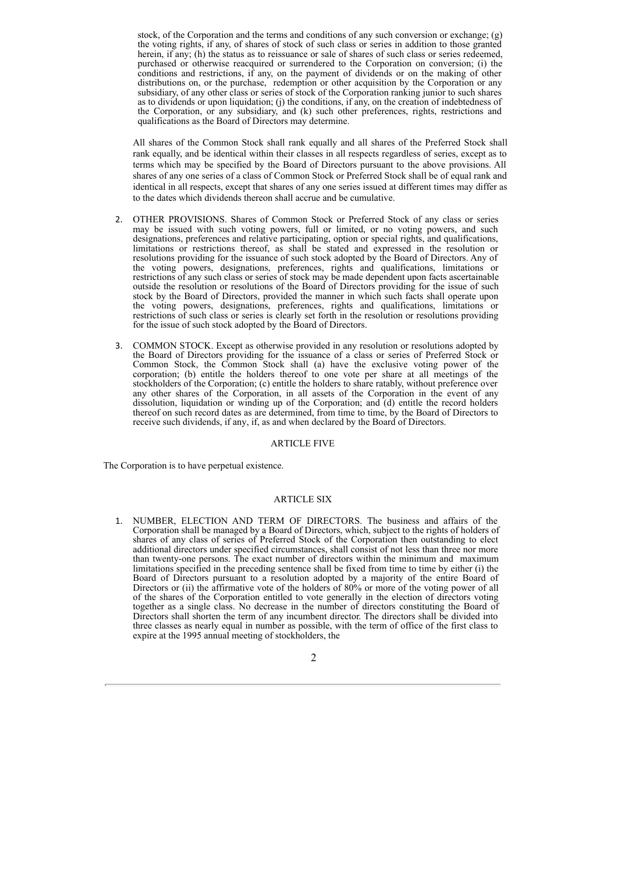stock, of the Corporation and the terms and conditions of any such conversion or exchange; (g) the voting rights, if any, of shares of stock of such class or series in addition to those granted herein, if any; (h) the status as to reissuance or sale of shares of such class or series redeemed, purchased or otherwise reacquired or surrendered to the Corporation on conversion; (i) the conditions and restrictions, if any, on the payment of dividends or on the making of other distributions on, or the purchase, redemption or other acquisition by the Corporation or any subsidiary, of any other class or series of stock of the Corporation ranking junior to such shares as to dividends or upon liquidation; (j) the conditions, if any, on the creation of indebtedness of the Corporation, or any subsidiary, and (k) such other preferences, rights, restrictions and qualifications as the Board of Directors may determine.

All shares of the Common Stock shall rank equally and all shares of the Preferred Stock shall rank equally, and be identical within their classes in all respects regardless of series, except as to terms which may be specified by the Board of Directors pursuant to the above provisions. All shares of any one series of a class of Common Stock or Preferred Stock shall be of equal rank and identical in all respects, except that shares of any one series issued at different times may differ as to the dates which dividends thereon shall accrue and be cumulative.

- 2. OTHER PROVISIONS. Shares of Common Stock or Preferred Stock of any class or series may be issued with such voting powers, full or limited, or no voting powers, and such designations, preferences and relative participating, option or special rights, and qualifications, limitations or restrictions thereof, as shall be stated and expressed in the resolution or resolutions providing for the issuance of such stock adopted by the Board of Directors. Any of the voting powers, designations, preferences, rights and qualifications, limitations or restrictions of any such class or series of stock may be made dependent upon facts ascertainable outside the resolution or resolutions of the Board of Directors providing for the issue of such stock by the Board of Directors, provided the manner in which such facts shall operate upon the voting powers, designations, preferences, rights and qualifications, limitations or restrictions of such class or series is clearly set forth in the resolution or resolutions providing for the issue of such stock adopted by the Board of Directors.
- 3. COMMON STOCK. Except as otherwise provided in any resolution or resolutions adopted by the Board of Directors providing for the issuance of a class or series of Preferred Stock or Common Stock, the Common Stock shall (a) have the exclusive voting power of the corporation; (b) entitle the holders thereof to one vote per share at all meetings of the stockholders of the Corporation; (c) entitle the holders to share ratably, without preference over any other shares of the Corporation, in all assets of the Corporation in the event of any dissolution, liquidation or winding up of the Corporation; and (d) entitle the record holders thereof on such record dates as are determined, from time to time, by the Board of Directors to receive such dividends, if any, if, as and when declared by the Board of Directors.

#### ARTICLE FIVE

The Corporation is to have perpetual existence.

#### ARTICLE SIX

1. NUMBER, ELECTION AND TERM OF DIRECTORS. The business and affairs of the Corporation shall be managed by a Board of Directors, which, subject to the rights of holders of shares of any class of series of Preferred Stock of the Corporation then outstanding to elect additional directors under specified circumstances, shall consist of not less than three nor more than twenty-one persons. The exact number of directors within the minimum and maximum limitations specified in the preceding sentence shall be fixed from time to time by either (i) the Board of Directors pursuant to a resolution adopted by a majority of the entire Board of Directors or (ii) the affirmative vote of the holders of 80% or more of the voting power of all of the shares of the Corporation entitled to vote generally in the election of directors voting together as a single class. No decrease in the number of directors constituting the Board of Directors shall shorten the term of any incumbent director. The directors shall be divided into three classes as nearly equal in number as possible, with the term of office of the first class to expire at the 1995 annual meeting of stockholders, the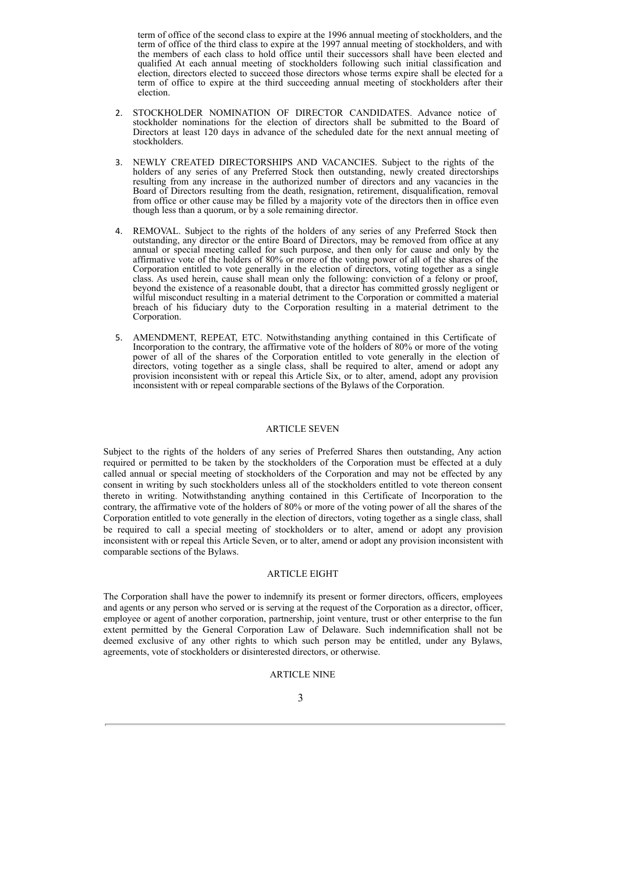term of office of the second class to expire at the 1996 annual meeting of stockholders, and the term of office of the third class to expire at the 1997 annual meeting of stockholders, and with the members of each class to hold office until their successors shall have been elected and qualified At each annual meeting of stockholders following such initial classification and election, directors elected to succeed those directors whose terms expire shall be elected for a term of office to expire at the third succeeding annual meeting of stockholders after their election.

- 2. STOCKHOLDER NOMINATION OF DIRECTOR CANDIDATES. Advance notice of stockholder nominations for the election of directors shall be submitted to the Board of Directors at least 120 days in advance of the scheduled date for the next annual meeting of stockholders.
- 3. NEWLY CREATED DIRECTORSHIPS AND VACANCIES. Subject to the rights of the holders of any series of any Preferred Stock then outstanding, newly created directorships resulting from any increase in the authorized number of directors and any vacancies in the Board of Directors resulting from the death, resignation, retirement, disqualification, removal from office or other cause may be filled by a majority vote of the directors then in office even though less than a quorum, or by a sole remaining director.
- 4. REMOVAL. Subject to the rights of the holders of any series of any Preferred Stock then outstanding, any director or the entire Board of Directors, may be removed from office at any annual or special meeting called for such purpose, and then only for cause and only by the affirmative vote of the holders of 80% or more of the voting power of all of the shares of the Corporation entitled to vote generally in the election of directors, voting together as a single class. As used herein, cause shall mean only the following: conviction of a felony or proof, beyond the existence of a reasonable doubt, that a director has committed grossly negligent or wilful misconduct resulting in a material detriment to the Corporation or committed a material breach of his fiduciary duty to the Corporation resulting in a material detriment to the Corporation.
- 5. AMENDMENT, REPEAT, ETC. Notwithstanding anything contained in this Certificate of Incorporation to the contrary, the affirmative vote of the holders of 80% or more of the voting power of all of the shares of the Corporation entitled to vote generally in the election of directors, voting together as a single class, shall be required to alter, amend or adopt any provision inconsistent with or repeal this Article Six, or to alter, amend, adopt any provision inconsistent with or repeal comparable sections of the Bylaws of the Corporation.

## ARTICLE SEVEN

Subject to the rights of the holders of any series of Preferred Shares then outstanding, Any action required or permitted to be taken by the stockholders of the Corporation must be effected at a duly called annual or special meeting of stockholders of the Corporation and may not be effected by any consent in writing by such stockholders unless all of the stockholders entitled to vote thereon consent thereto in writing. Notwithstanding anything contained in this Certificate of Incorporation to the contrary, the affirmative vote of the holders of 80% or more of the voting power of all the shares of the Corporation entitled to vote generally in the election of directors, voting together as a single class, shall be required to call a special meeting of stockholders or to alter, amend or adopt any provision inconsistent with or repeal this Article Seven, or to alter, amend or adopt any provision inconsistent with comparable sections of the Bylaws.

## ARTICLE EIGHT

The Corporation shall have the power to indemnify its present or former directors, officers, employees and agents or any person who served or is serving at the request of the Corporation as a director, officer, employee or agent of another corporation, partnership, joint venture, trust or other enterprise to the fun extent permitted by the General Corporation Law of Delaware. Such indemnification shall not be deemed exclusive of any other rights to which such person may be entitled, under any Bylaws, agreements, vote of stockholders or disinterested directors, or otherwise.

## ARTICLE NINE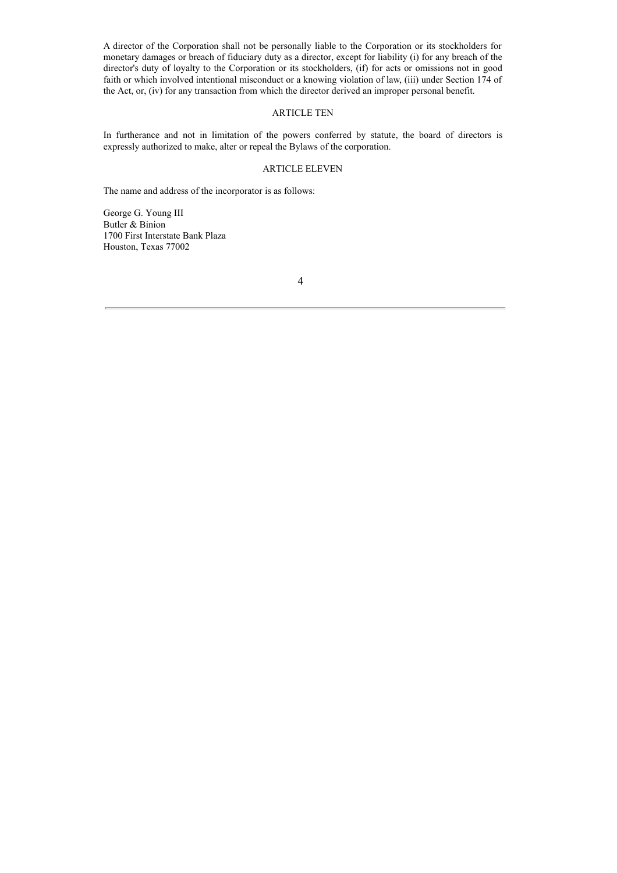A director of the Corporation shall not be personally liable to the Corporation or its stockholders for monetary damages or breach of fiduciary duty as a director, except for liability (i) for any breach of the director's duty of loyalty to the Corporation or its stockholders, (if) for acts or omissions not in good faith or which involved intentional misconduct or a knowing violation of law, (iii) under Section 174 of the Act, or, (iv) for any transaction from which the director derived an improper personal benefit.

## ARTICLE TEN

In furtherance and not in limitation of the powers conferred by statute, the board of directors is expressly authorized to make, alter or repeal the Bylaws of the corporation.

#### ARTICLE ELEVEN

The name and address of the incorporator is as follows:

George G. Young III Butler & Binion 1700 First Interstate Bank Plaza Houston, Texas 77002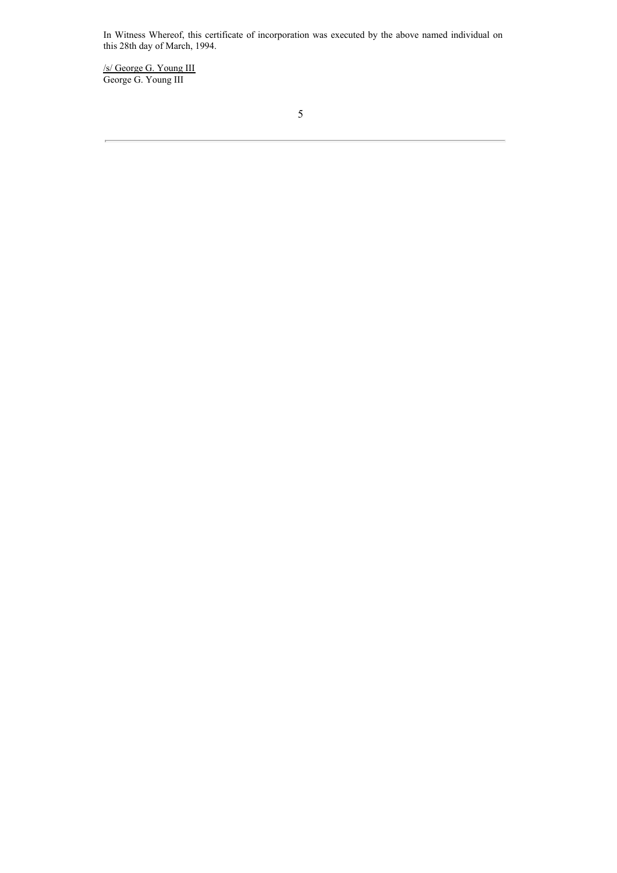In Witness Whereof, this certificate of incorporation was executed by the above named individual on this 28th day of March, 1994.

/s/ George G. Young III George G. Young III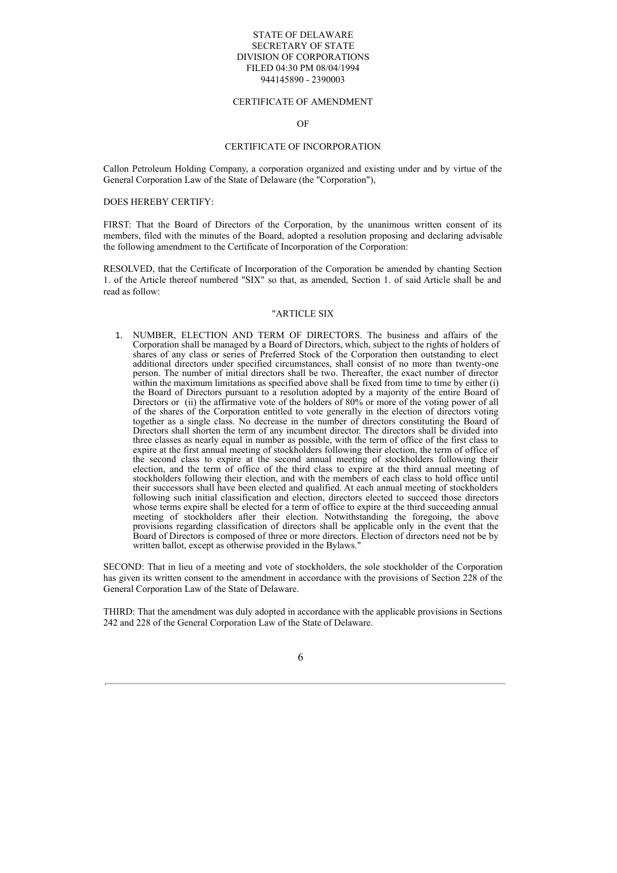## STATE OF DELAWARE SECRETARY OF STATE DIVISION OF CORPORATIONS FILED 04:30 PM 08/04/1994 944145890 - 2390003

## CERTIFICATE OF AMENDMENT

#### OF

#### CERTIFICATE OF INCORPORATION

Callon Petroleum Holding Company, a corporation organized and existing under and by virtue of the General Corporation Law of the State of Delaware (the "Corporation"),

## DOES HEREBY CERTIFY:

FIRST: That the Board of Directors of the Corporation, by the unanimous written consent of its members, filed with the minutes of the Board, adopted a resolution proposing and declaring advisable the following amendment to the Certificate of Incorporation of the Corporation:

RESOLVED, that the Certificate of Incorporation of the Corporation be amended by chanting Section 1. of the Article thereof numbered "SIX" so that, as amended, Section 1. of said Article shall be and read as follow:

#### "ARTICLE SIX

1. NUMBER, ELECTION AND TERM OF DIRECTORS. The business and affairs of the Corporation shall be managed by a Board of Directors, which, subject to the rights of holders of shares of any class or series of Preferred Stock of the Corporation then outstanding to elect additional directors under specified circumstances, shall consist of no more than twenty-one person. The number of initial directors shall be two. Thereafter, the exact number of director within the maximum limitations as specified above shall be fixed from time to time by either (i) the Board of Directors pursuant to a resolution adopted by a majority of the entire Board of Directors or (ii) the affirmative vote of the holders of 80% or more of the voting power of all of the shares of the Corporation entitled to vote generally in the election of directors voting together as a single class. No decrease in the number of directors constituting the Board of Directors shall shorten the term of any incumbent director. The directors shall be divided into three classes as nearly equal in number as possible, with the term of office of the first class to expire at the first annual meeting of stockholders following their election, the term of office of the second class to expire at the second annual meeting of stockholders following their election, and the term of office of the third class to expire at the third annual meeting of stockholders following their election, and with the members of each class to hold office until their successors shall have been elected and qualified. At each annual meeting of stockholders following such initial classification and election, directors elected to succeed those directors whose terms expire shall be elected for a term of office to expire at the third succeeding annual meeting of stockholders after their election. Notwithstanding the foregoing, the above provisions regarding classification of directors shall be applicable only in the event that the Board of Directors is composed of three or more directors. Election of directors need not be by written ballot, except as otherwise provided in the Bylaws."

SECOND: That in lieu of a meeting and vote of stockholders, the sole stockholder of the Corporation has given its written consent to the amendment in accordance with the provisions of Section 228 of the General Corporation Law of the State of Delaware.

THIRD: That the amendment was duly adopted in accordance with the applicable provisions in Sections 242 and 228 of the General Corporation Law of the State of Delaware.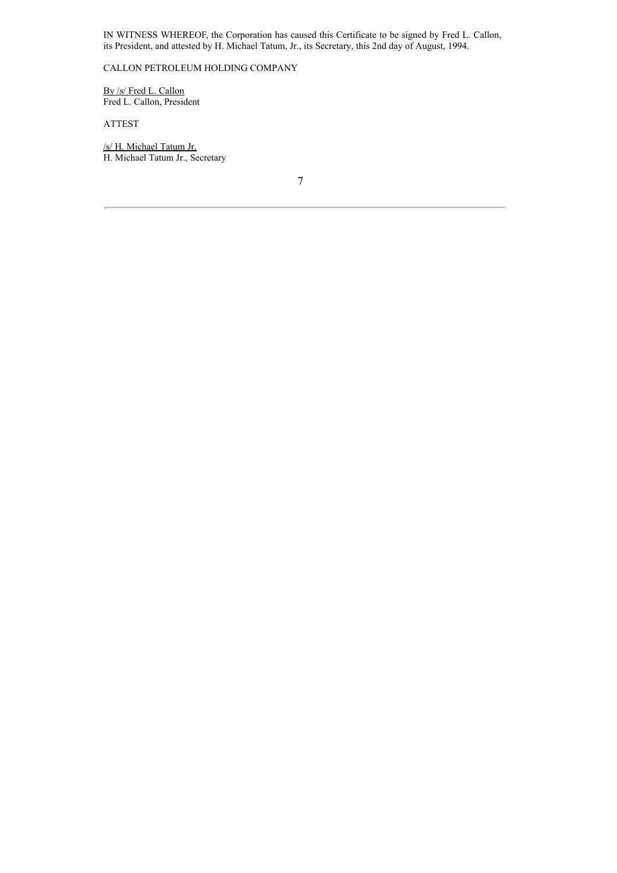IN WITNESS WHEREOF, the Corporation has caused this Certificate to be signed by Fred L. Callon, its President, and attested by H. Michael Tatum, Jr., its Secretary, this 2nd day of August, 1994.

## CALLON PETROLEUM HOLDING COMPANY

By /s/ Fred L. Callon Fred L. Callon, President

ATTEST

/s/ H. Michael Tatum Jr. H. Michael Tatum Jr., Secretary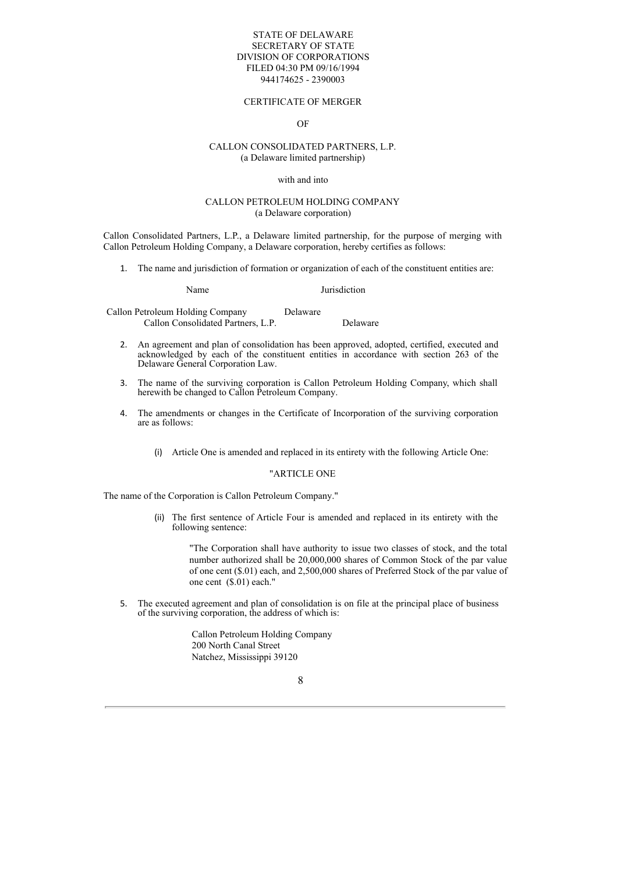## STATE OF DELAWARE SECRETARY OF STATE DIVISION OF CORPORATIONS FILED 04:30 PM 09/16/1994 944174625 - 2390003

## CERTIFICATE OF MERGER

#### OF

## CALLON CONSOLIDATED PARTNERS, L.P. (a Delaware limited partnership)

## with and into

## CALLON PETROLEUM HOLDING COMPANY (a Delaware corporation)

Callon Consolidated Partners, L.P., a Delaware limited partnership, for the purpose of merging with Callon Petroleum Holding Company, a Delaware corporation, hereby certifies as follows:

1. The name and jurisdiction of formation or organization of each of the constituent entities are:

Name Jurisdiction

Callon Petroleum Holding Company Delaware Callon Consolidated Partners, L.P. Delaware

- 2. An agreement and plan of consolidation has been approved, adopted, certified, executed and acknowledged by each of the constituent entities in accordance with section 263 of the Delaware General Corporation Law.
- 3. The name of the surviving corporation is Callon Petroleum Holding Company, which shall herewith be changed to Callon Petroleum Company.
- 4. The amendments or changes in the Certificate of Incorporation of the surviving corporation are as follows:
	- (i) Article One is amended and replaced in its entirety with the following Article One:

#### "ARTICLE ONE

The name of the Corporation is Callon Petroleum Company."

(ii) The first sentence of Article Four is amended and replaced in its entirety with the following sentence:

> "The Corporation shall have authority to issue two classes of stock, and the total number authorized shall be 20,000,000 shares of Common Stock of the par value of one cent (\$.01) each, and 2,500,000 shares of Preferred Stock of the par value of one cent (\$.01) each."

5. The executed agreement and plan of consolidation is on file at the principal place of business of the surviving corporation, the address of which is:

> Callon Petroleum Holding Company 200 North Canal Street Natchez, Mississippi 39120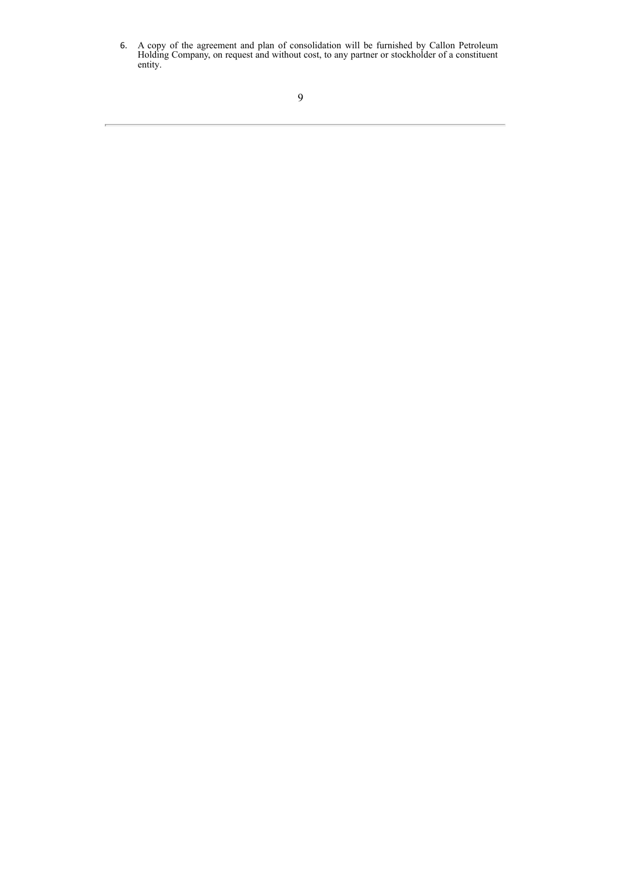6. A copy of the agreement and plan of consolidation will be furnished by Callon Petroleum Holding Company, on request and without cost, to any partner or stockholder of a constituent entity.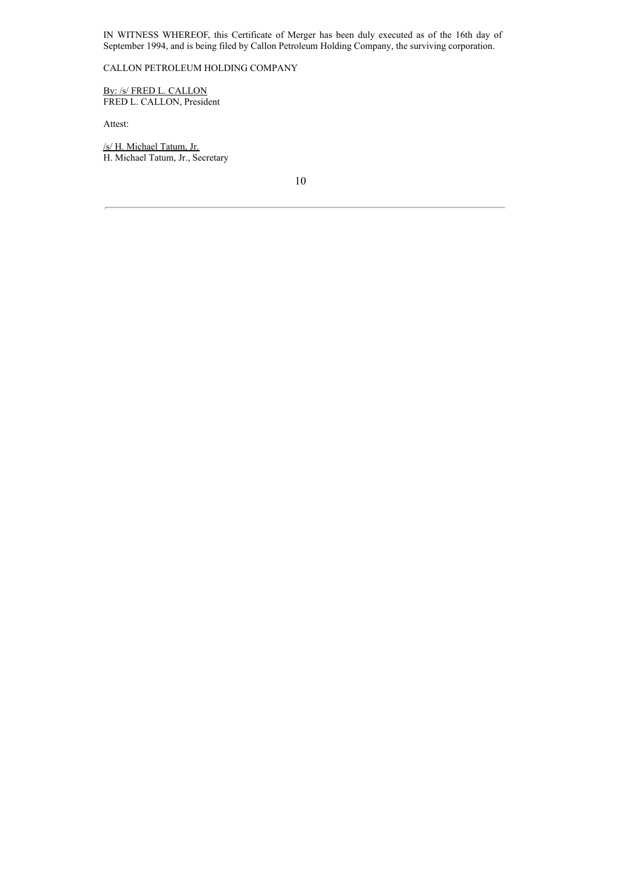IN WITNESS WHEREOF, this Certificate of Merger has been duly executed as of the 16th day of September 1994, and is being filed by Callon Petroleum Holding Company, the surviving corporation.

## CALLON PETROLEUM HOLDING COMPANY

## By: /s/ FRED L. CALLON FRED L. CALLON, President

Attest:

/s/ H. Michael Tatum, Jr. H. Michael Tatum, Jr., Secretary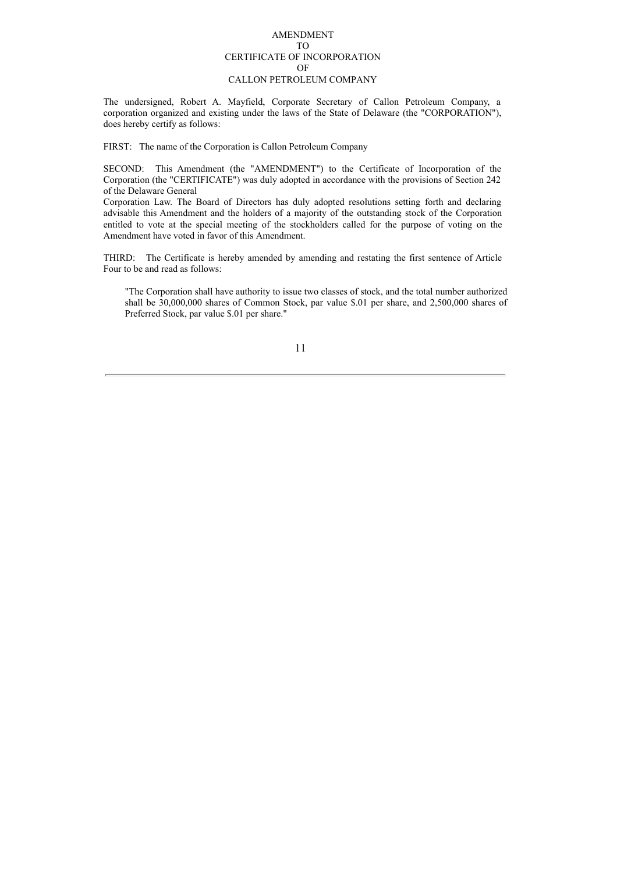## AMENDMENT TO CERTIFICATE OF INCORPORATION  $\Omega$ F CALLON PETROLEUM COMPANY

The undersigned, Robert A. Mayfield, Corporate Secretary of Callon Petroleum Company, a corporation organized and existing under the laws of the State of Delaware (the "CORPORATION"), does hereby certify as follows:

FIRST: The name of the Corporation is Callon Petroleum Company

SECOND: This Amendment (the "AMENDMENT") to the Certificate of Incorporation of the Corporation (the "CERTIFICATE") was duly adopted in accordance with the provisions of Section 242 of the Delaware General

Corporation Law. The Board of Directors has duly adopted resolutions setting forth and declaring advisable this Amendment and the holders of a majority of the outstanding stock of the Corporation entitled to vote at the special meeting of the stockholders called for the purpose of voting on the Amendment have voted in favor of this Amendment.

THIRD: The Certificate is hereby amended by amending and restating the first sentence of Article Four to be and read as follows:

"The Corporation shall have authority to issue two classes of stock, and the total number authorized shall be 30,000,000 shares of Common Stock, par value \$.01 per share, and 2,500,000 shares of Preferred Stock, par value \$.01 per share."

|   | I |
|---|---|
| ш | ш |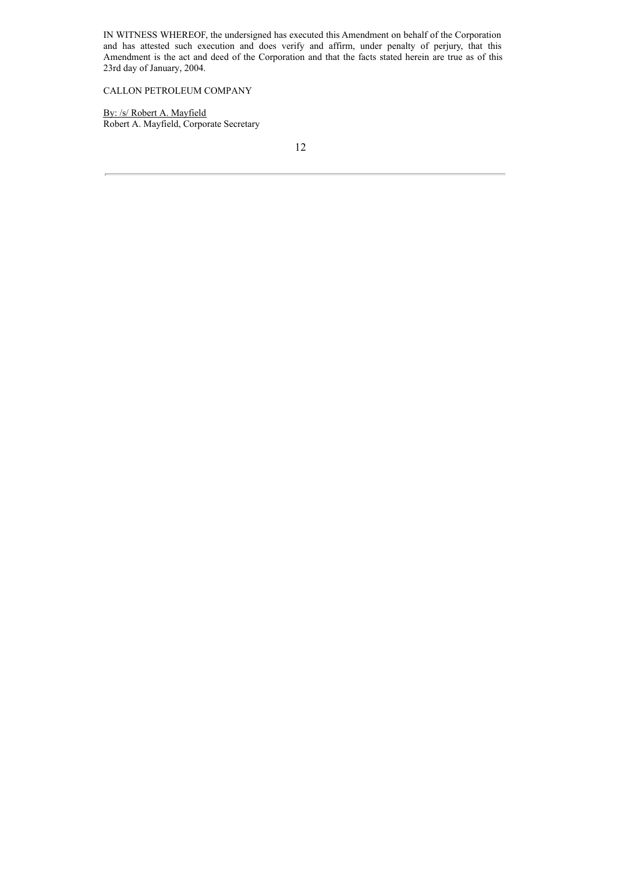IN WITNESS WHEREOF, the undersigned has executed this Amendment on behalf of the Corporation and has attested such execution and does verify and affirm, under penalty of perjury, that this Amendment is the act and deed of the Corporation and that the facts stated herein are true as of this 23rd day of January, 2004.

## CALLON PETROLEUM COMPANY

By: /s/ Robert A. Mayfield Robert A. Mayfield, Corporate Secretary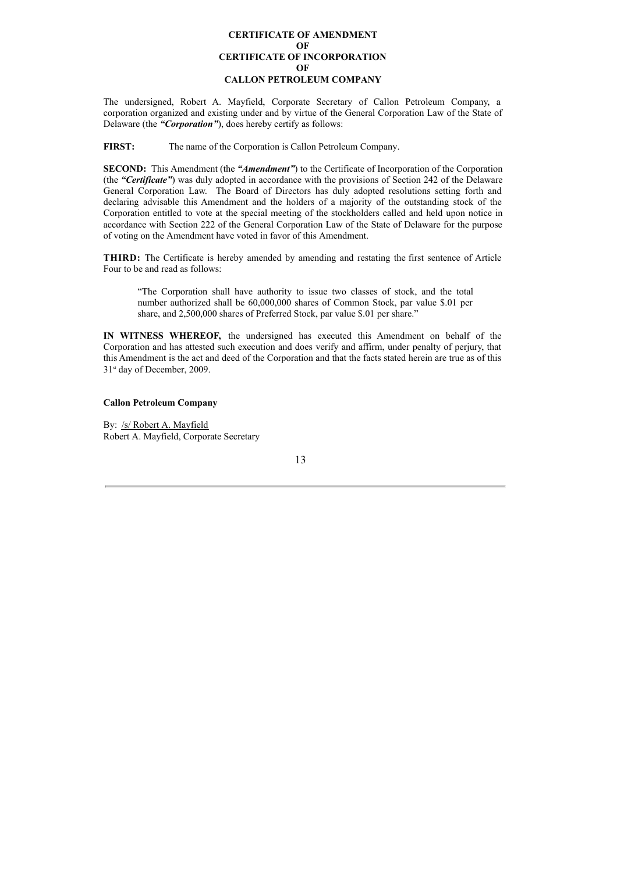## **CERTIFICATE OF AMENDMENT OF CERTIFICATE OF INCORPORATION OF CALLON PETROLEUM COMPANY**

The undersigned, Robert A. Mayfield, Corporate Secretary of Callon Petroleum Company, a corporation organized and existing under and by virtue of the General Corporation Law of the State of Delaware (the *"Corporation"*), does hereby certify as follows:

**FIRST:** The name of the Corporation is Callon Petroleum Company.

**SECOND:** This Amendment (the "*Amendment*") to the Certificate of Incorporation of the Corporation (the *"Certificate"*) was duly adopted in accordance with the provisions of Section 242 of the Delaware General Corporation Law. The Board of Directors has duly adopted resolutions setting forth and declaring advisable this Amendment and the holders of a majority of the outstanding stock of the Corporation entitled to vote at the special meeting of the stockholders called and held upon notice in accordance with Section 222 of the General Corporation Law of the State of Delaware for the purpose of voting on the Amendment have voted in favor of this Amendment.

**THIRD:** The Certificate is hereby amended by amending and restating the first sentence of Article Four to be and read as follows:

"The Corporation shall have authority to issue two classes of stock, and the total number authorized shall be 60,000,000 shares of Common Stock, par value \$.01 per share, and 2,500,000 shares of Preferred Stock, par value \$.01 per share."

**IN WITNESS WHEREOF,** the undersigned has executed this Amendment on behalf of the Corporation and has attested such execution and does verify and affirm, under penalty of perjury, that this Amendment is the act and deed of the Corporation and that the facts stated herein are true as of this 31<sup>st</sup> day of December, 2009.

## **Callon Petroleum Company**

By: /s/ Robert A. Mayfield Robert A. Mayfield, Corporate Secretary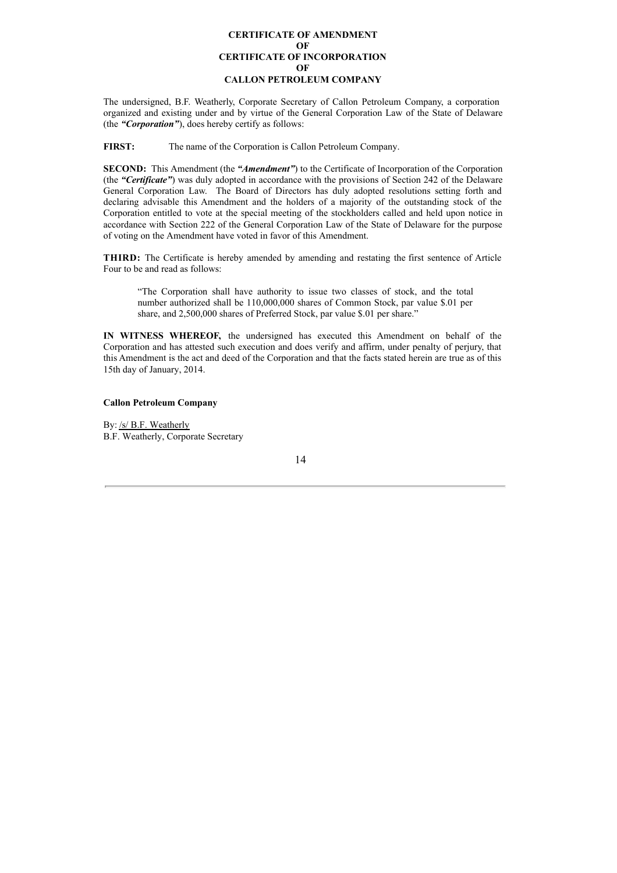## **CERTIFICATE OF AMENDMENT OF CERTIFICATE OF INCORPORATION OF CALLON PETROLEUM COMPANY**

The undersigned, B.F. Weatherly, Corporate Secretary of Callon Petroleum Company, a corporation organized and existing under and by virtue of the General Corporation Law of the State of Delaware (the *"Corporation"*), does hereby certify as follows:

**FIRST:** The name of the Corporation is Callon Petroleum Company.

**SECOND:** This Amendment (the "*Amendment*") to the Certificate of Incorporation of the Corporation (the *"Certificate"*) was duly adopted in accordance with the provisions of Section 242 of the Delaware General Corporation Law. The Board of Directors has duly adopted resolutions setting forth and declaring advisable this Amendment and the holders of a majority of the outstanding stock of the Corporation entitled to vote at the special meeting of the stockholders called and held upon notice in accordance with Section 222 of the General Corporation Law of the State of Delaware for the purpose of voting on the Amendment have voted in favor of this Amendment.

**THIRD:** The Certificate is hereby amended by amending and restating the first sentence of Article Four to be and read as follows:

"The Corporation shall have authority to issue two classes of stock, and the total number authorized shall be 110,000,000 shares of Common Stock, par value \$.01 per share, and 2,500,000 shares of Preferred Stock, par value \$.01 per share."

**IN WITNESS WHEREOF,** the undersigned has executed this Amendment on behalf of the Corporation and has attested such execution and does verify and affirm, under penalty of perjury, that this Amendment is the act and deed of the Corporation and that the facts stated herein are true as of this 15th day of January, 2014.

## **Callon Petroleum Company**

By: /s/ B.F. Weatherly B.F. Weatherly, Corporate Secretary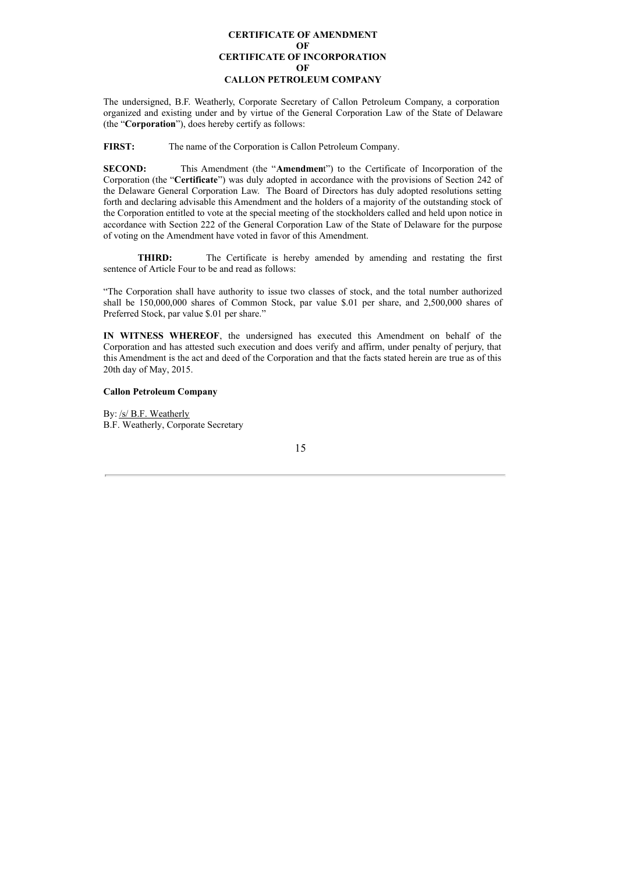## **CERTIFICATE OF AMENDMENT OF CERTIFICATE OF INCORPORATION OF CALLON PETROLEUM COMPANY**

The undersigned, B.F. Weatherly, Corporate Secretary of Callon Petroleum Company, a corporation organized and existing under and by virtue of the General Corporation Law of the State of Delaware (the "**Corporation**"), does hereby certify as follows:

**FIRST:** The name of the Corporation is Callon Petroleum Company.

**SECOND:** This Amendment (the "**Amendmen**t") to the Certificate of Incorporation of the Corporation (the "**Certificate**") was duly adopted in accordance with the provisions of Section 242 of the Delaware General Corporation Law. The Board of Directors has duly adopted resolutions setting forth and declaring advisable this Amendment and the holders of a majority of the outstanding stock of the Corporation entitled to vote at the special meeting of the stockholders called and held upon notice in accordance with Section 222 of the General Corporation Law of the State of Delaware for the purpose of voting on the Amendment have voted in favor of this Amendment.

**THIRD:** The Certificate is hereby amended by amending and restating the first sentence of Article Four to be and read as follows:

"The Corporation shall have authority to issue two classes of stock, and the total number authorized shall be 150,000,000 shares of Common Stock, par value \$.01 per share, and 2,500,000 shares of Preferred Stock, par value \$.01 per share."

**IN WITNESS WHEREOF**, the undersigned has executed this Amendment on behalf of the Corporation and has attested such execution and does verify and affirm, under penalty of perjury, that this Amendment is the act and deed of the Corporation and that the facts stated herein are true as of this 20th day of May, 2015.

## **Callon Petroleum Company**

By: /s/ B.F. Weatherly B.F. Weatherly, Corporate Secretary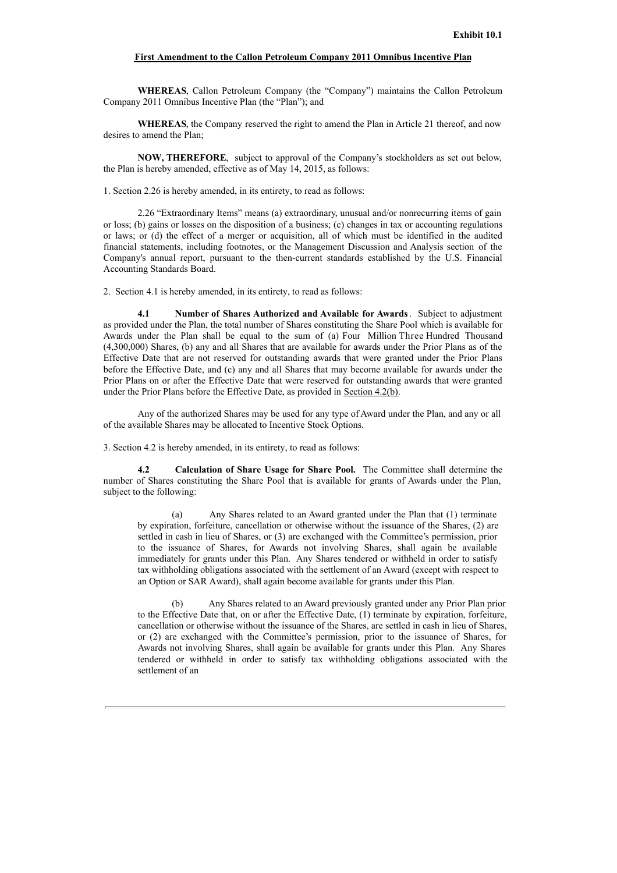#### **First Amendment to the Callon Petroleum Company 2011 Omnibus Incentive Plan**

**WHEREAS**, Callon Petroleum Company (the "Company") maintains the Callon Petroleum Company 2011 Omnibus Incentive Plan (the "Plan"); and

**WHEREAS**, the Company reserved the right to amend the Plan in Article 21 thereof, and now desires to amend the Plan;

**NOW, THEREFORE**, subject to approval of the Company's stockholders as set out below, the Plan is hereby amended, effective as of May 14, 2015, as follows:

1. Section 2.26 is hereby amended, in its entirety, to read as follows:

2.26 "Extraordinary Items" means (a) extraordinary, unusual and/or nonrecurring items of gain or loss; (b) gains or losses on the disposition of a business; (c) changes in tax or accounting regulations or laws; or (d) the effect of a merger or acquisition, all of which must be identified in the audited financial statements, including footnotes, or the Management Discussion and Analysis section of the Company's annual report, pursuant to the then-current standards established by the U.S. Financial Accounting Standards Board.

2. Section 4.1 is hereby amended, in its entirety, to read as follows:

**4.1 Number of Shares Authorized and Available for Awards**. Subject to adjustment as provided under the Plan, the total number of Shares constituting the Share Pool which is available for Awards under the Plan shall be equal to the sum of (a) Four Million Three Hundred Thousand (4,300,000) Shares, (b) any and all Shares that are available for awards under the Prior Plans as of the Effective Date that are not reserved for outstanding awards that were granted under the Prior Plans before the Effective Date, and (c) any and all Shares that may become available for awards under the Prior Plans on or after the Effective Date that were reserved for outstanding awards that were granted under the Prior Plans before the Effective Date, as provided in Section 4.2(b).

Any of the authorized Shares may be used for any type of Award under the Plan, and any or all of the available Shares may be allocated to Incentive Stock Options.

3. Section 4.2 is hereby amended, in its entirety, to read as follows:

**4.2 Calculation of Share Usage for Share Pool.** The Committee shall determine the number of Shares constituting the Share Pool that is available for grants of Awards under the Plan, subject to the following:

(a) Any Shares related to an Award granted under the Plan that (1) terminate by expiration, forfeiture, cancellation or otherwise without the issuance of the Shares, (2) are settled in cash in lieu of Shares, or (3) are exchanged with the Committee's permission, prior to the issuance of Shares, for Awards not involving Shares, shall again be available immediately for grants under this Plan. Any Shares tendered or withheld in order to satisfy tax withholding obligations associated with the settlement of an Award (except with respect to an Option or SAR Award), shall again become available for grants under this Plan.

(b) Any Shares related to an Award previously granted under any Prior Plan prior to the Effective Date that, on or after the Effective Date, (1) terminate by expiration, forfeiture, cancellation or otherwise without the issuance of the Shares, are settled in cash in lieu of Shares, or (2) are exchanged with the Committee's permission, prior to the issuance of Shares, for Awards not involving Shares, shall again be available for grants under this Plan. Any Shares tendered or withheld in order to satisfy tax withholding obligations associated with the settlement of an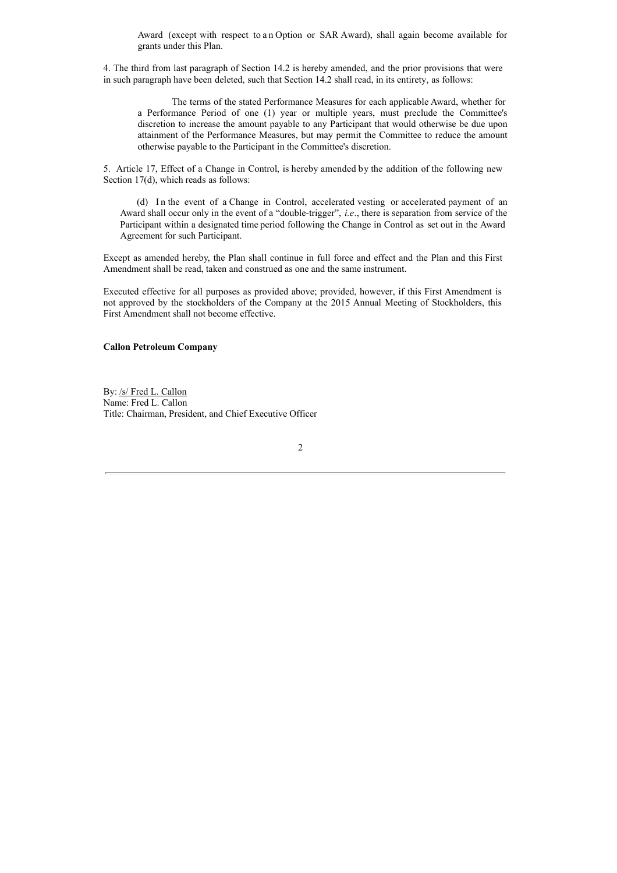Award (except with respect to an Option or SAR Award), shall again become available for grants under this Plan.

4. The third from last paragraph of Section 14.2 is hereby amended, and the prior provisions that were in such paragraph have been deleted, such that Section 14.2 shall read, in its entirety, as follows:

The terms of the stated Performance Measures for each applicable Award, whether for a Performance Period of one (1) year or multiple years, must preclude the Committee's discretion to increase the amount payable to any Participant that would otherwise be due upon attainment of the Performance Measures, but may permit the Committee to reduce the amount otherwise payable to the Participant in the Committee's discretion.

5. Article 17, Effect of a Change in Control, is hereby amended by the addition of the following new Section 17(d), which reads as follows:

(d) In the event of a Change in Control, accelerated vesting or accelerated payment of an Award shall occur only in the event of a "double-trigger", *i.e*., there is separation from service of the Participant within a designated time period following the Change in Control as set out in the Award Agreement for such Participant.

Except as amended hereby, the Plan shall continue in full force and effect and the Plan and this First Amendment shall be read, taken and construed as one and the same instrument.

Executed effective for all purposes as provided above; provided, however, if this First Amendment is not approved by the stockholders of the Company at the 2015 Annual Meeting of Stockholders, this First Amendment shall not become effective.

## **Callon Petroleum Company**

By: /s/ Fred L. Callon Name: Fred L. Callon Title: Chairman, President, and Chief Executive Officer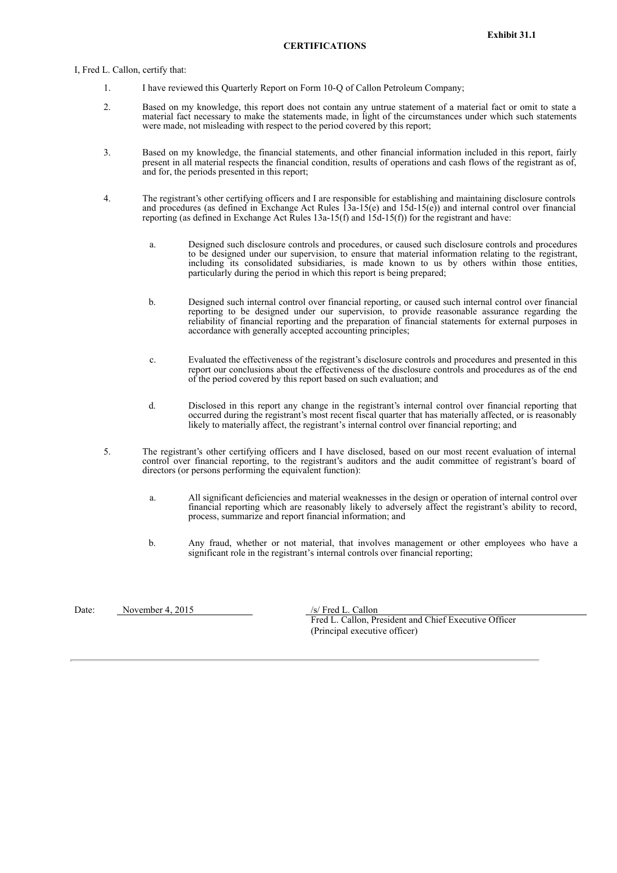I, Fred L. Callon, certify that:

- 1. I have reviewed this Quarterly Report on Form 10-Q of Callon Petroleum Company;
- 2. Based on my knowledge, this report does not contain any untrue statement of a material fact or omit to state a material fact necessary to make the statements made, in light of the circumstances under which such statements were made, not misleading with respect to the period covered by this report;
- 3. Based on my knowledge, the financial statements, and other financial information included in this report, fairly present in all material respects the financial condition, results of operations and cash flows of the registrant as of, and for, the periods presented in this report;
- 4. The registrant's other certifying officers and I are responsible for establishing and maintaining disclosure controls and procedures (as defined in Exchange Act Rules 13a-15(e) and 15d-15(e)) and internal control over financial reporting (as defined in Exchange Act Rules 13a-15(f) and 15d-15(f)) for the registrant and have:
	- a. Designed such disclosure controls and procedures, or caused such disclosure controls and procedures to be designed under our supervision, to ensure that material information relating to the registrant, including its consolidated subsidiaries, is made known to us by others within those entities, particularly during the period in which this report is being prepared;
	- b. Designed such internal control over financial reporting, or caused such internal control over financial reporting to be designed under our supervision, to provide reasonable assurance regarding the reliability of financial reporting and the preparation of financial statements for external purposes in accordance with generally accepted accounting principles;
	- c. Evaluated the effectiveness of the registrant's disclosure controls and procedures and presented in this report our conclusions about the effectiveness of the disclosure controls and procedures as of the end of the period covered by this report based on such evaluation; and
	- d. Disclosed in this report any change in the registrant's internal control over financial reporting that occurred during the registrant's most recent fiscal quarter that has materially affected, or is reasonably likely to materially affect, the registrant's internal control over financial reporting; and
- 5. The registrant's other certifying officers and I have disclosed, based on our most recent evaluation of internal control over financial reporting, to the registrant's auditors and the audit committee of registrant's board of directors (or persons performing the equivalent function):
	- a. All significant deficiencies and material weaknesses in the design or operation of internal control over financial reporting which are reasonably likely to adversely affect the registrant's ability to record, process, summarize and report financial information; and
	- b. Any fraud, whether or not material, that involves management or other employees who have a significant role in the registrant's internal controls over financial reporting;

Date: November 4, 2015 /s/ Fred L. Callon

Fred L. Callon, President and Chief Executive Officer (Principal executive officer)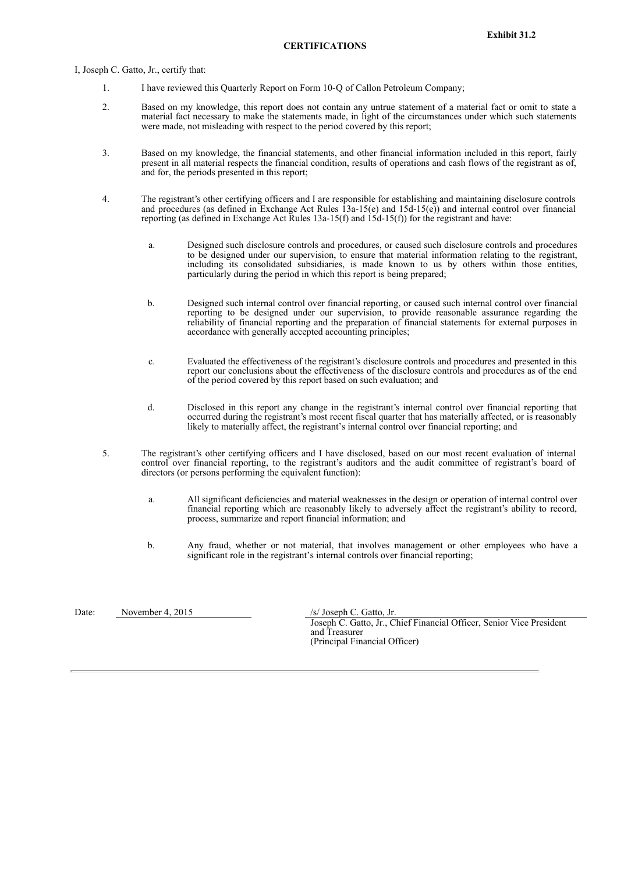I, Joseph C. Gatto, Jr., certify that:

- 1. I have reviewed this Quarterly Report on Form 10-Q of Callon Petroleum Company;
- 2. Based on my knowledge, this report does not contain any untrue statement of a material fact or omit to state a material fact necessary to make the statements made, in light of the circumstances under which such statements were made, not misleading with respect to the period covered by this report;
- 3. Based on my knowledge, the financial statements, and other financial information included in this report, fairly present in all material respects the financial condition, results of operations and cash flows of the registrant as of, and for, the periods presented in this report;
- 4. The registrant's other certifying officers and I are responsible for establishing and maintaining disclosure controls and procedures (as defined in Exchange Act Rules 13a-15(e) and 15d-15(e)) and internal control over financial reporting (as defined in Exchange Act Rules 13a-15(f) and 15d-15(f)) for the registrant and have:
	- a. Designed such disclosure controls and procedures, or caused such disclosure controls and procedures to be designed under our supervision, to ensure that material information relating to the registrant, including its consolidated subsidiaries, is made known to us by others within those entities, particularly during the period in which this report is being prepared;
	- b. Designed such internal control over financial reporting, or caused such internal control over financial reporting to be designed under our supervision, to provide reasonable assurance regarding the reliability of financial reporting and the preparation of financial statements for external purposes in accordance with generally accepted accounting principles;
	- c. Evaluated the effectiveness of the registrant's disclosure controls and procedures and presented in this report our conclusions about the effectiveness of the disclosure controls and procedures as of the end of the period covered by this report based on such evaluation; and
	- d. Disclosed in this report any change in the registrant's internal control over financial reporting that occurred during the registrant's most recent fiscal quarter that has materially affected, or is reasonably likely to materially affect, the registrant's internal control over financial reporting; and
- 5. The registrant's other certifying officers and I have disclosed, based on our most recent evaluation of internal control over financial reporting, to the registrant's auditors and the audit committee of registrant's board of directors (or persons performing the equivalent function):
	- a. All significant deficiencies and material weaknesses in the design or operation of internal control over financial reporting which are reasonably likely to adversely affect the registrant's ability to record, process, summarize and report financial information; and
	- b. Any fraud, whether or not material, that involves management or other employees who have a significant role in the registrant's internal controls over financial reporting;

Date: November 4, 2015 /s/ Joseph C. Gatto, Jr.

Joseph C. Gatto, Jr., Chief Financial Officer, Senior Vice President and Treasurer (Principal Financial Officer)